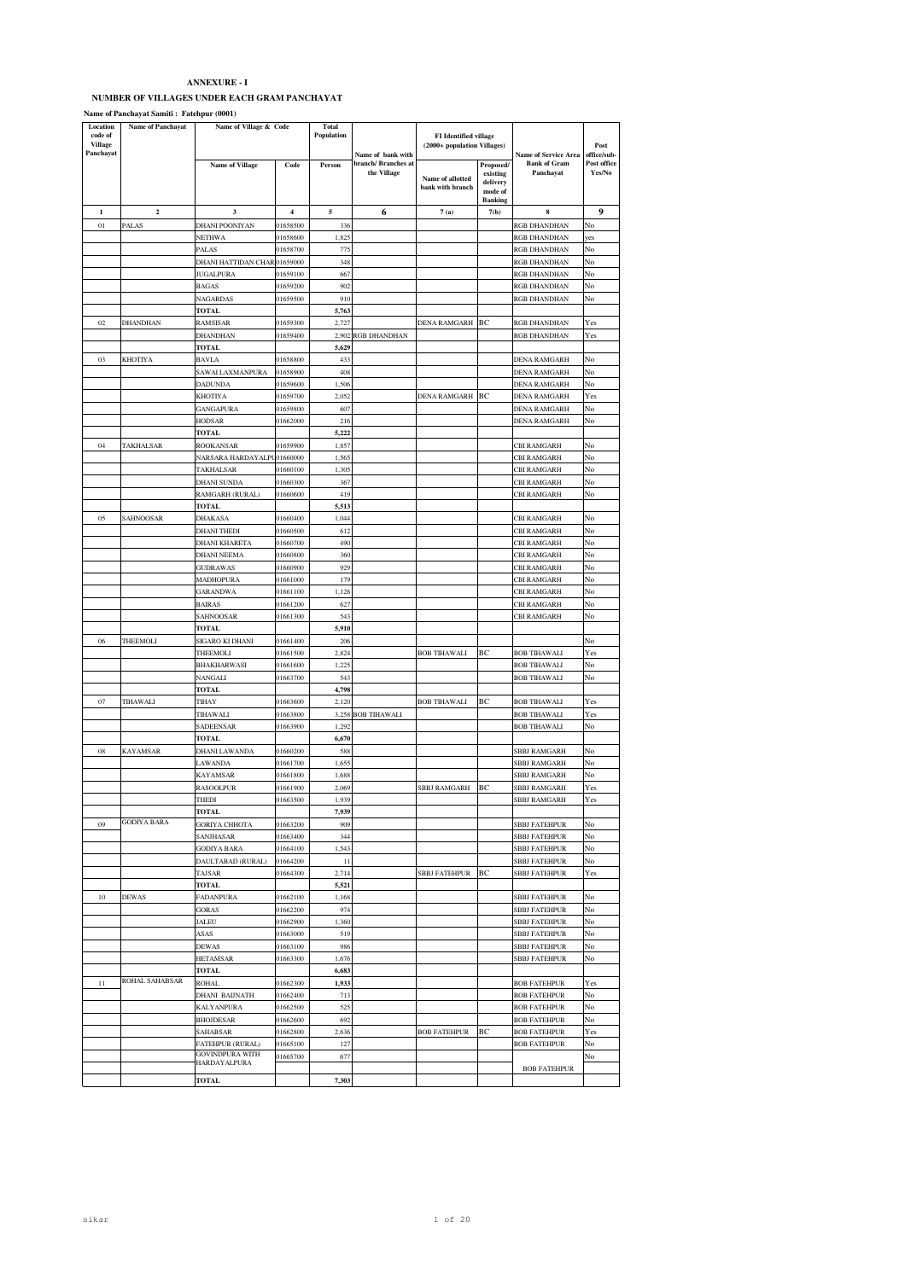## **NUMBER OF VILLAGES UNDER EACH GRAM PANCHAYAT**

**Name of Panchayat Samiti : Fatehpur (0001)**

| Location<br>code of<br>Village | Name of Panchayat  | Name of Village & Code            |                      | <b>Total</b><br>Population |                                                         | <b>FI</b> Identified village<br>(2000+ population Villages) |                                                                |                                                                 | Post                                 |
|--------------------------------|--------------------|-----------------------------------|----------------------|----------------------------|---------------------------------------------------------|-------------------------------------------------------------|----------------------------------------------------------------|-----------------------------------------------------------------|--------------------------------------|
| Panchayat                      |                    | <b>Name of Village</b>            | Code                 | Person                     | Name of bank with<br>branch/ Branches at<br>the Village | Name of allotted<br>bank with branch                        | Proposed/<br>existing<br>delivery<br>mode of<br><b>Banking</b> | <b>Name of Service Area</b><br><b>Bank of Gram</b><br>Panchayat | office/sub-<br>Post office<br>Yes/No |
| 1                              | $\mathbf 2$        | 3                                 | 4                    | 5                          | 6                                                       | $7\left(\mathrm{a}\right)$                                  | 7(b)                                                           | 8                                                               | 9                                    |
| 01                             | PALAS              | DHANI POONIYAN                    | 01658500             | 336                        |                                                         |                                                             |                                                                | RGB DHANDHAN                                                    | No                                   |
|                                |                    | NETHWA                            | 01658600             | 1,825                      |                                                         |                                                             |                                                                | RGB DHANDHAN                                                    | yes                                  |
|                                |                    | <b>PALAS</b>                      | 01658700             | 775                        |                                                         |                                                             |                                                                | RGB DHANDHAN                                                    | No                                   |
|                                |                    | DHANI HATTIDAN CHAR 01659000      |                      | 348                        |                                                         |                                                             |                                                                | RGB DHANDHAN                                                    | No                                   |
|                                |                    | JUGALPURA                         | 01659100             | 667                        |                                                         |                                                             |                                                                | RGB DHANDHAN                                                    | No                                   |
|                                |                    | <b>BAGAS</b>                      | 01659200             | 902                        |                                                         |                                                             |                                                                | RGB DHANDHAN                                                    | No                                   |
|                                |                    | NAGARDAS                          | 01659500             | 910                        |                                                         |                                                             |                                                                | RGB DHANDHAN                                                    | No                                   |
|                                |                    | <b>TOTAL</b>                      |                      | 5,763                      |                                                         |                                                             |                                                                |                                                                 |                                      |
| 02                             | <b>DHANDHAN</b>    | RAMSISAR                          | 01659300             | 2,727                      |                                                         | DENA RAMGARH BC                                             |                                                                | RGB DHANDHAN                                                    | Yes                                  |
|                                |                    | DHANDHAN                          | 01659400             | 2,902                      | RGB DHANDHAN                                            |                                                             |                                                                | RGB DHANDHAN                                                    | Yes                                  |
|                                |                    | <b>TOTAL</b>                      |                      | 5,629                      |                                                         |                                                             |                                                                |                                                                 |                                      |
| 03                             | KHOTIYA            | <b>BAVLA</b>                      | 01658800             | 433                        |                                                         |                                                             |                                                                | DENA RAMGARH                                                    | No                                   |
|                                |                    | SAWAI LAXMANPURA                  | 01658900             | 408                        |                                                         |                                                             |                                                                | DENA RAMGARH                                                    | No                                   |
|                                |                    | DADUNDA<br>KHOTIYA                | 01659600<br>01659700 | 1,506<br>2,052             |                                                         | <b>DENA RAMGARH</b>                                         | BC                                                             | DENA RAMGARH<br><b>DENA RAMGARH</b>                             | No<br>Yes                            |
|                                |                    |                                   |                      |                            |                                                         |                                                             |                                                                |                                                                 |                                      |
|                                |                    | GANGAPURA<br>HODSAR               | 01659800<br>01662000 | 607<br>216                 |                                                         |                                                             |                                                                | DENA RAMGARH<br>DENA RAMGARH                                    | No<br>No                             |
|                                |                    | TOTAL                             |                      | 5,222                      |                                                         |                                                             |                                                                |                                                                 |                                      |
| 04                             | TAKHALSAR          | ROOKANSAR                         | 01659900             | 1,857                      |                                                         |                                                             |                                                                | <b>CBI RAMGARH</b>                                              | No                                   |
|                                |                    | <b>NARSARA HARDAYALPU01660000</b> |                      | 1,565                      |                                                         |                                                             |                                                                | <b>CBI RAMGARH</b>                                              | No                                   |
|                                |                    | TAKHALSAR                         | 01660100             | 1,305                      |                                                         |                                                             |                                                                | CBI RAMGARH                                                     | No                                   |
|                                |                    | <b>DHANI SUNDA</b>                | 01660300             | 367                        |                                                         |                                                             |                                                                | CBI RAMGARH                                                     | No                                   |
|                                |                    | RAMGARH (RURAL)                   | 01660600             | 419                        |                                                         |                                                             |                                                                | <b>CBI RAMGARH</b>                                              | No                                   |
|                                |                    | TOTAL                             |                      | 5,513                      |                                                         |                                                             |                                                                |                                                                 |                                      |
| 05                             | SAHNOOSAR          | DHAKASA                           | 01660400             | 1,044                      |                                                         |                                                             |                                                                | CBI RAMGARH                                                     | No                                   |
|                                |                    | <b>DHANI THEDI</b>                | 01660500             | 612                        |                                                         |                                                             |                                                                | <b>CBI RAMGARH</b>                                              | No                                   |
|                                |                    | DHANI KHARETA                     | 01660700             | 490                        |                                                         |                                                             |                                                                | <b>CBI RAMGARH</b>                                              | No                                   |
|                                |                    | <b>DHANI NEEMA</b>                | 01660800             | 360                        |                                                         |                                                             |                                                                | CBI RAMGARH                                                     | No                                   |
|                                |                    | <b>GUDRAWAS</b>                   | 01660900             | 929                        |                                                         |                                                             |                                                                | CBI RAMGARH                                                     | No                                   |
|                                |                    | MADHOPURA                         | 01661000             | 179                        |                                                         |                                                             |                                                                | <b>CBI RAMGARH</b>                                              | No                                   |
|                                |                    | <b>GARANDWA</b>                   | 01661100             | 1,126                      |                                                         |                                                             |                                                                | CBI RAMGARH                                                     | No                                   |
|                                |                    | <b>BAIRAS</b>                     | 01661200             | 627                        |                                                         |                                                             |                                                                | CBI RAMGARH                                                     | No                                   |
|                                |                    | SAHNOOSAR                         | 01661300             | 543                        |                                                         |                                                             |                                                                | <b>CBI RAMGARH</b>                                              | No                                   |
|                                |                    | <b>TOTAL</b>                      |                      | 5,910                      |                                                         |                                                             |                                                                |                                                                 |                                      |
| 06                             | THEEMOLI           | SIGARO KI DHANI                   | 01661400             | 206                        |                                                         |                                                             |                                                                |                                                                 | No                                   |
|                                |                    | THEEMOLI                          | 01661500             | 2,824                      |                                                         | <b>BOB TIHAWALI</b>                                         | BC                                                             | <b>BOB TIHAWALI</b>                                             | Yes                                  |
|                                |                    | BHAKHARWASI                       | 01661600             | 1,225                      |                                                         |                                                             |                                                                | <b>BOB TIHAWALI</b>                                             | No                                   |
|                                |                    | NANGALI                           | 01663700             | 543                        |                                                         |                                                             |                                                                | <b>BOB TIHAWALI</b>                                             | No                                   |
| 07                             | TIHAWALI           | <b>TOTAL</b><br>TIHAY             | 01663600             | 4,798<br>2,120             |                                                         | <b>BOB TIHAWALI</b>                                         | BC                                                             | <b>BOB TIHAWALI</b>                                             | Yes                                  |
|                                |                    | TIHAWALI                          | 01663800             |                            | 3,258 BOB TIHAWALI                                      |                                                             |                                                                | BOB TIHAWALI                                                    | Yes                                  |
|                                |                    | SADEENSAR                         | 01663900             | 1,292                      |                                                         |                                                             |                                                                | <b>BOB TIHAWALI</b>                                             | No                                   |
|                                |                    | <b>TOTAL</b>                      |                      | 6,670                      |                                                         |                                                             |                                                                |                                                                 |                                      |
| 08                             | KAYAMSAR           | DHANI LAWANDA                     | 01660200             | 588                        |                                                         |                                                             |                                                                | SBBJ RAMGARH                                                    | No                                   |
|                                |                    | LAWANDA                           | 01661700             | 1,655                      |                                                         |                                                             |                                                                | <b>SBBJ RAMGARH</b>                                             | No                                   |
|                                |                    | KAYAMSAR                          | 01661800             | 1,688                      |                                                         |                                                             |                                                                | <b>SBBJ RAMGARH</b>                                             | No                                   |
|                                |                    | RASOOLPUR                         | 01661900             | 2,069                      |                                                         | <b>SBBJ RAMGARH</b>                                         | BC                                                             | <b>SBBJ RAMGARH</b>                                             | Yes                                  |
|                                |                    | THEDI                             | 01663500             | 1,939                      |                                                         |                                                             |                                                                | SBBJ RAMGARH                                                    | Yes                                  |
|                                |                    | TOTAL                             |                      | 7,939                      |                                                         |                                                             |                                                                |                                                                 |                                      |
| 09                             | <b>GODIYA BARA</b> | <b>GORIYA CHHOTA</b>              | 01663200             | 909                        |                                                         |                                                             |                                                                | <b>SBBJ FATEHPUR</b>                                            | No                                   |
|                                |                    | SANJHASAR                         | 01663400             | 344                        |                                                         |                                                             |                                                                | SBBJ FATEHPUR                                                   | No                                   |
|                                |                    | GODIYA BARA                       | 01664100             | 1,543                      |                                                         |                                                             |                                                                | <b>SBBJ FATEHPUR</b>                                            | No                                   |
|                                |                    | DAULTABAD (RURAL)                 | 01664200             | 11                         |                                                         |                                                             |                                                                | SBBJ FATEHPUR                                                   | No                                   |
|                                |                    | TAJSAR                            | 01664300             | 2,714                      |                                                         | <b>SBBJ FATEHPUR</b>                                        | BC                                                             | SBBJ FATEHPUR                                                   | Yes                                  |
|                                |                    | <b>TOTAL</b>                      |                      | 5,521                      |                                                         |                                                             |                                                                |                                                                 |                                      |
| 10                             | <b>DEWAS</b>       | FADANPURA                         | 01662100             | 1,168                      |                                                         |                                                             |                                                                | SBBJ FATEHPUR                                                   | No                                   |
|                                |                    | <b>GORAS</b>                      | 01662200             | 974                        |                                                         |                                                             |                                                                | SBBJ FATEHPUR                                                   | No                                   |
|                                |                    | ALEU                              | 01662900             | 1,360                      |                                                         |                                                             |                                                                | <b>SBBJ FATEHPUR</b>                                            | No                                   |
|                                |                    | <b>ASAS</b><br>DEWAS              | 01663000<br>01663100 | 519<br>986                 |                                                         |                                                             |                                                                | <b>SBBJ FATEHPUR</b><br>SBBJ FATEHPUR                           | No<br>No                             |
|                                |                    | HETAMSAR                          | 01663300             | 1,676                      |                                                         |                                                             |                                                                | <b>SBBJ FATEHPUR</b>                                            | No                                   |
|                                |                    | TOTAL                             |                      | 6,683                      |                                                         |                                                             |                                                                |                                                                 |                                      |
| 11                             | ROHAL SAHABSAR     | ROHAL                             | 01662300             | 1,933                      |                                                         |                                                             |                                                                | <b>BOB FATEHPUR</b>                                             | Yes                                  |
|                                |                    | DHANI BAIJNATH                    | 01662400             | 713                        |                                                         |                                                             |                                                                | <b>BOB FATEHPUR</b>                                             | No                                   |
|                                |                    | KALYANPURA                        | 01662500             | 525                        |                                                         |                                                             |                                                                | <b>BOB FATEHPUR</b>                                             | No                                   |
|                                |                    | BHOJDESAR                         | 01662600             | 692                        |                                                         |                                                             |                                                                | <b>BOB FATEHPUR</b>                                             | No                                   |
|                                |                    | SAHABSAR                          | 01662800             | 2,636                      |                                                         | <b>BOB FATEHPUR</b>                                         | BC                                                             | <b>BOB FATEHPUR</b>                                             | Yes                                  |
|                                |                    | FATEHPUR (RURAL)                  | 01665100             | 127                        |                                                         |                                                             |                                                                | <b>BOB FATEHPUR</b>                                             | No                                   |
|                                |                    | GOVINDPURA WITH                   | 01665700             | 677                        |                                                         |                                                             |                                                                |                                                                 | No                                   |
|                                |                    | HARDAYALPURA                      |                      |                            |                                                         |                                                             |                                                                | <b>BOB FATEHPUR</b>                                             |                                      |
|                                |                    | TOTAL                             |                      | 7,303                      |                                                         |                                                             |                                                                |                                                                 |                                      |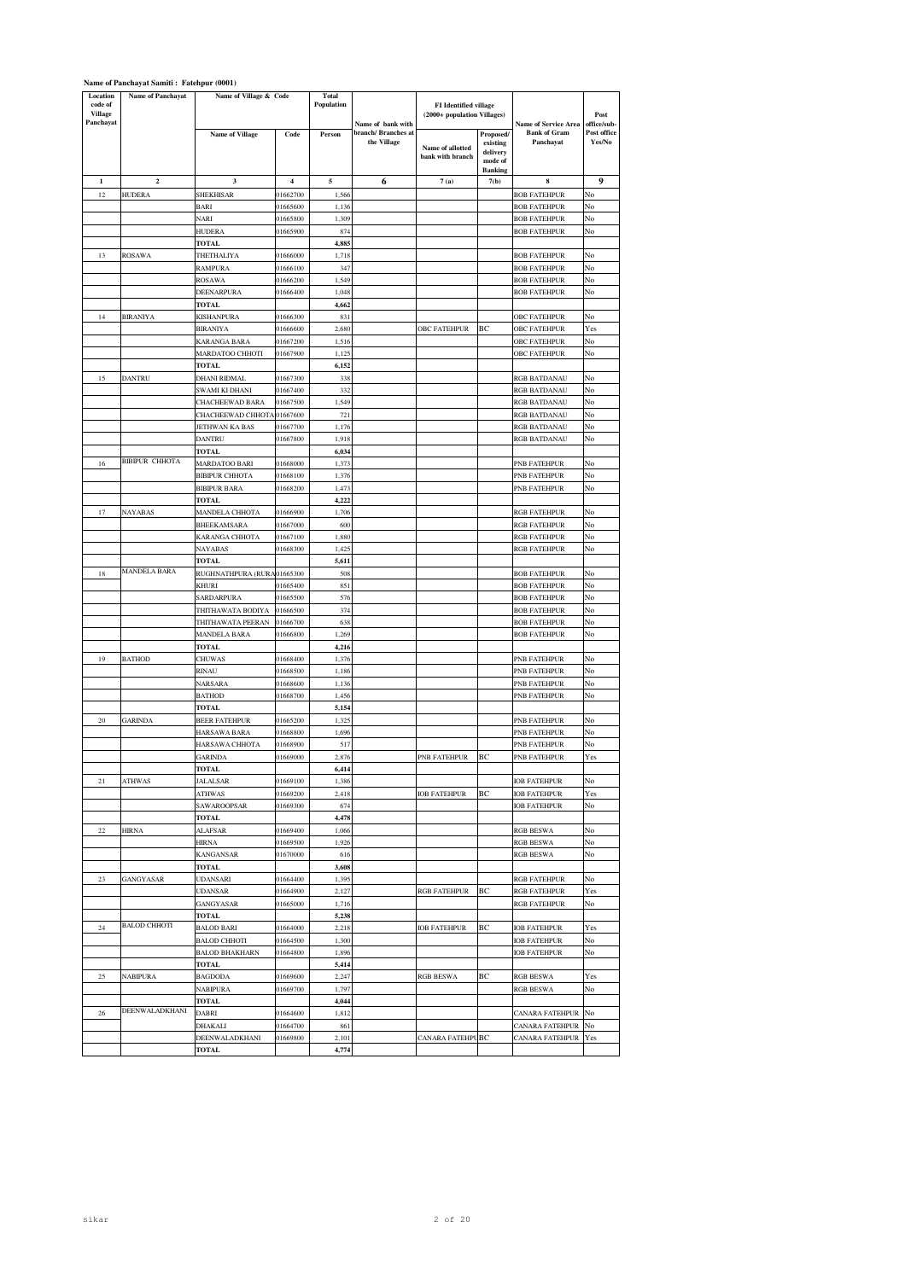| Location<br>code of<br>Village<br>Panchayat | <b>Name of Panchayat</b> | Name of Village & Code         |                      | <b>Total</b><br>Population | Name of bank with                  | FI Identified village<br>(2000+ population Villages) |                                                                | <b>Name of Service Area</b>                | Post<br>office/sub-   |
|---------------------------------------------|--------------------------|--------------------------------|----------------------|----------------------------|------------------------------------|------------------------------------------------------|----------------------------------------------------------------|--------------------------------------------|-----------------------|
|                                             |                          | <b>Name of Village</b>         | Code                 | Person                     | branch/ Branches at<br>the Village | Name of allotted<br>bank with branch                 | Proposed/<br>existing<br>delivery<br>mode of<br><b>Banking</b> | <b>Bank of Gram</b><br>Panchayat           | Post office<br>Yes/No |
| 1                                           | $\mathbf 2$              | 3                              | 4                    | 5                          | 6                                  | 7(a)                                                 | 7(b)                                                           | 8                                          | 9                     |
| 12                                          | HUDERA                   | SHEKHISAR                      | 01662700             | 1,566                      |                                    |                                                      |                                                                | <b>BOB FATEHPUR</b>                        | No                    |
|                                             |                          | BARI                           | 01665600             | 1,136                      |                                    |                                                      |                                                                | <b>BOB FATEHPUR</b>                        | No                    |
|                                             |                          | NARI                           | 01665800             | 1,309                      |                                    |                                                      |                                                                | <b>BOB FATEHPUR</b>                        | No                    |
|                                             |                          | HUDERA                         | 01665900             | 874                        |                                    |                                                      |                                                                | <b>BOB FATEHPUR</b>                        | No                    |
|                                             |                          | TOTAL                          |                      | 4,885                      |                                    |                                                      |                                                                |                                            |                       |
| 13                                          | ROSAWA                   | THETHALIYA                     | 01666000             | 1,718                      |                                    |                                                      |                                                                | <b>BOB FATEHPUR</b>                        | No                    |
|                                             |                          | RAMPURA                        | 01666100             | 347                        |                                    |                                                      |                                                                | <b>BOB FATEHPUR</b>                        | No                    |
|                                             |                          | ROSAWA                         | 01666200<br>01666400 | 1,549                      |                                    |                                                      |                                                                | <b>BOB FATEHPUR</b>                        | No                    |
|                                             |                          | DEENARPURA<br>TOTAL            |                      | 1,048<br>4,662             |                                    |                                                      |                                                                | <b>BOB FATEHPUR</b>                        | No                    |
| 14                                          | BIRANIYA                 | KISHANPURA                     | 01666300             | 831                        |                                    |                                                      |                                                                | <b>OBC FATEHPUR</b>                        | No                    |
|                                             |                          | <b>BIRANIYA</b>                | 01666600             | 2,680                      |                                    | OBC FATEHPUR                                         | BC                                                             | OBC FATEHPUR                               | Yes                   |
|                                             |                          | KARANGA BARA                   | 01667200             | 1,516                      |                                    |                                                      |                                                                | OBC FATEHPUR                               | No                    |
|                                             |                          | MARDATOO CHHOTI                | 01667900             | 1,125                      |                                    |                                                      |                                                                | <b>OBC FATEHPUR</b>                        | No                    |
|                                             |                          | TOTAL                          |                      | 6,152                      |                                    |                                                      |                                                                |                                            |                       |
| 15                                          | DANTRU                   | DHANI RIDMAL                   | 01667300             | 338                        |                                    |                                                      |                                                                | RGB BATDANAU                               | No                    |
|                                             |                          | SWAMI KI DHANI                 | 01667400             | 332                        |                                    |                                                      |                                                                | RGB BATDANAU                               | No                    |
|                                             |                          | CHACHEEWAD BARA                | 01667500             | 1,549                      |                                    |                                                      |                                                                | RGB BATDANAU                               | No                    |
|                                             |                          | CHACHEEWAD CHHOTA 01667600     |                      | 721                        |                                    |                                                      |                                                                | RGB BATDANAU                               | No                    |
|                                             |                          | JETHWAN KA BAS                 | 01667700             | 1,176                      |                                    |                                                      |                                                                | RGB BATDANAU                               | No<br>No              |
|                                             |                          | <b>DANTRU</b>                  | 01667800             | 1,918                      |                                    |                                                      |                                                                | RGB BATDANAU                               |                       |
| 16                                          | <b>BIBIPUR CHHOTA</b>    | TOTAL<br><b>MARDATOO BARI</b>  | 01668000             | 6,034<br>1,373             |                                    |                                                      |                                                                | PNB FATEHPUR                               | No                    |
|                                             |                          | <b>BIBIPUR CHHOTA</b>          | 01668100             | 1,376                      |                                    |                                                      |                                                                | PNB FATEHPUR                               | No                    |
|                                             |                          | <b>BIBIPUR BARA</b>            | 01668200             | 1,473                      |                                    |                                                      |                                                                | PNB FATEHPUR                               | No                    |
|                                             |                          | TOTAL                          |                      | 4,222                      |                                    |                                                      |                                                                |                                            |                       |
| 17                                          | NAYABAS                  | MANDELA CHHOTA                 | 01666900             | 1,706                      |                                    |                                                      |                                                                | RGB FATEHPUR                               | No                    |
|                                             |                          | BHEEKAMSARA                    | 01667000             | 600                        |                                    |                                                      |                                                                | RGB FATEHPUR                               | No                    |
|                                             |                          | KARANGA CHHOTA                 | 01667100             | 1,880                      |                                    |                                                      |                                                                | RGB FATEHPUR                               | No                    |
|                                             |                          | NAYABAS                        | 01668300             | 1,425                      |                                    |                                                      |                                                                | RGB FATEHPUR                               | No                    |
|                                             | <b>MANDELA BARA</b>      | <b>TOTAL</b>                   |                      | 5,611                      |                                    |                                                      |                                                                |                                            |                       |
| 18                                          |                          | RUGHNATHPURA (RURA             | 01665300             | 508                        |                                    |                                                      |                                                                | <b>BOB FATEHPUR</b>                        | No<br>No              |
|                                             |                          | KHURI<br>SARDARPURA            | 01665400<br>01665500 | 851<br>576                 |                                    |                                                      |                                                                | <b>BOB FATEHPUR</b><br><b>BOB FATEHPUR</b> | No                    |
|                                             |                          | THITHAWATA BODIYA              | 01666500             | 374                        |                                    |                                                      |                                                                | <b>BOB FATEHPUR</b>                        | No                    |
|                                             |                          | THITHAWATA PEERAN              | 01666700             | 638                        |                                    |                                                      |                                                                | BOB FATEHPUR                               | No                    |
|                                             |                          | MANDELA BARA                   | 01666800             | 1,269                      |                                    |                                                      |                                                                | <b>BOB FATEHPUR</b>                        | No                    |
|                                             |                          | TOTAL                          |                      | 4,216                      |                                    |                                                      |                                                                |                                            |                       |
| 19                                          | BATHOD                   | CHUWAS                         | 01668400             | 1,376                      |                                    |                                                      |                                                                | PNB FATEHPUR                               | No                    |
|                                             |                          | RINAU                          | 01668500             | 1,186                      |                                    |                                                      |                                                                | PNB FATEHPUR                               | No                    |
|                                             |                          | NARSARA                        | 01668600             | 1,136                      |                                    |                                                      |                                                                | PNB FATEHPUR                               | No                    |
|                                             |                          | BATHOD<br>TOTAL                | 01668700             | 1,456<br>5,154             |                                    |                                                      |                                                                | PNB FATEHPUR                               | No                    |
| 20                                          | GARINDA                  | <b>BEER FATEHPUR</b>           | 01665200             | 1,325                      |                                    |                                                      |                                                                | PNB FATEHPUR                               | No                    |
|                                             |                          | HARSAWA BARA                   | 01668800             | 1,696                      |                                    |                                                      |                                                                | PNB FATEHPUR                               | No                    |
|                                             |                          | HARSAWA CHHOTA                 | 01668900             | 517                        |                                    |                                                      |                                                                | PNB FATEHPUR                               | No                    |
|                                             |                          | GARINDA                        | 01669000             | 2,876                      |                                    | PNB FATEHPUR                                         | ВC                                                             | PNB FATEHPUR                               | Yes                   |
|                                             |                          | TOTAL                          |                      | 6,414                      |                                    |                                                      |                                                                |                                            |                       |
| 21                                          | ATHWAS                   | JALALSAR                       | 01669100             | 1,386                      |                                    |                                                      |                                                                | IOB FATEHPUR                               | No                    |
|                                             |                          | <b>ATHWAS</b>                  | 01669200             | 2,418                      |                                    | <b>IOB FATEHPUR</b>                                  | ВC                                                             | IOB FATEHPUR                               | Yes                   |
|                                             |                          | SAWAROOPSAR                    | 01669300             | 674                        |                                    |                                                      |                                                                | <b>IOB FATEHPUR</b>                        | No                    |
|                                             |                          | TOTAL                          |                      | 4,478                      |                                    |                                                      |                                                                |                                            |                       |
| 22                                          | HIRNA                    | ALAFSAR<br>HIRNA               | 01669400<br>01669500 | 1,066<br>1,926             |                                    |                                                      |                                                                | <b>RGB BESWA</b><br><b>RGB BESWA</b>       | No<br>No              |
|                                             |                          | KANGANSAR                      | 01670000             | 616                        |                                    |                                                      |                                                                | <b>RGB BESWA</b>                           | No                    |
|                                             |                          | <b>TOTAL</b>                   |                      | 3,608                      |                                    |                                                      |                                                                |                                            |                       |
| 23                                          | GANGYASAR                | UDANSARI                       | 01664400             | 1,395                      |                                    |                                                      |                                                                | RGB FATEHPUR                               | No                    |
|                                             |                          | UDANSAR                        | 01664900             | 2,127                      |                                    | RGB FATEHPUR                                         | ВC                                                             | <b>RGB FATEHPUR</b>                        | Yes                   |
|                                             |                          | GANGYASAR                      | 01665000             | 1,716                      |                                    |                                                      |                                                                | RGB FATEHPUR                               | No                    |
|                                             |                          | TOTAL                          |                      | 5,238                      |                                    |                                                      |                                                                |                                            |                       |
| 24                                          | <b>BALOD CHHOTI</b>      | <b>BALOD BARI</b>              | 01664000             | 2,218                      |                                    | <b>IOB FATEHPUR</b>                                  | ВC                                                             | IOB FATEHPUR                               | Yes                   |
|                                             |                          | <b>BALOD CHHOTI</b>            | 01664500             | 1,300                      |                                    |                                                      |                                                                | IOB FATEHPUR                               | No                    |
|                                             |                          | <b>BALOD BHAKHARN</b><br>TOTAL | 01664800             | 1,896<br>5,414             |                                    |                                                      |                                                                | IOB FATEHPUR                               | No                    |
| $25\,$                                      | NABIPURA                 | <b>BAGDODA</b>                 | 01669600             | 2,247                      |                                    | RGB BESWA                                            | ВC                                                             | RGB BESWA                                  | Yes                   |
|                                             |                          | NABIPURA                       | 01669700             | 1,797                      |                                    |                                                      |                                                                | <b>RGB BESWA</b>                           | No                    |
|                                             |                          | <b>TOTAL</b>                   |                      | 4,044                      |                                    |                                                      |                                                                |                                            |                       |
| $26\,$                                      | DEENWALADKHANI           | <b>DABRI</b>                   | 01664600             | 1,812                      |                                    |                                                      |                                                                | CANARA FATEHPUR                            | No                    |
|                                             |                          | DHAKALI                        | 01664700             | 861                        |                                    |                                                      |                                                                | CANARA FATEHPUR                            | No                    |
|                                             |                          | DEENWALADKHANI                 | 01669800             | 2,101                      |                                    | CANARA FATEHPU BC                                    |                                                                | CANARA FATEHPUR                            | Yes                   |
|                                             |                          | <b>TOTAL</b>                   |                      | 4,774                      |                                    |                                                      |                                                                |                                            |                       |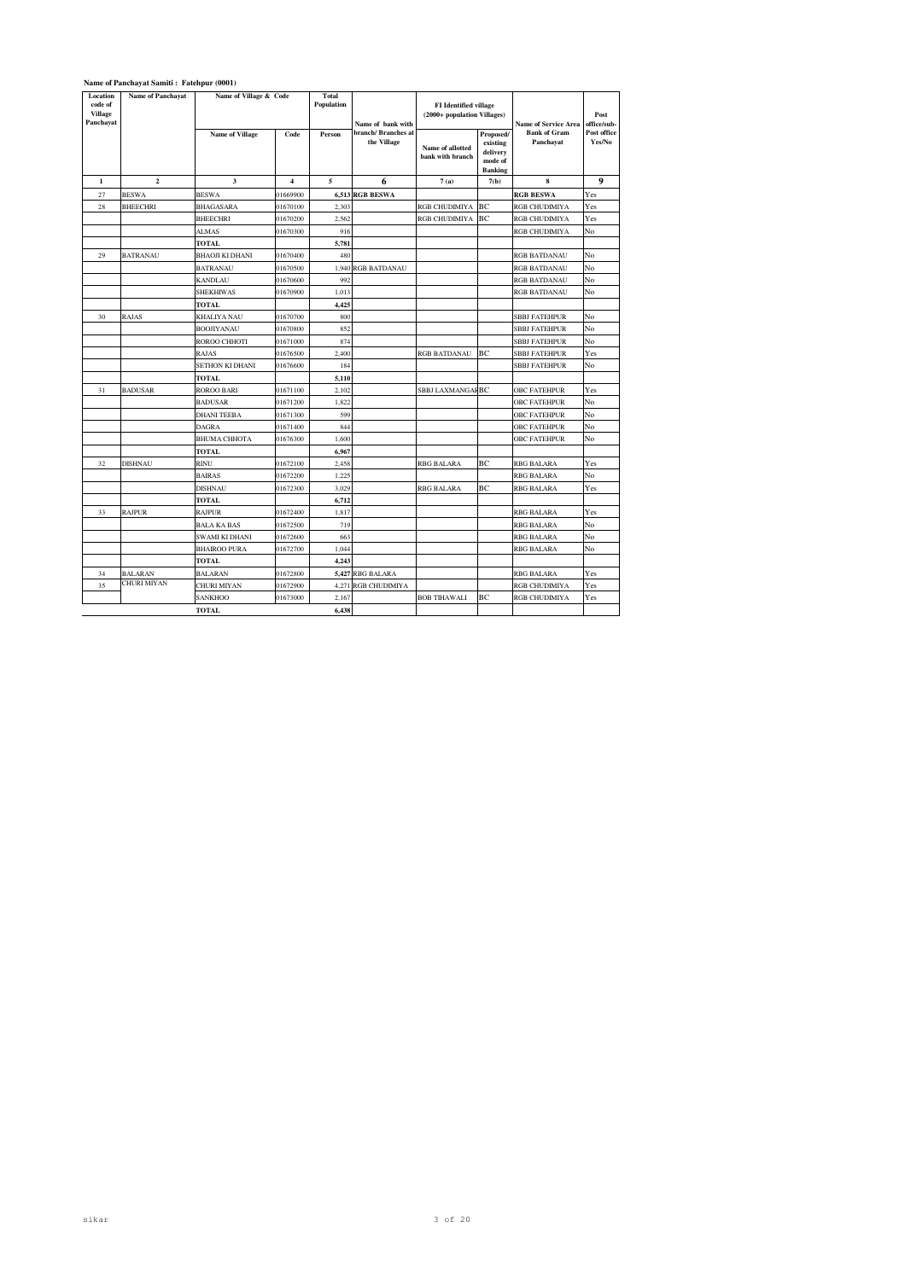|                                             | Name of Panchayat Samiti: Fatehpur (0001) |                        |          |                            |                                    |                                      |                                                                                            |                                  |                       |
|---------------------------------------------|-------------------------------------------|------------------------|----------|----------------------------|------------------------------------|--------------------------------------|--------------------------------------------------------------------------------------------|----------------------------------|-----------------------|
| Location<br>code of<br>Village<br>Panchayat | <b>Name of Panchayat</b>                  | Name of Village & Code |          | <b>Total</b><br>Population | Name of bank with                  |                                      | <b>FI</b> Identified village<br>(2000+ population Villages)<br><b>Name of Service Area</b> |                                  | Post<br>office/sub-   |
|                                             |                                           | <b>Name of Village</b> | Code     | Person                     | branch/ Branches at<br>the Village | Name of allotted<br>bank with branch | Proposed/<br>existing<br>delivery<br>mode of<br><b>Banking</b>                             | <b>Bank of Gram</b><br>Panchayat | Post office<br>Yes/No |
| $\mathbf 1$                                 | $\mathbf 2$                               | 3                      | 4        | 5                          | 6                                  | 7(a)                                 | 7(b)                                                                                       | 8                                | 9                     |
| 27                                          | <b>BESWA</b>                              | <b>BESWA</b>           | 01669900 |                            | <b>6,513 RGB BESWA</b>             |                                      |                                                                                            | <b>RGB BESWA</b>                 | Yes                   |
| 28                                          | BHEECHRI                                  | <b>BHAGASARA</b>       | 01670100 | 2.303                      |                                    | RGB CHUDIMIYA                        | BC                                                                                         | RGB CHUDIMIYA                    | Yes                   |
|                                             |                                           | <b>BHEECHRI</b>        | 01670200 | 2,562                      |                                    | RGB CHUDIMIYA                        | BC                                                                                         | RGB CHUDIMIYA                    | Yes                   |
|                                             |                                           | ALMAS                  | 01670300 | 916                        |                                    |                                      |                                                                                            | RGB CHUDIMIYA                    | No                    |
|                                             |                                           | <b>TOTAL</b>           |          | 5,781                      |                                    |                                      |                                                                                            |                                  |                       |
| 29                                          | BATRANAU                                  | <b>BHAOJI KI DHANI</b> | 01670400 | 480                        |                                    |                                      |                                                                                            | RGB BATDANAU                     | No                    |
|                                             |                                           | <b>BATRANAU</b>        | 01670500 |                            | 1,940 RGB BATDANAU                 |                                      |                                                                                            | RGB BATDANAU                     | No                    |
|                                             |                                           | <b>KANDLAU</b>         | 01670600 | 992                        |                                    |                                      |                                                                                            | RGB BATDANAU                     | No                    |
|                                             |                                           | <b>SHEKHIWAS</b>       | 01670900 | 1,013                      |                                    |                                      |                                                                                            | RGB BATDANAU                     | No                    |
|                                             |                                           | <b>TOTAL</b>           |          | 4,425                      |                                    |                                      |                                                                                            |                                  |                       |
| 30                                          | RAJAS                                     | <b>KHALIYA NAU</b>     | 01670700 | 800                        |                                    |                                      |                                                                                            | <b>SBBJ FATEHPUR</b>             | No                    |
|                                             |                                           | <b>BOOJIYANAU</b>      | 01670800 | 852                        |                                    |                                      |                                                                                            | <b>SBBJ FATEHPUR</b>             | No                    |
|                                             |                                           | ROROO CHHOTI           | 01671000 | 874                        |                                    |                                      |                                                                                            | <b>SBBJ FATEHPUR</b>             | No                    |
|                                             |                                           | <b>RAJAS</b>           | 01676500 | 2,400                      |                                    | <b>RGB BATDANAU</b>                  | BC                                                                                         | <b>SBBJ FATEHPUR</b>             | Yes                   |
|                                             |                                           | SETHON KI DHANI        | 01676600 | 184                        |                                    |                                      |                                                                                            | <b>SBBJ FATEHPUR</b>             | No                    |
|                                             |                                           | TOTAL                  |          | 5.110                      |                                    |                                      |                                                                                            |                                  |                       |
| 31                                          | <b>BADUSAR</b>                            | <b>ROROO BARI</b>      | 01671100 | 2,102                      |                                    | SBBJ LAXMANGAF BC                    |                                                                                            | OBC FATEHPUR                     | Yes                   |
|                                             |                                           | <b>BADUSAR</b>         | 01671200 | 1,822                      |                                    |                                      |                                                                                            | <b>OBC FATEHPUR</b>              | No                    |
|                                             |                                           | <b>DHANI TEEBA</b>     | 01671300 | 599                        |                                    |                                      |                                                                                            | <b>OBC FATEHPUR</b>              | No                    |
|                                             |                                           | <b>DAGRA</b>           | 01671400 | 844                        |                                    |                                      |                                                                                            | <b>OBC FATEHPUR</b>              | No                    |
|                                             |                                           | <b>BHUMA CHHOTA</b>    | 01676300 | 1,600                      |                                    |                                      |                                                                                            | <b>OBC FATEHPUR</b>              | No                    |
|                                             |                                           | <b>TOTAL</b>           |          | 6,967                      |                                    |                                      |                                                                                            |                                  |                       |
| 32                                          | DISHNAU                                   | RINU                   | 01672100 | 2,458                      |                                    | RBG BALARA                           | BC                                                                                         | RBG BALARA                       | Yes                   |
|                                             |                                           | <b>BAIRAS</b>          | 01672200 | 1,225                      |                                    |                                      |                                                                                            | RBG BALARA                       | No                    |
|                                             |                                           | <b>DISHNAU</b>         | 01672300 | 3,029                      |                                    | <b>RBG BALARA</b>                    | BC                                                                                         | <b>RBG BALARA</b>                | Yes                   |
|                                             |                                           | <b>TOTAL</b>           |          | 6,712                      |                                    |                                      |                                                                                            |                                  |                       |
| 33                                          | <b>RAJPUR</b>                             | <b>RAJPUR</b>          | 01672400 | 1,817                      |                                    |                                      |                                                                                            | <b>RBG BALARA</b>                | Yes                   |
|                                             |                                           | <b>BALA KA BAS</b>     | 01672500 | 719                        |                                    |                                      |                                                                                            | RBG BALARA                       | No                    |
|                                             |                                           | SWAMI KI DHANI         | 01672600 | 663                        |                                    |                                      |                                                                                            | RBG BALARA                       | No                    |
|                                             |                                           | <b>BHAIROO PURA</b>    | 01672700 | 1,044                      |                                    |                                      |                                                                                            | RBG BALARA                       | No                    |
|                                             |                                           | <b>TOTAL</b>           |          | 4,243                      |                                    |                                      |                                                                                            |                                  |                       |
| 34                                          | BALARAN                                   | BALARAN                | 01672800 |                            | 5,427 RBG BALARA                   |                                      |                                                                                            | RBG BALARA                       | Yes                   |
| 35                                          | CHURI MIYAN                               | CHURI MIYAN            | 01672900 | 4,271                      | <b>RGB CHUDIMIYA</b>               |                                      |                                                                                            | RGB CHUDIMIYA                    | Yes                   |
|                                             |                                           | SANKHOO                | 01673000 | 2.167                      |                                    | <b>BOB TIHAWALI</b>                  | BС                                                                                         | RGB CHUDIMIYA                    | Yes                   |
|                                             |                                           | <b>TOTAL</b>           |          | 6.438                      |                                    |                                      |                                                                                            |                                  |                       |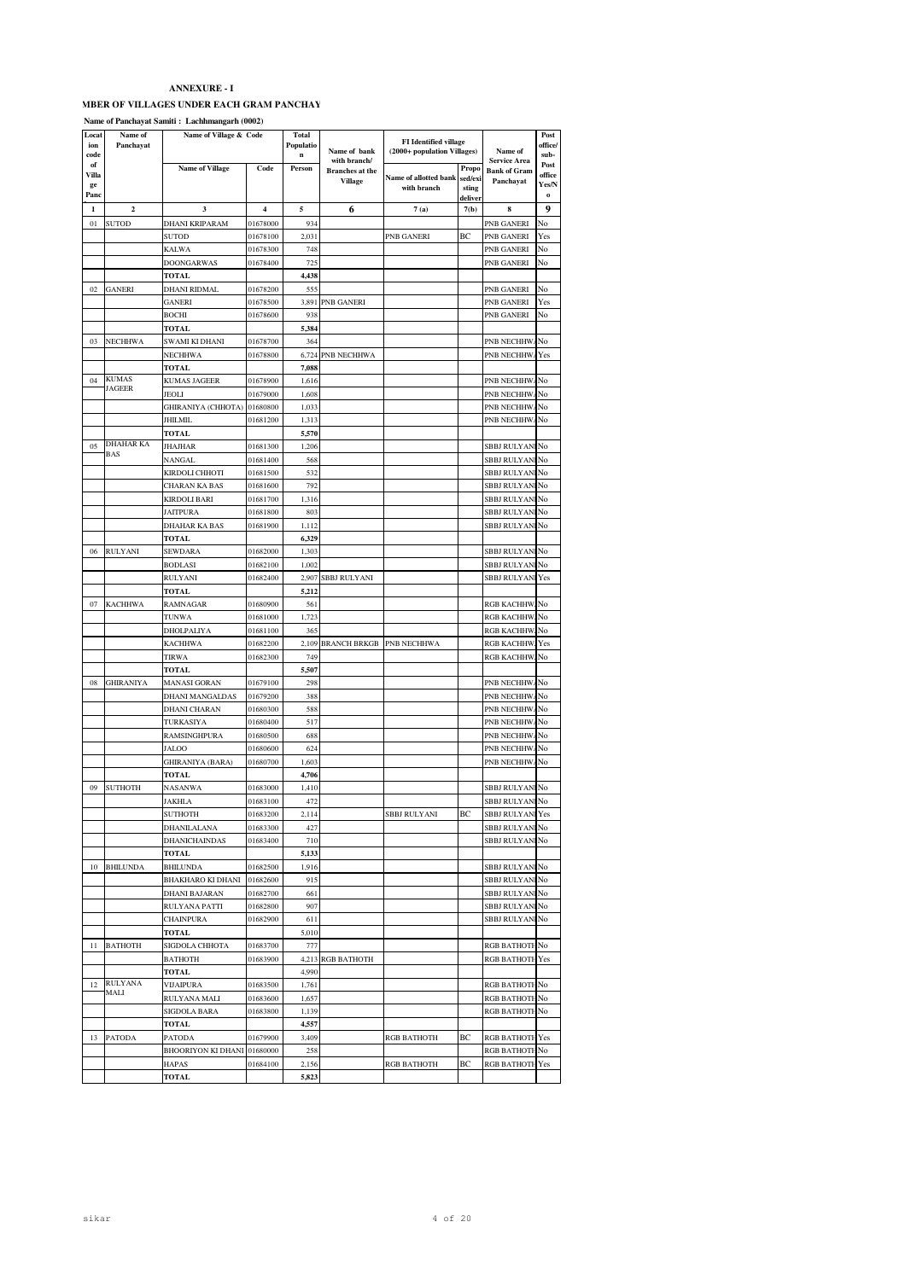# MBER OF VILLAGES UNDER EACH GRAM PANCHAY

**Name of Panchayat Samiti : Lachhmangarh (0002)**

| Locat<br>ion<br>code | Name of<br>Panchayat    | Name of Village & Code      |                         | Total<br>Populatio<br>n | Name of bank                           | <b>FI</b> Identified village<br>(2000+ population Villages) |                  | Name of                             | Post<br>office/<br>sub- |
|----------------------|-------------------------|-----------------------------|-------------------------|-------------------------|----------------------------------------|-------------------------------------------------------------|------------------|-------------------------------------|-------------------------|
| of                   |                         | <b>Name of Village</b>      | Code                    | Person                  | with branch/<br><b>Branches</b> at the |                                                             | Propo            | Service Area<br><b>Bank of Gram</b> | Post                    |
| Villa<br>ge          |                         |                             |                         |                         | <b>Village</b>                         | Name of allotted bank                                       | sed/exi          | Panchayat                           | office<br>Yes/N         |
| Pano                 |                         |                             |                         |                         |                                        | with branch                                                 | sting<br>deliver |                                     | $\bf{o}$                |
| 1                    | $\overline{\mathbf{2}}$ | 3                           | $\overline{\mathbf{4}}$ | 5                       | 6                                      | 7(a)                                                        | 7(b)             | 8                                   | 9                       |
| 01                   | SUTOD                   | <b>DHANI KRIPARAM</b>       | 01678000                | 934                     |                                        |                                                             |                  | PNB GANERI                          | No                      |
|                      |                         | SUTOD                       | 01678100                | 2,031                   |                                        | PNB GANERI                                                  | ВC               | PNB GANERI                          | Yes                     |
|                      |                         | KALWA                       | 01678300                | 748                     |                                        |                                                             |                  | PNB GANERI                          | No                      |
|                      |                         | DOONGARWAS                  | 01678400                | 725                     |                                        |                                                             |                  | PNB GANERI                          | No                      |
|                      |                         | TOTAL                       |                         | 4,438                   |                                        |                                                             |                  |                                     |                         |
| 02                   | GANERI                  | <b>DHANI RIDMAL</b>         | 01678200                | 555                     |                                        |                                                             |                  | PNB GANERI                          | No                      |
|                      |                         | <b>GANERI</b>               | 01678500                | 3,891                   | PNB GANERI                             |                                                             |                  | PNB GANERI                          | Yes                     |
|                      |                         | <b>BOCHI</b><br>TOTAL       | 01678600                | 938<br>5,384            |                                        |                                                             |                  | PNB GANERI                          | No                      |
| 03                   | NECHHWA                 | SWAMI KI DHANI              | 01678700                | 364                     |                                        |                                                             |                  | PNB NECHHW.                         | Nο                      |
|                      |                         | NECHHWA                     | 01678800                | 6,724                   | PNB NECHHWA                            |                                                             |                  | PNB NECHHW.                         | Yes                     |
|                      |                         | TOTAL                       |                         | 7,088                   |                                        |                                                             |                  |                                     |                         |
| 04                   | <b>KUMAS</b>            | KUMAS JAGEER                | 01678900                | 1,616                   |                                        |                                                             |                  | PNB NECHHW.                         | No                      |
|                      | <b>JAGEER</b>           | JEOLI                       | 01679000                | 1,608                   |                                        |                                                             |                  | PNB NECHHW.                         | No                      |
|                      |                         | GHIRANIYA (CHHOTA)          | 01680800                | 1,033                   |                                        |                                                             |                  | PNB NECHHW.                         | No                      |
|                      |                         | <b>JHILMIL</b>              | 01681200                | 1,313                   |                                        |                                                             |                  | PNB NECHHW.                         | No                      |
|                      |                         | TOTAL                       |                         | 5,570                   |                                        |                                                             |                  |                                     |                         |
| 05                   | <b>DHAHAR KA</b><br>BAS | JHAJHAR                     | 01681300                | 1,206                   |                                        |                                                             |                  | SBBJ RULYAN                         | No                      |
|                      |                         | NANGAL                      | 01681400                | 568                     |                                        |                                                             |                  | SBBJ RULYAN                         | No                      |
|                      |                         | KIRDOLI CHHOTI              | 01681500                | 532                     |                                        |                                                             |                  | <b>SBBJ RULYAN</b>                  | No                      |
|                      |                         | CHARAN KA BAS               | 01681600                | 792                     |                                        |                                                             |                  | SBBJ RULYAN                         | No                      |
|                      |                         | KIRDOLI BARI                | 01681700                | 1,316                   |                                        |                                                             |                  | SBBJ RULYANI                        | No                      |
|                      |                         | <b>JAITPURA</b>             | 01681800                | 803                     |                                        |                                                             |                  | SBBJ RULYAN                         | No                      |
|                      |                         | DHAHAR KA BAS<br>TOTAL      | 01681900                | 1,112<br>6,329          |                                        |                                                             |                  | <b>SBBJ RULYAN</b>                  | No                      |
| 06                   | RULYANI                 | SEWDARA                     | 01682000                | 1,303                   |                                        |                                                             |                  | SBBJ RULYAN                         | No                      |
|                      |                         | <b>BODLASI</b>              | 01682100                | 1,002                   |                                        |                                                             |                  | SBBJ RULYAN                         | No                      |
|                      |                         | RULYANI                     | 01682400                | 2,907                   | SBBJ RULYANI                           |                                                             |                  | <b>SBBJ RULYAN</b>                  | Yes                     |
|                      |                         | <b>TOTAL</b>                |                         | 5,212                   |                                        |                                                             |                  |                                     |                         |
| 07                   | <b>KACHHWA</b>          | RAMNAGAR                    | 01680900                | 561                     |                                        |                                                             |                  | <b>RGB KACHHW</b>                   | No                      |
|                      |                         | <b>TUNWA</b>                | 01681000                | 1,723                   |                                        |                                                             |                  | <b>RGB KACHHW</b>                   | No                      |
|                      |                         | DHOLPALIYA                  | 01681100                | 365                     |                                        |                                                             |                  | RGB KACHHW                          | No                      |
|                      |                         | KACHHWA                     | 01682200                | 2,109                   | <b>BRANCH BRKGB</b>                    | PNB NECHHWA                                                 |                  | <b>RGB KACHHW</b>                   | Yes                     |
|                      |                         | TIRWA                       | 01682300                | 749                     |                                        |                                                             |                  | <b>RGB KACHHW</b>                   | No                      |
|                      |                         | TOTAL                       |                         | 5,507                   |                                        |                                                             |                  |                                     |                         |
| 08                   | GHIRANIYA               | MANASI GORAN                | 01679100                | 298                     |                                        |                                                             |                  | PNB NECHHW.                         | No                      |
|                      |                         | DHANI MANGALDAS             | 01679200                | 388                     |                                        |                                                             |                  | PNB NECHHW.                         | No                      |
|                      |                         | DHANI CHARAN                | 01680300                | 588                     |                                        |                                                             |                  | PNB NECHHW.                         | No                      |
|                      |                         | TURKASIYA<br>RAMSINGHPURA   | 01680400<br>01680500    | 517<br>688              |                                        |                                                             |                  | PNB NECHHW.<br>PNB NECHHW.          | No<br>No                |
|                      |                         | JALOO                       | 01680600                | 624                     |                                        |                                                             |                  | PNB NECHHW                          | No                      |
|                      |                         | <b>GHIRANIYA</b> (BARA)     | 01680700                | 1,603                   |                                        |                                                             |                  | PNB NECHHW.                         | No                      |
|                      |                         | <b>TOTAL</b>                |                         | 4,706                   |                                        |                                                             |                  |                                     |                         |
| 09                   | SUTHOTH                 | NASANWA                     | 01683000                | 1,410                   |                                        |                                                             |                  | SBBJ RULYAN                         | No                      |
|                      |                         | <b>JAKHLA</b>               | 01683100                | 472                     |                                        |                                                             |                  | <b>SBBJ RULYAN</b>                  | No                      |
|                      |                         | SUTHOTH                     | 01683200                | 2,114                   |                                        | SBBJ RULYANI                                                | BС               | <b>SBBJ RULYANI Yes</b>             |                         |
|                      |                         | DHANILALANA                 | 01683300                | 427                     |                                        |                                                             |                  | SBBJ RULYANINO                      |                         |
|                      |                         | DHANICHAINDAS               | 01683400                | 710                     |                                        |                                                             |                  | SBBJ RULYANINo                      |                         |
|                      |                         | TOTAL                       |                         | 5,133                   |                                        |                                                             |                  |                                     |                         |
| 10                   | <b>BHILUNDA</b>         | BHILUNDA                    | 01682500                | 1,916                   |                                        |                                                             |                  | <b>SBBJ RULYANI</b>                 | No                      |
|                      |                         | BHAKHARO KI DHANI           | 01682600                | 915                     |                                        |                                                             |                  | SBBJ RULYANINO                      |                         |
|                      |                         | DHANI BAJARAN               | 01682700                | 661                     |                                        |                                                             |                  | SBBJ RULYANINo                      |                         |
|                      |                         | RULYANA PATTI               | 01682800                | 907                     |                                        |                                                             |                  | SBBJ RULYANINo<br>SBBJ RULYANINO    |                         |
|                      |                         | <b>CHAINPURA</b><br>TOTAL   | 01682900                | 611<br>5,010            |                                        |                                                             |                  |                                     |                         |
| 11                   | <b>BATHOTH</b>          | SIGDOLA CHHOTA              | 01683700                | 777                     |                                        |                                                             |                  | <b>RGB BATHOTH</b>                  | No                      |
|                      |                         | BATHOTH                     | 01683900                |                         | 4,213 RGB BATHOTH                      |                                                             |                  | <b>RGB BATHOTH Yes</b>              |                         |
|                      |                         | TOTAL                       |                         | 4,990                   |                                        |                                                             |                  |                                     |                         |
| 12                   | <b>RULYANA</b>          | VIJAIPURA                   | 01683500                | 1,761                   |                                        |                                                             |                  | RGB BATHOTH No                      |                         |
|                      | MALI                    | RULYANA MALI                | 01683600                | 1,657                   |                                        |                                                             |                  | RGB BATHOTH No                      |                         |
|                      |                         | SIGDOLA BARA                | 01683800                | 1,139                   |                                        |                                                             |                  | RGB BATHOTH No                      |                         |
|                      |                         | TOTAL                       |                         | 4,557                   |                                        |                                                             |                  |                                     |                         |
| 13                   | <b>PATODA</b>           | <b>PATODA</b>               | 01679900                | 3,409                   |                                        | <b>RGB BATHOTH</b>                                          | BС               | <b>RGB BATHOTH Yes</b>              |                         |
|                      |                         | BHOORIYON KI DHANI 01680000 |                         | 258                     |                                        |                                                             |                  | RGB BATHOTH No                      |                         |
|                      |                         | HAPAS                       | 01684100                | 2,156                   |                                        | RGB BATHOTH                                                 | ВC               | <b>RGB BATHOTH Yes</b>              |                         |
|                      |                         | TOTAL                       |                         | 5,823                   |                                        |                                                             |                  |                                     |                         |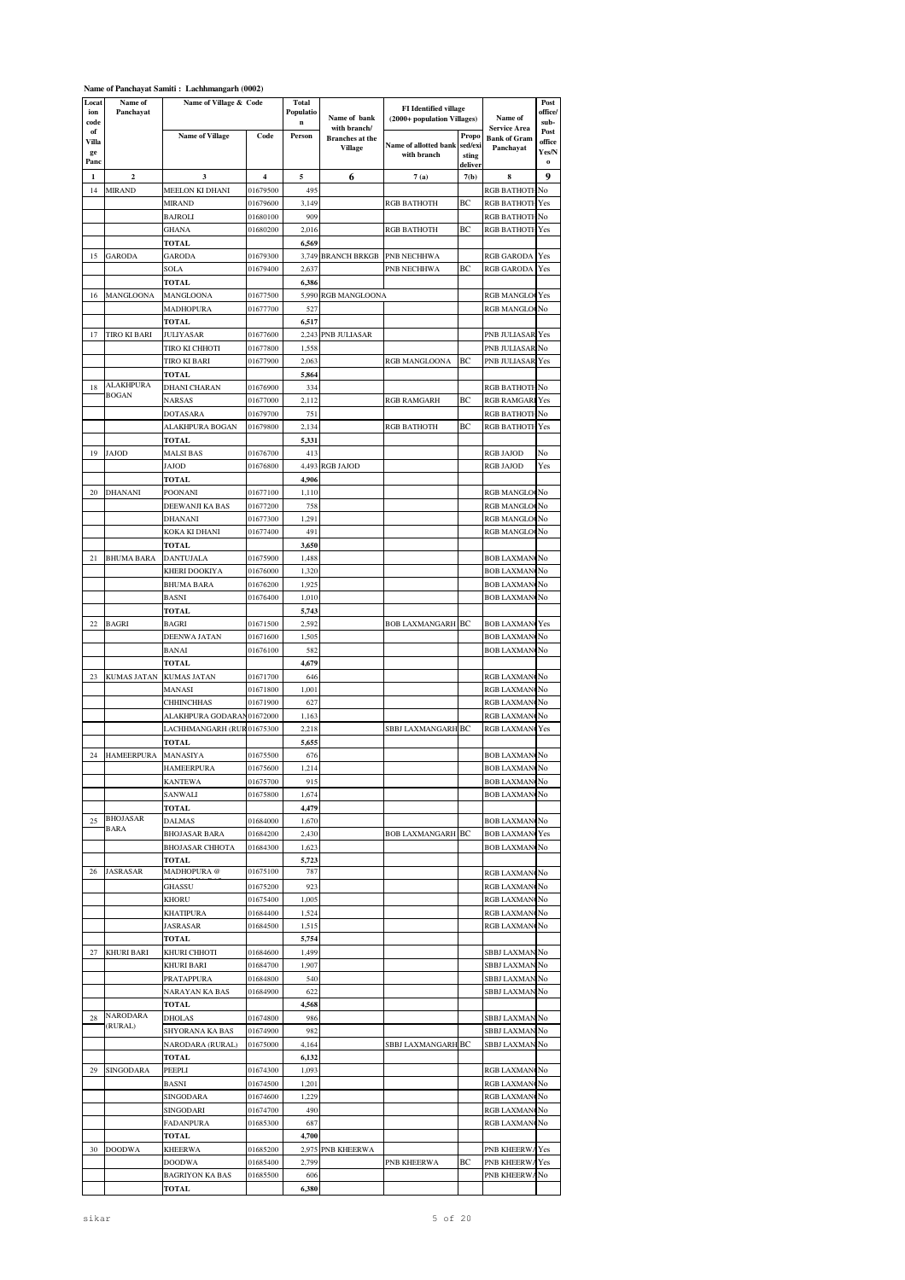## **Name of Panchayat Samiti : Lachhmangarh (0002)**

| Locat<br>ion<br>code | Name of<br>Panchayat      | Name of Village & Code                 |                      | <b>Total</b><br>Populatio<br>$\mathbf n$ | Name of bank                           | <b>FI</b> Identified village<br>(2000+ population Villages) |                  | Name of                                    | Post<br>office/<br>sub- |
|----------------------|---------------------------|----------------------------------------|----------------------|------------------------------------------|----------------------------------------|-------------------------------------------------------------|------------------|--------------------------------------------|-------------------------|
| of<br>Villa          |                           | <b>Name of Village</b>                 | Code                 | Person                                   | with branch/<br><b>Branches</b> at the |                                                             | Propo            | <b>Service Area</b><br><b>Bank of Gram</b> | Post<br>office          |
| ge                   |                           |                                        |                      |                                          | <b>Village</b>                         | Name of allotted bank<br>with branch                        | sed/exi<br>sting | Panchayat                                  | Yes/N                   |
| Panc                 |                           |                                        |                      |                                          |                                        |                                                             | deliver          |                                            | o                       |
| 1                    | $\overline{\mathbf{c}}$   | 3                                      | 4                    | 5                                        | 6                                      | 7(a)                                                        | 7(b)             | 8                                          | 9                       |
| 14                   | <b>MIRAND</b>             | MEELON KI DHANI                        | 01679500             | 495                                      |                                        |                                                             |                  | <b>RGB BATHOTH</b>                         | No                      |
|                      |                           | MIRAND                                 | 01679600             | 3,149                                    |                                        | <b>RGB BATHOTH</b>                                          | BС               | <b>RGB BATHOTI</b>                         | Yes                     |
|                      |                           | <b>BAJROLI</b>                         | 01680100             | 909                                      |                                        |                                                             | ВC               | <b>RGB BATHOTI</b>                         | No                      |
|                      |                           | GHANA<br>TOTAL                         | 01680200             | 2,016<br>6,569                           |                                        | RGB BATHOTH                                                 |                  | <b>RGB BATHOTI</b>                         | Yes                     |
| 15                   | GARODA                    | <b>GARODA</b>                          | 01679300             | 3,749                                    | <b>BRANCH BRKGB</b>                    | PNB NECHHWA                                                 |                  | <b>RGB GARODA</b>                          | Yes                     |
|                      |                           | SOLA                                   | 01679400             | 2,637                                    |                                        | PNB NECHHWA                                                 | BС               | <b>RGB GARODA</b>                          | Yes                     |
|                      |                           | <b>TOTAL</b>                           |                      | 6,386                                    |                                        |                                                             |                  |                                            |                         |
| 16                   | MANGLOONA                 | MANGLOONA                              | 01677500             | 5,990                                    | RGB MANGLOONA                          |                                                             |                  | <b>RGB MANGLOO</b>                         | Yes                     |
|                      |                           | <b>MADHOPURA</b>                       | 01677700             | 527                                      |                                        |                                                             |                  | <b>RGB MANGLO</b>                          | No                      |
|                      |                           | TOTAL                                  |                      | 6,517                                    |                                        |                                                             |                  |                                            |                         |
| 17                   | TIRO KI BARI              | JULIYASAR                              | 01677600             |                                          | 2,243 PNB JULIASAR                     |                                                             |                  | PNB JULIASAR                               | Yes                     |
|                      |                           | TIRO KI CHHOTI                         | 01677800             | 1,558                                    |                                        |                                                             |                  | PNB JULIASAR                               | No                      |
|                      |                           | TIRO KI BARI                           | 01677900             | 2,063                                    |                                        | RGB MANGLOONA                                               | ВC               | PNB JULIASAR                               | Yes                     |
|                      |                           | TOTAL                                  |                      | 5,864                                    |                                        |                                                             |                  |                                            |                         |
| 18                   | ALAKHPURA<br><b>BOGAN</b> | DHANI CHARAN                           | 01676900             | 334                                      |                                        |                                                             |                  | <b>RGB BATHOTH</b>                         | No                      |
|                      |                           | <b>NARSAS</b>                          | 01677000             | 2,112                                    |                                        | <b>RGB RAMGARH</b>                                          | ВC               | <b>RGB RAMGARI</b>                         | Yes                     |
|                      |                           | <b>DOTASARA</b>                        | 01679700             | 751                                      |                                        |                                                             |                  | <b>RGB BATHOTI</b>                         | No                      |
|                      |                           | ALAKHPURA BOGAN                        | 01679800             | 2,134                                    |                                        | <b>RGB BATHOTH</b>                                          | ВC               | <b>RGB BATHOTI</b>                         | Yes                     |
|                      |                           | TOTAL                                  |                      | 5,331                                    |                                        |                                                             |                  |                                            |                         |
| 19                   | JAJOD                     | MALSI BAS<br>JAJOD                     | 01676700             | 413<br>4,493                             |                                        |                                                             |                  | RGB JAJOD                                  | No<br>Yes               |
|                      |                           | TOTAL                                  | 01676800             | 4,906                                    | <b>RGB JAJOD</b>                       |                                                             |                  | <b>RGB JAJOD</b>                           |                         |
| 20                   | DHANANI                   | POONANI                                | 01677100             | 1,110                                    |                                        |                                                             |                  | RGB MANGLOCNo                              |                         |
|                      |                           | DEEWANJI KA BAS                        | 01677200             | 758                                      |                                        |                                                             |                  | <b>RGB MANGLO</b>                          | No                      |
|                      |                           | DHANANI                                | 01677300             | 1,291                                    |                                        |                                                             |                  | <b>RGB MANGLO</b>                          | No                      |
|                      |                           | KOKA KI DHANI                          | 01677400             | 491                                      |                                        |                                                             |                  | <b>RGB MANGLO</b>                          | No                      |
|                      |                           | TOTAL                                  |                      | 3,650                                    |                                        |                                                             |                  |                                            |                         |
| 21                   | BHUMA BARA                | DANTUJALA                              | 01675900             | 1,488                                    |                                        |                                                             |                  | <b>BOB LAXMAN</b>                          | No                      |
|                      |                           | KHERI DOOKIYA                          | 01676000             | 1,320                                    |                                        |                                                             |                  | <b>BOB LAXMAN</b>                          | No                      |
|                      |                           | <b>BHUMA BARA</b>                      | 01676200             | 1,925                                    |                                        |                                                             |                  | <b>BOB LAXMAN</b>                          | No                      |
|                      |                           | BASNI                                  | 01676400             | 1,010                                    |                                        |                                                             |                  | <b>BOB LAXMAN</b>                          | No                      |
|                      |                           | TOTAL                                  |                      | 5,743                                    |                                        |                                                             |                  |                                            |                         |
| 22                   | BAGRI                     | BAGRI                                  | 01671500             | 2,592                                    |                                        | <b>BOB LAXMANGARH</b>                                       | BС               | <b>BOB LAXMAN</b>                          | Yes                     |
|                      |                           | DEENWA JATAN                           | 01671600             | 1,505                                    |                                        |                                                             |                  | <b>BOB LAXMAN</b>                          | No                      |
|                      |                           | BANAI                                  | 01676100             | 582                                      |                                        |                                                             |                  | <b>BOB LAXMAN</b>                          | No                      |
|                      |                           | TOTAL                                  |                      | 4,679                                    |                                        |                                                             |                  |                                            |                         |
| 23                   | KUMAS JATAN               | KUMAS JATAN                            | 01671700             | 646                                      |                                        |                                                             |                  | RGB LAXMAN                                 | No                      |
|                      |                           | MANASI                                 | 01671800             | 1,001<br>627                             |                                        |                                                             |                  | RGB LAXMAN                                 | No<br>No                |
|                      |                           | <b>CHHINCHHAS</b><br>ALAKHPURA GODARAN | 01671900<br>01672000 | 1,163                                    |                                        |                                                             |                  | RGB LAXMAN<br>RGB LAXMAN                   | No                      |
|                      |                           | LACHHMANGARH (RUR01675300              |                      | 2,218                                    |                                        | SBBJ LAXMANGARH BC                                          |                  | <b>RGB LAXMAN</b>                          | Yes                     |
|                      |                           | TOTAL                                  |                      | 5,655                                    |                                        |                                                             |                  |                                            |                         |
| 24                   | HAMEERPURA                | MANASIYA                               | 01675500             | 676                                      |                                        |                                                             |                  | <b>BOB LAXMAN</b>                          | No                      |
|                      |                           | <b>HAMEERPURA</b>                      | 01675600             | 1,214                                    |                                        |                                                             |                  | <b>BOB LAXMAN</b>                          | No                      |
|                      |                           | <b>KANTEWA</b>                         | 01675700             | 915                                      |                                        |                                                             |                  | <b>BOB LAXMAN(No</b>                       |                         |
|                      |                           | SANWALI                                | 01675800             | 1,674                                    |                                        |                                                             |                  | <b>BOB LAXMAN(No</b>                       |                         |
|                      |                           | TOTAL                                  |                      | 4,479                                    |                                        |                                                             |                  |                                            |                         |
| 25                   | <b>BHOJASAR</b>           | <b>DALMAS</b>                          | 01684000             | 1,670                                    |                                        |                                                             |                  | <b>BOB LAXMAN(No</b>                       |                         |
|                      | BARA                      | BHOJASAR BARA                          | 01684200             | 2,430                                    |                                        | <b>BOB LAXMANGARH BC</b>                                    |                  | <b>BOB LAXMANCYes</b>                      |                         |
|                      |                           | <b>BHOJASAR CHHOTA</b>                 | 01684300             | 1,623                                    |                                        |                                                             |                  | <b>BOB LAXMAN(No</b>                       |                         |
|                      |                           | <b>TOTAL</b>                           |                      | 5,723                                    |                                        |                                                             |                  |                                            |                         |
| 26                   | <b>JASRASAR</b>           | MADHOPURA @                            | 01675100             | 787                                      |                                        |                                                             |                  | RGB LAXMAN(No                              |                         |
|                      |                           | GHASSU                                 | 01675200             | 923                                      |                                        |                                                             |                  | RGB LAXMANCNo                              |                         |
|                      |                           | KHORU                                  | 01675400             | 1,005                                    |                                        |                                                             |                  | RGB LAXMAN No                              |                         |
|                      |                           | <b>KHATIPURA</b>                       | 01684400             | 1,524                                    |                                        |                                                             |                  | RGB LAXMAN(No                              |                         |
|                      |                           | <b>JASRASAR</b>                        | 01684500             | 1,515                                    |                                        |                                                             |                  | RGB LAXMAN No                              |                         |
|                      | KHURI BARI                | TOTAL                                  |                      | 5,754                                    |                                        |                                                             |                  |                                            |                         |
| 27                   |                           | KHURI CHHOTI<br>KHURI BARI             | 01684600<br>01684700 | 1,499<br>1,907                           |                                        |                                                             |                  | SBBJ LAXMAN<br><b>SBBJ LAXMAN</b>          | No<br>No                |
|                      |                           | PRATAPPURA                             | 01684800             | 540                                      |                                        |                                                             |                  | <b>SBBJ LAXMAN</b>                         | No                      |
|                      |                           | NARAYAN KA BAS                         | 01684900             | 622                                      |                                        |                                                             |                  | SBBJ LAXMAN No                             |                         |
|                      |                           | TOTAL                                  |                      | 4,568                                    |                                        |                                                             |                  |                                            |                         |
| 28                   | NARODARA                  | <b>DHOLAS</b>                          | 01674800             | 986                                      |                                        |                                                             |                  | SBBJ LAXMAN No                             |                         |
|                      | (RURAL)                   | SHYORANA KA BAS                        | 01674900             | 982                                      |                                        |                                                             |                  | SBBJ LAXMAN No                             |                         |
|                      |                           | NARODARA (RURAL)                       | 01675000             | 4,164                                    |                                        | SBBJ LAXMANGARH BC                                          |                  | SBBJ LAXMAN No                             |                         |
|                      |                           | TOTAL                                  |                      | 6,132                                    |                                        |                                                             |                  |                                            |                         |
| 29                   | SINGODARA                 | PEEPLI                                 | 01674300             | 1,093                                    |                                        |                                                             |                  | RGB LAXMAN                                 | No                      |
|                      |                           | BASNI                                  | 01674500             | 1,201                                    |                                        |                                                             |                  | RGB LAXMAN                                 | No                      |
|                      |                           | SINGODARA                              | 01674600             | 1,229                                    |                                        |                                                             |                  | RGB LAXMAN                                 | No                      |
|                      |                           | SINGODARI                              | 01674700             | 490                                      |                                        |                                                             |                  | RGB LAXMANCNo                              |                         |
|                      |                           | FADANPURA                              | 01685300             | 687                                      |                                        |                                                             |                  | RGB LAXMAN No                              |                         |
|                      |                           | TOTAL                                  |                      | 4,700                                    |                                        |                                                             |                  |                                            |                         |
| 30                   | <b>DOODWA</b>             | <b>KHEERWA</b>                         | 01685200             |                                          | 2,975 PNB KHEERWA                      |                                                             |                  | PNB KHEERWAYes                             |                         |
|                      |                           | DOODWA                                 | 01685400             | 2,799                                    |                                        | PNB KHEERWA                                                 | BС               | PNB KHEERWA                                | Yes                     |
|                      |                           | <b>BAGRIYON KA BAS</b>                 | 01685500             | 606                                      |                                        |                                                             |                  | PNB KHEERWA                                | No                      |
|                      |                           | <b>TOTAL</b>                           |                      | 6,380                                    |                                        |                                                             |                  |                                            |                         |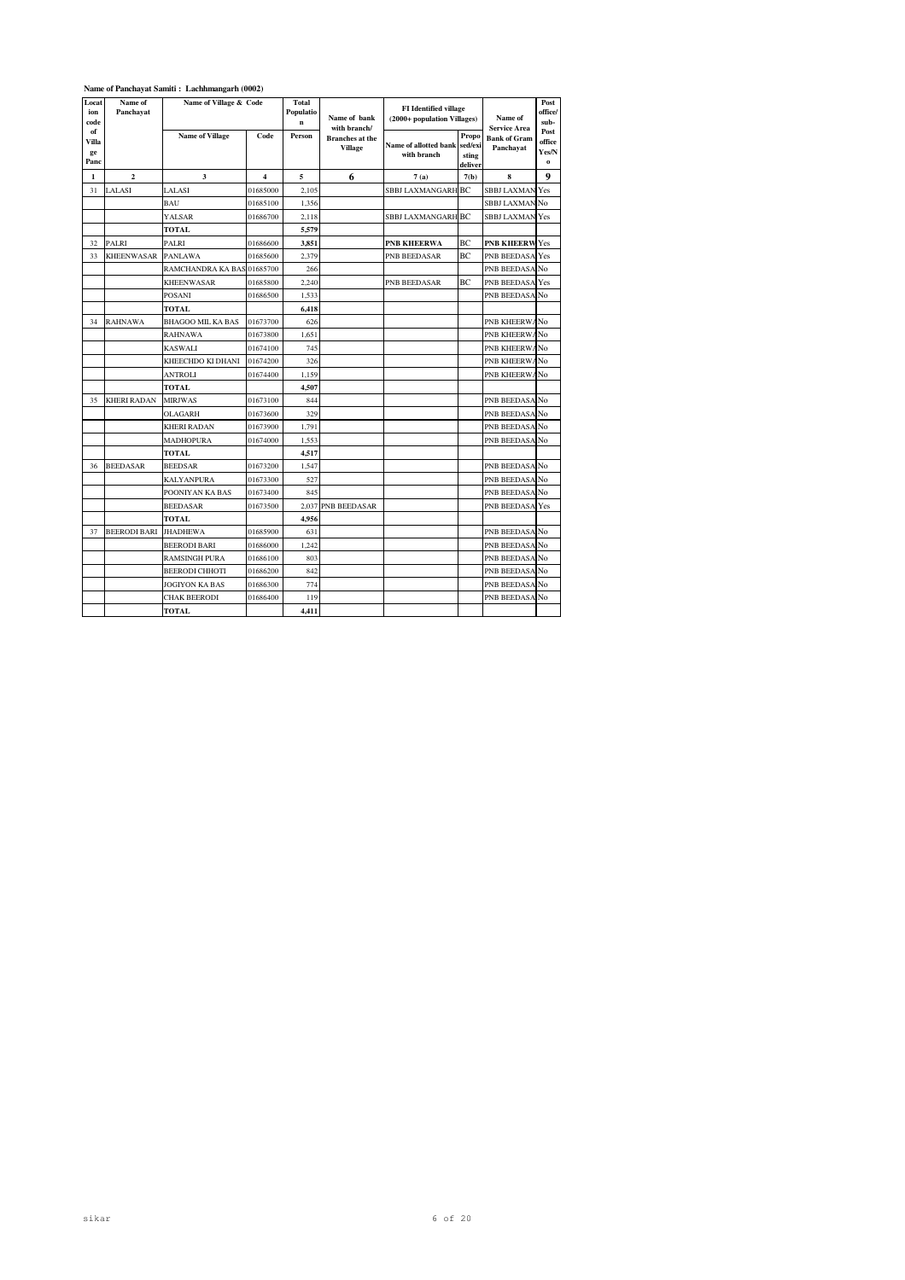#### **Name of Panchayat Samiti : Lachhmangarh (0002)**

| Locat<br>ion<br>code      | Name of<br>Panchayat    | Name of Village & Code     |                         | Total<br>Populatio<br>$\mathbf{n}$ | Name of bank<br>with branch/      | <b>FI</b> Identified village<br>(2000+ population Villages) |                                      | Name of<br><b>Service Area</b>   | Post<br>office/<br>sub-                |
|---------------------------|-------------------------|----------------------------|-------------------------|------------------------------------|-----------------------------------|-------------------------------------------------------------|--------------------------------------|----------------------------------|----------------------------------------|
| of<br>Villa<br>ge<br>Panc |                         | <b>Name of Village</b>     | Code                    | Person                             | <b>Branches</b> at the<br>Village | Name of allotted bank<br>with branch                        | Propo<br>sed/exi<br>sting<br>deliver | <b>Bank of Gram</b><br>Panchayat | Post<br>office<br>Yes/N<br>$\mathbf 0$ |
| 1                         | $\overline{\mathbf{c}}$ | 3                          | $\overline{\mathbf{4}}$ | 5                                  | 6                                 | 7(a)                                                        | 7(b)                                 | 8                                | 9                                      |
| 31                        | LALASI                  | LALASI                     | 01685000                | 2,105                              |                                   | <b>SBBJ LAXMANGARH BC</b>                                   |                                      | <b>SBBJ LAXMAN Yes</b>           |                                        |
|                           |                         | <b>BAU</b>                 | 01685100                | 1,356                              |                                   |                                                             |                                      | SBBJ LAXMAN No                   |                                        |
|                           |                         | YALSAR                     | 01686700                | 2,118                              |                                   | <b>SBBJ LAXMANGARH BC</b>                                   |                                      | <b>SBBJ LAXMAN Yes</b>           |                                        |
|                           |                         | <b>TOTAL</b>               |                         | 5,579                              |                                   |                                                             |                                      |                                  |                                        |
| 32                        | PALRI                   | PALRI                      | 01686600                | 3,851                              |                                   | <b>PNB KHEERWA</b>                                          | BС                                   | <b>PNB KHEERWYes</b>             |                                        |
| 33                        | <b>KHEENWASAR</b>       | <b>PANLAWA</b>             | 01685600                | 2,379                              |                                   | PNB BEEDASAR                                                | BС                                   | PNB BEEDASA Yes                  |                                        |
|                           |                         | RAMCHANDRA KA BAS 01685700 |                         | 266                                |                                   |                                                             |                                      | PNB BEEDASA No                   |                                        |
|                           |                         | <b>KHEENWASAR</b>          | 01685800                | 2,240                              |                                   | PNB BEEDASAR                                                | BС                                   | PNB BEEDASA Yes                  |                                        |
|                           |                         | POSANI                     | 01686500                | 1,533                              |                                   |                                                             |                                      | PNB BEEDASA No                   |                                        |
|                           |                         | TOTAL                      |                         | 6,418                              |                                   |                                                             |                                      |                                  |                                        |
| 34                        | RAHNAWA                 | BHAGOO MIL KA BAS          | 01673700                | 626                                |                                   |                                                             |                                      | PNB KHEERWANO                    |                                        |
|                           |                         | RAHNAWA                    | 01673800                | 1,651                              |                                   |                                                             |                                      | PNB KHEERWA                      | No                                     |
|                           |                         | KASWALI                    | 01674100                | 745                                |                                   |                                                             |                                      | PNB KHEERWANO                    |                                        |
|                           |                         | KHEECHDO KI DHANI          | 01674200                | 326                                |                                   |                                                             |                                      | PNB KHEERWANo                    |                                        |
|                           |                         | ANTROLI                    | 01674400                | 1,159                              |                                   |                                                             |                                      | PNB KHEERWA                      | No                                     |
|                           |                         | TOTAL                      |                         | 4,507                              |                                   |                                                             |                                      |                                  |                                        |
| 35                        | <b>KHERI RADAN</b>      | <b>MIRJWAS</b>             | 01673100                | 844                                |                                   |                                                             |                                      | PNB BEEDASA No                   |                                        |
|                           |                         | OLAGARH                    | 01673600                | 329                                |                                   |                                                             |                                      | PNB BEEDASA No                   |                                        |
|                           |                         | <b>KHERI RADAN</b>         | 01673900                | 1,791                              |                                   |                                                             |                                      | PNB BEEDASA No                   |                                        |
|                           |                         | <b>MADHOPURA</b>           | 01674000                | 1,553                              |                                   |                                                             |                                      | PNB BEEDASA No                   |                                        |
|                           |                         | TOTAL                      |                         | 4,517                              |                                   |                                                             |                                      |                                  |                                        |
| 36                        | <b>BEEDASAR</b>         | <b>BEEDSAR</b>             | 01673200                | 1,547                              |                                   |                                                             |                                      | PNB BEEDASA No                   |                                        |
|                           |                         | <b>KALYANPURA</b>          | 01673300                | 527                                |                                   |                                                             |                                      | PNB BEEDASA No                   |                                        |
|                           |                         | POONIYAN KA BAS            | 01673400                | 845                                |                                   |                                                             |                                      | PNB BEEDASA No                   |                                        |
|                           |                         | <b>BEEDASAR</b>            | 01673500                |                                    | 2,037 PNB BEEDASAR                |                                                             |                                      | PNB BEEDASA Yes                  |                                        |
|                           |                         | TOTAL                      |                         | 4,956                              |                                   |                                                             |                                      |                                  |                                        |
| 37                        | <b>BEERODI BARI</b>     | <b>JHADHEWA</b>            | 01685900                | 631                                |                                   |                                                             |                                      | PNB BEEDASA No                   |                                        |
|                           |                         | <b>BEERODI BARI</b>        | 01686000                | 1,242                              |                                   |                                                             |                                      | PNB BEEDASA No                   |                                        |
|                           |                         | RAMSINGH PURA              | 01686100                | 803                                |                                   |                                                             |                                      | PNB BEEDASA No                   |                                        |
|                           |                         | BEERODI CHHOTI             | 01686200                | 842                                |                                   |                                                             |                                      | PNB BEEDASA No                   |                                        |
|                           |                         | JOGIYON KA BAS             | 01686300                | 774                                |                                   |                                                             |                                      | PNB BEEDASA No                   |                                        |
|                           |                         | <b>CHAK BEERODI</b>        | 01686400                | 119                                |                                   |                                                             |                                      | PNB BEEDASA No                   |                                        |
|                           |                         | <b>TOTAL</b>               |                         | 4,411                              |                                   |                                                             |                                      |                                  |                                        |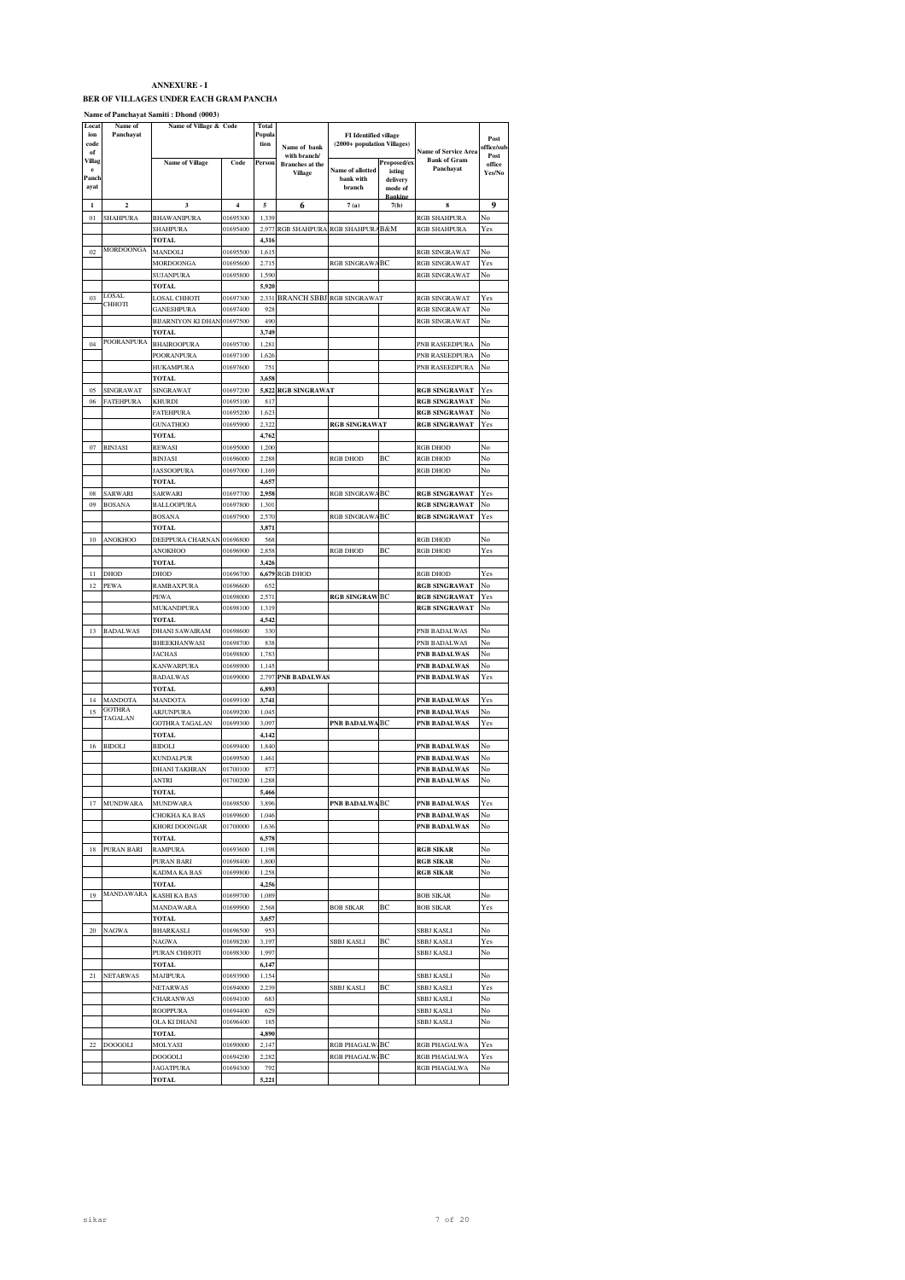#### BER OF VILLAGES UNDER EACH GRAM PANCHA

#### **Name of Panchayat Samiti : Dhond (0003)**

| Locat<br>ion  | Name of<br>Panchayat | Name of Village & Code                    |                      | Total<br>Popula |                                          | <b>FI</b> Identified village |                     |                                                    |                    |
|---------------|----------------------|-------------------------------------------|----------------------|-----------------|------------------------------------------|------------------------------|---------------------|----------------------------------------------------|--------------------|
| code          |                      |                                           |                      | tion            | Name of bank                             | (2000+ population Villages)  |                     |                                                    | Post<br>office/sul |
| of<br>Villag  |                      |                                           | Code                 | Person          | with branch/                             |                              | Proposed/ex         | <b>Name of Service Area</b><br><b>Bank of Gram</b> | Post               |
| e             |                      | <b>Name of Village</b>                    |                      |                 | <b>Branches</b> at the<br><b>Village</b> | Name of allotted             | isting              | Panchayat                                          | office<br>Yes/No   |
| Panch<br>ayat |                      |                                           |                      |                 |                                          | bank with<br>branch          | delivery<br>mode of |                                                    |                    |
|               |                      |                                           |                      |                 |                                          |                              | <b>Bankin</b>       |                                                    |                    |
| $\mathbf{1}$  | $\overline{2}$       | 3                                         | $\overline{4}$       | 5               | 6                                        | 7(a)                         | 7(b)                | 8                                                  | 9                  |
| 01            | <b>SHAHPURA</b>      | BHAWANIPURA                               | 01695300             | 1,339           |                                          |                              |                     | RGB SHAHPURA                                       | No                 |
|               |                      | SHAHPURA<br>TOTAL                         | 01695400             | 2,977<br>4,316  | RGB SHAHPURA                             | <b>RGB SHAHPURA</b>          | B&M                 | RGB SHAHPURA                                       | Yes                |
| 02            | MORDOONGA            | MANDOLI                                   | 01695500             | 1,615           |                                          |                              |                     | RGB SINGRAWAT                                      | No                 |
|               |                      | MORDOONGA                                 | 01695600             | 2,715           |                                          | RGB SINGRAWA                 | ВC                  | <b>RGB SINGRAWAT</b>                               | Yes                |
|               |                      | <b>SUJANPURA</b>                          | 01695800             | 1,590           |                                          |                              |                     | RGB SINGRAWAT                                      | No                 |
|               |                      | <b>TOTAL</b>                              |                      | 5,920           |                                          |                              |                     |                                                    |                    |
| 03            | LOSAL<br>СННОТІ      | LOSAL CHHOTI                              | 01697300             | 2,331           | <b>BRANCH SBBJ</b>                       | <b>RGB SINGRAWAT</b>         |                     | RGB SINGRAWAT                                      | Yes                |
|               |                      | GANESHPURA                                | 01697400             | 928             |                                          |                              |                     | <b>RGB SINGRAWAT</b>                               | No                 |
|               |                      | <b>BIJARNIYON KI DHAN</b><br><b>TOTAL</b> | 01697500             | 490             |                                          |                              |                     | <b>RGB SINGRAWAT</b>                               | No                 |
| 04            | POORANPURA           | <b>BHAIROOPURA</b>                        | 01695700             | 3,749<br>1,281  |                                          |                              |                     | PNB RASEEDPURA                                     | No                 |
|               |                      | POORANPURA                                | 01697100             | 1,626           |                                          |                              |                     | PNB RASEEDPURA                                     | No                 |
|               |                      | <b>HUKAMPURA</b>                          | 01697600             | 751             |                                          |                              |                     | PNB RASEEDPURA                                     | No                 |
|               |                      | TOTAL                                     |                      | 3,658           |                                          |                              |                     |                                                    |                    |
| 05            | SINGRAWAT            | SINGRAWAT                                 | 01697200             | 5,822           | <b>RGB SINGRAWAT</b>                     |                              |                     | <b>RGB SINGRAWAT</b>                               | Yes                |
| 06            | FATEHPURA            | KHURDI                                    | 01695100             | 817             |                                          |                              |                     | <b>RGB SINGRAWAT</b>                               | No                 |
|               |                      | FATEHPURA                                 | 01695200             | 1,623           |                                          |                              |                     | <b>RGB SINGRAWAT</b>                               | No                 |
|               |                      | <b>GUNATHOO</b>                           | 01695900             | 2,322           |                                          | <b>RGB SINGRAWAT</b>         |                     | <b>RGB SINGRAWAT</b>                               | Yes                |
|               |                      | <b>TOTAL</b>                              |                      | 4,762           |                                          |                              |                     |                                                    | Ń٥                 |
| 07            | <b>BINJASI</b>       | REWASI<br><b>BINJASI</b>                  | 01695000<br>01696000 | 1,200<br>2,288  |                                          | <b>RGB DHOD</b>              | BC                  | RGB DHOD<br><b>RGB DHOD</b>                        | No                 |
|               |                      | <b>JASSOOPURA</b>                         | 01697000             | 1,169           |                                          |                              |                     | <b>RGB DHOD</b>                                    | No                 |
|               |                      | TOTAL                                     |                      | 4,657           |                                          |                              |                     |                                                    |                    |
| 08            | SARWARI              | SARWARI                                   | 01697700             | 2,958           |                                          | <b>RGB SINGRAW</b>           | BC                  | <b>RGB SINGRAWAT</b>                               | Yes                |
| 09            | <b>BOSANA</b>        | BALLOOPURA                                | 01697800             | 1,301           |                                          |                              |                     | <b>RGB SINGRAWAT</b>                               | No                 |
|               |                      | <b>BOSANA</b>                             | 01697900             | 2,570           |                                          | <b>RGB SINGRAWA</b>          | BC                  | <b>RGB SINGRAWAT</b>                               | Yes                |
|               |                      | <b>TOTAL</b>                              |                      | 3,871           |                                          |                              |                     |                                                    |                    |
| 10            | ANOKHOO              | DEEPPURA CHARNAN                          | 01696800             | 568             |                                          |                              |                     | RGB DHOD                                           | No                 |
|               |                      | ANOKHOO<br>TOTAL                          | 01696900             | 2,858<br>3,426  |                                          | <b>RGB DHOD</b>              | BC                  | <b>RGB DHOD</b>                                    | Yes                |
| 11            | DHOD                 | DHOD                                      | 01696700             | 6,679           | RGB DHOD                                 |                              |                     | RGB DHOD                                           | Yes                |
| 12            | PEWA                 | RAMBAXPURA                                | 01696600             | 65              |                                          |                              |                     | <b>RGB SINGRAWAT</b>                               | Ñ٥                 |
|               |                      | PEWA                                      | 01698000             | 2,571           |                                          | <b>RGB SINGRAW</b>           | BC                  | <b>RGB SINGRAWAT</b>                               | Yes                |
|               |                      | <b>MUKANDPURA</b>                         | 01698100             | 1,319           |                                          |                              |                     | <b>RGB SINGRAWAT</b>                               | No                 |
|               |                      | TOTAL                                     |                      | 4,542           |                                          |                              |                     |                                                    |                    |
| 13            | <b>BADALWAS</b>      | <b>DHANI SAWAIRAM</b>                     | 01698600             | 330             |                                          |                              |                     | PNB BADALWAS                                       | No                 |
|               |                      | BHEEKHANWASI                              | 01698700             | 838             |                                          |                              |                     | PNB BADALWAS                                       | No                 |
|               |                      | <b>JACHAS</b>                             | 01698800             | 1,783           |                                          |                              |                     | PNB BADALWAS                                       | No                 |
|               |                      | KANWARPURA<br><b>BADALWAS</b>             | 01698900<br>01699000 | 1,145<br>2,797  | <b>PNB BADALWAS</b>                      |                              |                     | PNB BADALWAS<br>PNB BADALWAS                       | No<br>Yes          |
|               |                      | <b>TOTAL</b>                              |                      | 6,893           |                                          |                              |                     |                                                    |                    |
| 14            | <b>MANDOTA</b>       | MANDOTA                                   | 01699100             | 3,741           |                                          |                              |                     | <b>PNB BADALWAS</b>                                | Yes                |
| 15            | <b>GOTHRA</b>        | <b>ARJUNPURA</b>                          | 01699200             | 1,045           |                                          |                              |                     | PNB BADALWAS                                       | No                 |
|               | TAGALAN              | GOTHRA TAGALAN                            | 01699300             | 3,097           |                                          | <b>PNB BADALWA</b>           | BC                  | PNB BADALWAS                                       | Yes                |
|               |                      | TOTAL                                     |                      | 4,142           |                                          |                              |                     |                                                    |                    |
| 16            | <b>BIDOLI</b>        | <b>BIDOLI</b>                             | 01699400             | 1,840           |                                          |                              |                     | PNB BADALWAS                                       | No                 |
|               |                      | <b>KUNDALPUR</b>                          | 01699500             | 1,461           |                                          |                              |                     | PNB BADALWAS                                       | No                 |
|               |                      | <b>DHANI TAKHRAN</b><br>ANTRI             | 01700100<br>01700200 | 877<br>1,288    |                                          |                              |                     | <b>PNB BADALWAS</b><br>PNB BADALWAS                | No<br>No           |
|               |                      | <b>TOTAL</b>                              |                      | 5,466           |                                          |                              |                     |                                                    |                    |
|               |                      | <b>MUNDWARA</b>                           | 1609506              |                 |                                          |                              | RC                  | <b>PNR BADALW</b>                                  |                    |
|               |                      | CHOKHA KA BAS                             | 01699600             | 1,046           |                                          |                              |                     | PNB BADALWAS                                       | No                 |
|               |                      | KHORI DOONGAR                             | 01700000             | 1,636           |                                          |                              |                     | PNB BADALWAS                                       | No                 |
|               |                      | TOTAL                                     |                      | 6,578           |                                          |                              |                     |                                                    |                    |
| 18            | PURAN BARI           | RAMPURA                                   | 01693600             | 1,198           |                                          |                              |                     | <b>RGB SIKAR</b>                                   | No                 |
|               |                      | PURAN BARI                                | 01698400             | 1,800           |                                          |                              |                     | <b>RGB SIKAR</b>                                   | No                 |
|               |                      | <b>KADMA KA BAS</b><br>TOTAL              | 01699800             | 1,258<br>4,256  |                                          |                              |                     | <b>RGB SIKAR</b>                                   | No                 |
| 19            | <b>MANDAWARA</b>     | KASHI KA BAS                              | 01699700             | 1,089           |                                          |                              |                     | <b>BOB SIKAR</b>                                   | No                 |
|               |                      | MANDAWARA                                 | 01699900             | 2,568           |                                          | <b>BOB SIKAR</b>             | BC                  | <b>BOB SIKAR</b>                                   | Yes                |
|               |                      | TOTAL                                     |                      | 3,657           |                                          |                              |                     |                                                    |                    |
| 20            | NAGWA                | <b>BHARKASLI</b>                          | 01696500             | 953             |                                          |                              |                     | SBBJ KASLI                                         | No                 |
|               |                      | NAGWA                                     | 01698200             | 3,197           |                                          | SBBJ KASLI                   | BC                  | SBBJ KASLI                                         | Yes                |
|               |                      | PURAN CHHOTI                              | 01698300             | 1,997           |                                          |                              |                     | SBBJ KASLI                                         | No                 |
|               |                      | TOTAL                                     |                      | 6,147           |                                          |                              |                     |                                                    |                    |
| 21            | <b>NETARWAS</b>      | <b>MAJIPURA</b>                           | 01693900             | 1,154           |                                          |                              |                     | SBBJ KASLI                                         | No                 |
|               |                      | NETARWAS                                  | 01694000             | 2,239           |                                          | SBBJ KASLI                   | BC                  | SBBJ KASLI                                         | Yes                |
|               |                      | CHARANWAS<br>ROOPPURA                     | 01694100<br>01694400 | 683<br>629      |                                          |                              |                     | SBBJ KASLI<br>SBBJ KASLI                           | No<br>No           |
|               |                      | OLA KI DHANI                              | 01696400             | 185             |                                          |                              |                     | SBBJ KASLI                                         | No                 |
|               |                      | TOTAL                                     |                      | 4,890           |                                          |                              |                     |                                                    |                    |
| 22            | <b>DOOGOLI</b>       | MOLYASI                                   | 01690000             | 2,147           |                                          | RGB PHAGALW.                 | BC                  | RGB PHAGALWA                                       | Yes                |
|               |                      | DOOGOLI                                   | 01694200             | 2,282           |                                          | RGB PHAGALW.                 | ВC                  | RGB PHAGALWA                                       | Yes                |
|               |                      | JAGATPURA                                 | 01694300             | 792             |                                          |                              |                     | RGB PHAGALWA                                       | No                 |
|               |                      | TOTAL                                     |                      | 5,221           |                                          |                              |                     |                                                    |                    |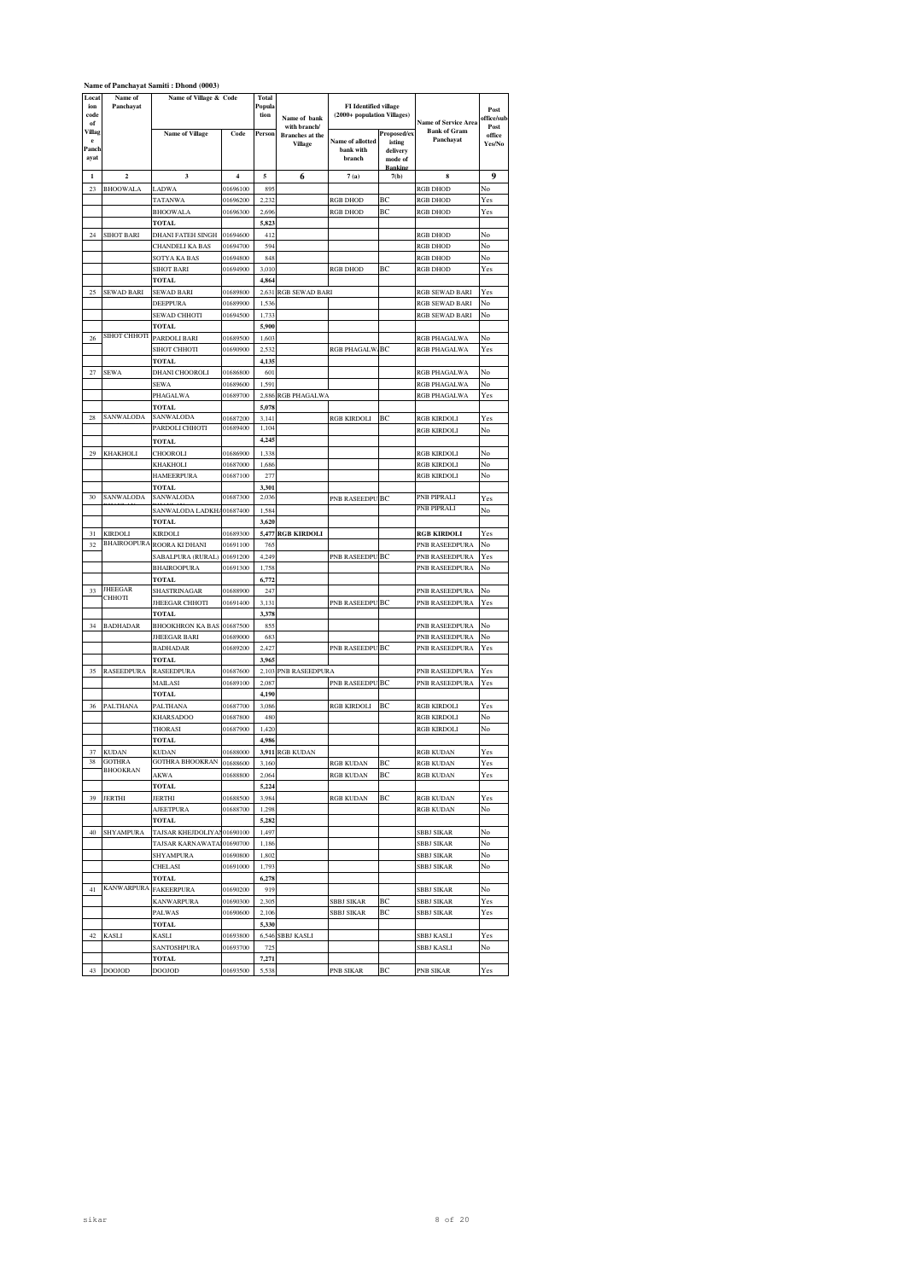|                                    | Name of Panchayat Samiti: Dhond (0003) |                                  |                         |                         |                                                   |                                                             |                                              |                                                                 |                          |
|------------------------------------|----------------------------------------|----------------------------------|-------------------------|-------------------------|---------------------------------------------------|-------------------------------------------------------------|----------------------------------------------|-----------------------------------------------------------------|--------------------------|
| Locat<br>ion<br>code               | Name of<br>Panchayat                   | Name of Village & Code           |                         | Total<br>Popula<br>tion | Name of bank                                      | <b>FI</b> Identified village<br>(2000+ population Villages) |                                              |                                                                 | Post<br>office/sub       |
| of<br>Villag<br>e<br>Panch<br>ayat |                                        | <b>Name of Village</b>           | Code                    | Person                  | with branch/<br><b>Branches</b> at the<br>Village | <b>Name of allotted</b><br>bank with<br>branch              | Proposed/ex<br>isting<br>delivery<br>mode of | <b>Name of Service Area</b><br><b>Bank of Gram</b><br>Panchayat | Post<br>office<br>Yes/No |
| $\mathbf{1}$                       | $\overline{2}$                         | 3                                | $\overline{\mathbf{4}}$ | 5                       |                                                   |                                                             | <b>Bankins</b><br>7(b)                       | 8                                                               | 9                        |
| 23                                 | <b>BHOOWALA</b>                        | LADWA                            | 01696100                | 899                     | 6                                                 | 7(a)                                                        |                                              | <b>RGB DHOD</b>                                                 | No                       |
|                                    |                                        | TATANWA                          | 01696200                | 2.232                   |                                                   | <b>RGB DHOD</b>                                             | BC                                           | <b>RGB DHOD</b>                                                 | Yes                      |
|                                    |                                        | <b>BHOOWALA</b>                  | 01696300                | 2,696                   |                                                   | <b>RGB DHOD</b>                                             | BC                                           | <b>RGB DHOD</b>                                                 | Yes                      |
|                                    |                                        | TOTAL                            |                         | 5,823                   |                                                   |                                                             |                                              |                                                                 |                          |
| 24                                 | SIHOT BARI                             | <b>DHANI FATEH SINGH</b>         | 01694600                | 412                     |                                                   |                                                             |                                              | <b>RGB DHOD</b>                                                 | No                       |
|                                    |                                        | CHANDELI KA BAS<br>SOTYA KA BAS  | 01694700<br>01694800    | 594<br>848              |                                                   |                                                             |                                              | <b>RGB DHOD</b><br><b>RGB DHOD</b>                              | No<br>No                 |
|                                    |                                        | SIHOT BARI                       | 01694900                | 3,010                   |                                                   | <b>RGB DHOD</b>                                             | BС                                           | <b>RGB DHOD</b>                                                 | Yes                      |
|                                    |                                        | TOTAL                            |                         | 4,864                   |                                                   |                                                             |                                              |                                                                 |                          |
| 25                                 | SEWAD BARI                             | SEWAD BARI                       | 01689800                | 2,631                   | <b>RGB SEWAD BARI</b>                             |                                                             |                                              | <b>RGB SEWAD BARI</b>                                           | Yes                      |
|                                    |                                        | DEEPPURA                         | 01689900                | 1,536                   |                                                   |                                                             |                                              | <b>RGB SEWAD BARI</b>                                           | No                       |
|                                    |                                        | SEWAD CHHOTI                     | 01694500                | 1,733<br>5,900          |                                                   |                                                             |                                              | <b>RGB SEWAD BARI</b>                                           | No                       |
| 26                                 | <b>SIHOT CHHOTI</b>                    | TOTAL<br>PARDOLI BARI            | 01689500                | 1,603                   |                                                   |                                                             |                                              | RGB PHAGALWA                                                    | No                       |
|                                    |                                        | <b>SIHOT CHHOTI</b>              | 01690900                | 2,53                    |                                                   | <b>RGB PHAGALW</b>                                          | BC                                           | RGB PHAGALWA                                                    | Yes                      |
|                                    |                                        | TOTAL                            |                         | 4,135                   |                                                   |                                                             |                                              |                                                                 |                          |
| 27                                 | SEWA                                   | <b>DHANI CHOOROLI</b>            | 01686800                | 601                     |                                                   |                                                             |                                              | <b>RGB PHAGALWA</b>                                             | No                       |
|                                    |                                        | SEWA<br>PHAGALWA                 | 01689600<br>01689700    | 1,591<br>2,886          | RGB PHAGALWA                                      |                                                             |                                              | RGB PHAGALWA<br>RGB PHAGALWA                                    | No<br>Yes                |
|                                    |                                        | TOTAL                            |                         | 5,078                   |                                                   |                                                             |                                              |                                                                 |                          |
| 28                                 | SANWALODA                              | SANWALODA                        | 01687200                | 3,141                   |                                                   | <b>RGB KIRDOLI</b>                                          | BC                                           | <b>RGB KIRDOLI</b>                                              | Yes                      |
|                                    |                                        | PARDOLI CHHOTI                   | 01689400                | 1,104                   |                                                   |                                                             |                                              | <b>RGB KIRDOLI</b>                                              | No                       |
|                                    |                                        | <b>TOTAL</b>                     |                         | 4,245                   |                                                   |                                                             |                                              |                                                                 |                          |
| 29                                 | KHAKHOLI                               | CHOOROLI                         | 01686900                | 1.338                   |                                                   |                                                             |                                              | <b>RGB KIRDOLI</b>                                              | Nο                       |
|                                    |                                        | KHAKHOLI<br><b>HAMEERPURA</b>    | 01687000<br>01687100    | 1,686<br>277            |                                                   |                                                             |                                              | <b>RGB KIRDOLI</b><br><b>RGB KIRDOLI</b>                        | No<br>No                 |
|                                    |                                        | TOTAL                            |                         | 3,301                   |                                                   |                                                             |                                              |                                                                 |                          |
| 30                                 | SANWALODA                              | SANWALODA                        | 01687300                | 2,036                   |                                                   | PNB RASEEDPU                                                | BC                                           | <b>PNB PIPRALI</b>                                              | Yes                      |
|                                    |                                        | SANWALODA LADKHA                 | 01687400                | 1,584                   |                                                   |                                                             |                                              | PNB PIPRALI                                                     | No                       |
|                                    |                                        | <b>TOTAL</b>                     |                         | 3,620                   |                                                   |                                                             |                                              |                                                                 |                          |
| 31<br>32                           | KIRDOLI<br><b>BHAIROOPURA</b>          | KIRDOLI<br>ROORA KI DHANI        | 01689300<br>01691100    | 5,477<br>765            | <b>RGB KIRDOLI</b>                                |                                                             |                                              | <b>RGB KIRDOLI</b><br>PNB RASEEDPURA                            | Yes<br>No                |
|                                    |                                        | SABALPURA (RURAL)                | 01691200                | 4,249                   |                                                   | PNB RASEEDPU                                                | BС                                           | PNB RASEEDPURA                                                  | Yes                      |
|                                    |                                        | <b>BHAIROOPURA</b>               | 01691300                | 1,758                   |                                                   |                                                             |                                              | PNB RASEEDPURA                                                  | No                       |
|                                    |                                        | TOTAL                            |                         | 6,772                   |                                                   |                                                             |                                              |                                                                 |                          |
| 33                                 | <b>JHEEGAR</b><br>СННОТІ               | SHASTRINAGAR                     | 01688900<br>01691400    | 247                     |                                                   |                                                             |                                              | PNB RASEEDPURA                                                  | No<br>Yes                |
|                                    |                                        | JHEEGAR CHHOTI                   |                         |                         |                                                   |                                                             |                                              |                                                                 |                          |
| 34                                 |                                        |                                  |                         | 3,131                   |                                                   | PNB RASEEDPU                                                | BC                                           | PNB RASEEDPURA                                                  |                          |
|                                    | <b>BADHADAR</b>                        | TOTAL<br><b>BHOOKHRON KA BAS</b> | 01687500                | 3,378<br>855            |                                                   |                                                             |                                              | PNB RASEEDPURA                                                  | No                       |
|                                    |                                        | JHEEGAR BARI                     | 01689000                | 68.                     |                                                   |                                                             |                                              | PNB RASEEDPURA                                                  | No                       |
|                                    |                                        | <b>BADHADAR</b>                  | 01689200                | 2,427                   |                                                   | PNB RASEEDPU                                                | BC                                           | PNB RASEEDPURA                                                  | Yes                      |
|                                    |                                        | TOTAL                            |                         | 3,965                   |                                                   |                                                             |                                              |                                                                 |                          |
| 35                                 | <b>RASEEDPURA</b>                      | <b>RASEEDPURA</b>                | 01687600                | 2,103                   | PNB RASEEDPURA                                    |                                                             |                                              | PNB RASEEDPURA                                                  | Yes                      |
|                                    |                                        | MAILASI<br><b>TOTAL</b>          | 01689100                | 2,087<br>4,190          |                                                   | PNB RASEEDPU                                                | BC                                           | PNB RASEEDPURA                                                  | Yes                      |
| 36                                 | PALTHANA                               | PALTHANA                         | 01687700                | 3,086                   |                                                   | <b>RGB KIRDOLI</b>                                          | BC                                           | <b>RGB KIRDOLI</b>                                              | Yes                      |
|                                    |                                        | <b>KHARSADOO</b>                 | 01687800                | 480                     |                                                   |                                                             |                                              | <b>RGB KIRDOLI</b>                                              | No                       |
|                                    |                                        | THORASI                          | 01687900                | 1,420                   |                                                   |                                                             |                                              | <b>RGB KIRDOLI</b>                                              | No                       |
|                                    |                                        | TOTAL                            | 01688000                | 4,986                   |                                                   |                                                             |                                              |                                                                 |                          |
| 37<br>38                           | <b>KUDAN</b><br>GOTHRA                 | <b>KUDAN</b><br>GOTHRA BHOOKRAN  | 01688600                | 3,160                   | 3,911 RGB KUDAN                                   | RGB KUDAN                                                   | ВC                                           | <b>RGB KUDAN</b><br><b>RGB KUDAN</b>                            | Yes<br>Yes               |
|                                    | <b>BHOOKRAN</b>                        | AKWA                             | 01688800                | 2,064                   |                                                   | <b>RGB KUDAN</b>                                            | BC                                           | <b>RGB KUDAN</b>                                                | Yes                      |
|                                    |                                        | <b>TOTAL</b>                     |                         | 5,224                   |                                                   |                                                             |                                              |                                                                 |                          |
| 39                                 | <b>JERTHI</b>                          | JERTHI                           | 01688500                | 3,984                   |                                                   | <b>RGB KUDAN</b>                                            | ВC                                           | <b>RGB KUDAN</b>                                                | Yes                      |
|                                    |                                        | <b>AJEETPURA</b><br>TOTAL        | 01688700                | 1,298<br>5,282          |                                                   |                                                             |                                              | <b>RGB KUDAN</b>                                                | No                       |
| 40                                 | <b>SHYAMPURA</b>                       | TAJSAR KHEJDOLIYAN               | 01690100                | 1,497                   |                                                   |                                                             |                                              | <b>SBBJ SIKAR</b>                                               | No                       |
|                                    |                                        | TAJSAR KARNAWATAI 01690700       |                         | 1,186                   |                                                   |                                                             |                                              | <b>SBBJ SIKAR</b>                                               | No                       |
|                                    |                                        | SHYAMPURA                        | 01690800                | 1,802                   |                                                   |                                                             |                                              | SBBJ SIKAR                                                      | No                       |
|                                    |                                        | CHELASI                          | 01691000                | 1,793                   |                                                   |                                                             |                                              | <b>SBBJ SIKAR</b>                                               | No                       |
|                                    |                                        | <b>TOTAL</b>                     |                         | 6,278                   |                                                   |                                                             |                                              |                                                                 | No                       |
| 41                                 | KANWARPURA FAKEERPURA                  | <b>KANWARPURA</b>                | 01690200<br>01690300    | 919<br>2,305            |                                                   | <b>SBBJ SIKAR</b>                                           | BC                                           | <b>SBBJ SIKAR</b><br><b>SBBJ SIKAR</b>                          | Yes                      |
|                                    |                                        | PALWAS                           | 01690600                | 2,106                   |                                                   | <b>SBBJ SIKAR</b>                                           | BС                                           | <b>SBBJ SIKAR</b>                                               | Yes                      |
|                                    |                                        | <b>TOTAL</b>                     |                         | 5,330                   |                                                   |                                                             |                                              |                                                                 |                          |
| 42                                 | <b>KASLI</b>                           | KASLI                            | 01693800                |                         | 6,546 SBBJ KASLI                                  |                                                             |                                              | <b>SBBJ KASLI</b>                                               | Yes                      |
|                                    |                                        | SANTOSHPURA<br>TOTAL             | 01693700                | 725<br>7,271            |                                                   |                                                             |                                              | <b>SBBJ KASLI</b>                                               | No                       |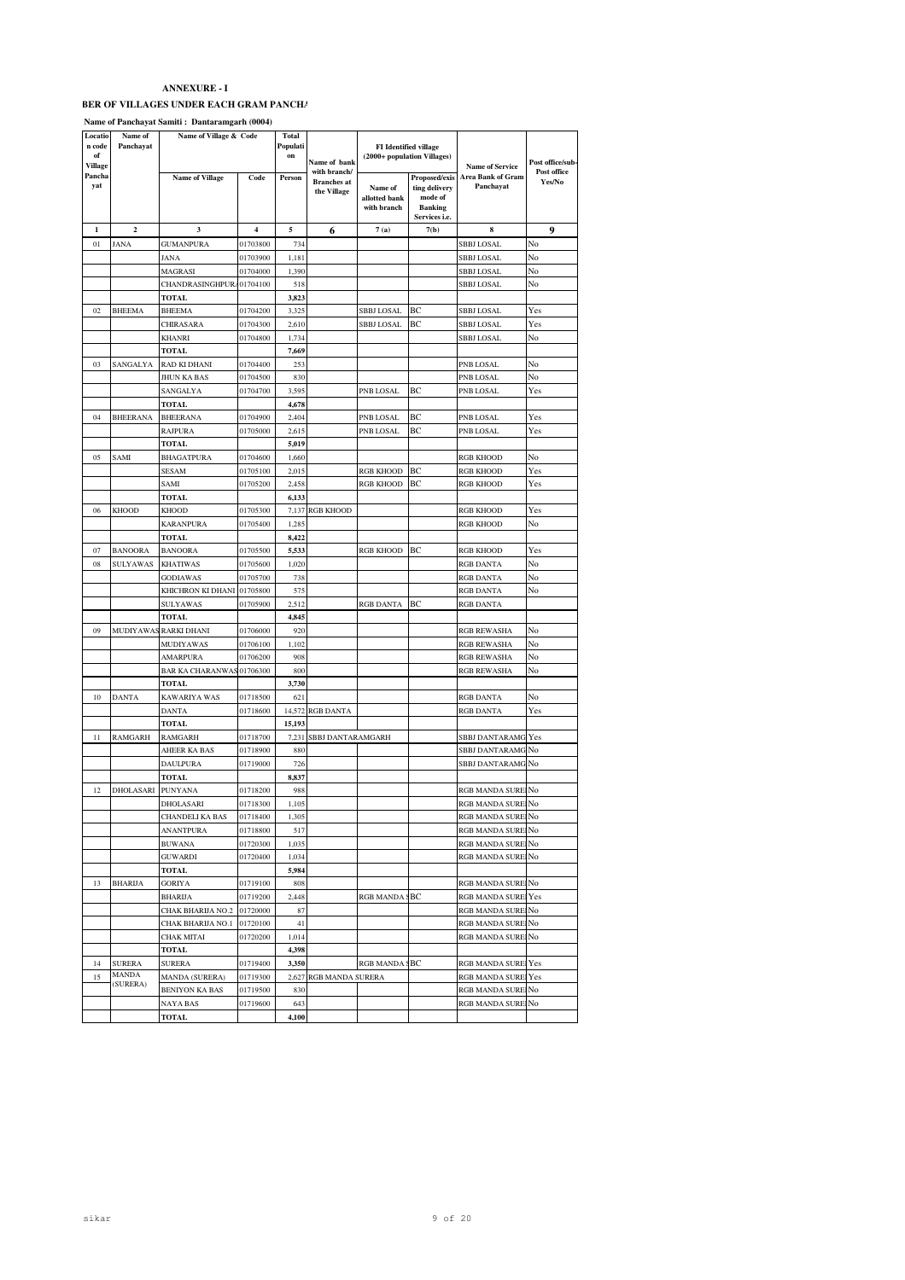| Locatio<br>n code<br>of<br>Village | Name of<br>Panchayat | Name of Village & Code  |                | Total<br>Populati<br>on | Name of bank                                      |                                         | <b>FI</b> Identified village<br>(2000+ population Villages)                  | <b>Name of Service</b>         | Post offi<br>Post o<br><b>Yes</b> |
|------------------------------------|----------------------|-------------------------|----------------|-------------------------|---------------------------------------------------|-----------------------------------------|------------------------------------------------------------------------------|--------------------------------|-----------------------------------|
| Pancha<br>yat                      |                      | <b>Name of Village</b>  | Code           | Person                  | with branch/<br><b>Branches</b> at<br>the Village | Name of<br>allotted bank<br>with branch | Proposed/exis<br>ting delivery<br>mode of<br><b>Banking</b><br>Services i.e. | Area Bank of Gram<br>Panchayat |                                   |
| 1                                  | $\overline{2}$       | $\overline{\mathbf{3}}$ | $\overline{4}$ | 5                       | 6                                                 | 7(a)                                    | 7(b)                                                                         | 8                              | 9                                 |
| 01                                 | <b>JANA</b>          | <b>GUMANPURA</b>        | 01703800       | 734                     |                                                   |                                         |                                                                              | <b>SBBJ LOSAL</b>              | No                                |
|                                    |                      | JANA                    | 01703900       | 1,181                   |                                                   |                                         |                                                                              | <b>SBBJ LOSAL</b>              | No                                |
|                                    |                      | MAGRASI                 | 01704000       | 1,390                   |                                                   |                                         |                                                                              | <b>SBBJ LOSAL</b>              | No                                |
|                                    |                      | <b>CHANDRASINGHPURA</b> | 01704100       | 518                     |                                                   |                                         |                                                                              | <b>SBBJ LOSAL</b>              | No                                |
|                                    |                      | TOTAL                   |                | 3,823                   |                                                   |                                         |                                                                              |                                |                                   |
| 02                                 | <b>BHEEMA</b>        | <b>BHEEMA</b>           | 01704200       | 3,325                   |                                                   | SBBJ LOSAL                              | BC.                                                                          | <b>SBBJ LOSAL</b>              | Yes                               |
|                                    |                      | <b>CHIRASARA</b>        | 01704300       | 2,610                   |                                                   | <b>SBBJ LOSAL</b>                       | ВC                                                                           | <b>SBBJ LOSAL</b>              | Yes                               |
|                                    |                      | <b>KHANRI</b>           | 01704800       | 1,734                   |                                                   |                                         |                                                                              | <b>SBBJ LOSAL</b>              | No                                |
|                                    |                      | <b>TOTAL</b>            |                | 7,669                   |                                                   |                                         |                                                                              |                                |                                   |
| 03                                 | SANGALYA             | RAD KI DHANI            | 01704400       | 253                     |                                                   |                                         |                                                                              | PNB LOSAL                      | No                                |
|                                    |                      | <b>JHUN KA BAS</b>      | 01704500       | 830                     |                                                   |                                         |                                                                              | PNB LOSAL                      | No                                |
|                                    |                      | SANGALYA                | 01704700       | 3.595                   |                                                   | PNB LOSAL                               | BC                                                                           | PNB LOSAL                      | Yes                               |
|                                    |                      | TOTAL                   |                | 4,678                   |                                                   |                                         |                                                                              |                                |                                   |
| 04                                 | <b>BHEERANA</b>      | <b>BHEERANA</b>         | 01704900       | 2.404                   |                                                   | PNB LOSAL                               | BC.                                                                          | PNB LOSAL                      | Yes                               |
|                                    |                      | <b>RAJPURA</b>          | 01705000       | 2,615                   |                                                   | PNB LOSAL                               | ВC                                                                           | PNB LOSAL                      | Yes                               |
|                                    |                      | <b>TOTAL</b>            |                | 5,019                   |                                                   |                                         |                                                                              |                                |                                   |
| 05                                 | SAMI                 | <b>BHAGATPURA</b>       | 01704600       | 1,660                   |                                                   |                                         |                                                                              | <b>RGB KHOOD</b>               | No                                |
|                                    |                      | <b>SESAM</b>            | 01705100       | 2,015                   |                                                   | <b>RGB KHOOD</b>                        | BC                                                                           | <b>RGB KHOOD</b>               | Yes                               |
|                                    |                      | SAMI                    | 01705200       | 2,458                   |                                                   | <b>RGB KHOOD</b>                        | BC.                                                                          | <b>RGB KHOOD</b>               | Yes                               |
|                                    |                      | TOTAL                   |                | 6.133                   |                                                   |                                         |                                                                              |                                |                                   |
| 06                                 | <b>KHOOD</b>         | <b>KHOOD</b>            | 01705300       |                         | 7,137 RGB KHOOD                                   |                                         |                                                                              | <b>RGB KHOOD</b>               | Yes                               |
|                                    |                      | <b>KARANPURA</b>        | 01705400       | 1,285                   |                                                   |                                         |                                                                              | <b>RGB KHOOD</b>               | No                                |
|                                    |                      | TOTAL                   |                | 8,422                   |                                                   |                                         |                                                                              |                                |                                   |
| 07                                 | <b>BANOORA</b>       | <b>BANOORA</b>          | 01705500       | 5,533                   |                                                   | <b>RGB KHOOD</b>                        | BC                                                                           | <b>RGB KHOOD</b>               | Yes                               |
| 08                                 | <b>SULYAWAS</b>      | <b>KHATIWAS</b>         | 01705600       | 1,020                   |                                                   |                                         |                                                                              | <b>RGB DANTA</b>               | No                                |
|                                    |                      | <b>GODIAWAS</b>         | 01705700       | 738                     |                                                   |                                         |                                                                              | <b>RGB DANTA</b>               | No                                |
|                                    |                      | KHICHRON KI DHANI       | 01705800       | 575                     |                                                   |                                         |                                                                              | <b>RGB DANTA</b>               | No                                |
|                                    |                      | <b>SULYAWAS</b>         | 01705900       | 2,512                   |                                                   | RGB DANTA                               | ВC                                                                           | <b>RGB DANTA</b>               |                                   |
|                                    |                      | TOTAL                   |                | 4,845                   |                                                   |                                         |                                                                              |                                |                                   |
| 09                                 | <b>MUDIYAWAS</b>     | <b>RARKI DHANI</b>      | 01706000       | 920                     |                                                   |                                         |                                                                              | <b>RGB REWASHA</b>             | No                                |
|                                    |                      | <b>MUDIYAWAS</b>        | 01706100       | 1,102                   |                                                   |                                         |                                                                              | <b>RGB REWASHA</b>             | No                                |
|                                    |                      |                         |                |                         |                                                   |                                         |                                                                              |                                |                                   |

| 5200 | 2.458 |                  | RGB KHOOD BC     |    | <b>RGB KHOOD</b>   | Yes |
|------|-------|------------------|------------------|----|--------------------|-----|
|      | 6,133 |                  |                  |    |                    |     |
| 5300 |       | 7,137 RGB KHOOD  |                  |    | <b>RGB KHOOD</b>   | Yes |
| 5400 | 1,285 |                  |                  |    | <b>RGB KHOOD</b>   | No  |
|      | 8,422 |                  |                  |    |                    |     |
| 5500 | 5,533 |                  | <b>RGB KHOOD</b> | BC | <b>RGB KHOOD</b>   | Yes |
| 5600 | 1,020 |                  |                  |    | <b>RGB DANTA</b>   | No  |
| 5700 | 738   |                  |                  |    | <b>RGB DANTA</b>   | No  |
| 5800 | 575   |                  |                  |    | <b>RGB DANTA</b>   | No  |
| 5900 | 2.512 |                  | <b>RGB DANTA</b> | BC | <b>RGB DANTA</b>   |     |
|      | 4.845 |                  |                  |    |                    |     |
| 5000 | 920   |                  |                  |    | <b>RGB REWASHA</b> | No  |
| 5100 | 1,102 |                  |                  |    | <b>RGB REWASHA</b> | No  |
| 5200 | 908   |                  |                  |    | <b>RGB REWASHA</b> | No  |
| 5300 | 800   |                  |                  |    | <b>RGB REWASHA</b> | No  |
|      | 3,730 |                  |                  |    |                    |     |
| 8500 | 621   |                  |                  |    | <b>RGB DANTA</b>   | No  |
| 8600 |       | 14,572 RGB DANTA |                  |    | <b>RGB DANTA</b>   | Yes |
|      | 15102 |                  |                  |    |                    |     |

**Post office/sub-Post office Yes/No**

|                  | TOTAL                  |                                         | 4,845                                                                                                                                                                      |                  |                                             |                                |                                                                                                                                                                                                                                                                                                                                                                                                                    |
|------------------|------------------------|-----------------------------------------|----------------------------------------------------------------------------------------------------------------------------------------------------------------------------|------------------|---------------------------------------------|--------------------------------|--------------------------------------------------------------------------------------------------------------------------------------------------------------------------------------------------------------------------------------------------------------------------------------------------------------------------------------------------------------------------------------------------------------------|
|                  |                        | 01706000                                | 920                                                                                                                                                                        |                  |                                             | <b>RGB REWASHA</b>             | No                                                                                                                                                                                                                                                                                                                                                                                                                 |
|                  | MUDIYAWAS              | 01706100                                | 1.102                                                                                                                                                                      |                  |                                             | <b>RGB REWASHA</b>             | No                                                                                                                                                                                                                                                                                                                                                                                                                 |
|                  | <b>AMARPURA</b>        | 01706200                                | 908                                                                                                                                                                        |                  |                                             | <b>RGB REWASHA</b>             | No                                                                                                                                                                                                                                                                                                                                                                                                                 |
|                  |                        |                                         | 800                                                                                                                                                                        |                  |                                             | <b>RGB REWASHA</b>             | No                                                                                                                                                                                                                                                                                                                                                                                                                 |
|                  | TOTAL                  |                                         | 3,730                                                                                                                                                                      |                  |                                             |                                |                                                                                                                                                                                                                                                                                                                                                                                                                    |
| <b>DANTA</b>     | KAWARIYA WAS           |                                         | 621                                                                                                                                                                        |                  |                                             | <b>RGB DANTA</b>               | No                                                                                                                                                                                                                                                                                                                                                                                                                 |
|                  | <b>DANTA</b>           | 01718600                                |                                                                                                                                                                            |                  |                                             | <b>RGB DANTA</b>               | Yes                                                                                                                                                                                                                                                                                                                                                                                                                |
|                  | TOTAL                  |                                         | 15.193                                                                                                                                                                     |                  |                                             |                                |                                                                                                                                                                                                                                                                                                                                                                                                                    |
| <b>RAMGARH</b>   | RAMGARH                | 01718700                                | 7.231                                                                                                                                                                      |                  |                                             |                                |                                                                                                                                                                                                                                                                                                                                                                                                                    |
|                  | <b>AHEER KA BAS</b>    | 01718900                                | 880                                                                                                                                                                        |                  |                                             |                                |                                                                                                                                                                                                                                                                                                                                                                                                                    |
|                  | <b>DAULPURA</b>        | 01719000                                | 726                                                                                                                                                                        |                  |                                             |                                |                                                                                                                                                                                                                                                                                                                                                                                                                    |
|                  | TOTAL                  |                                         | 8.837                                                                                                                                                                      |                  |                                             |                                |                                                                                                                                                                                                                                                                                                                                                                                                                    |
| <b>DHOLASARI</b> |                        |                                         | 988                                                                                                                                                                        |                  |                                             |                                |                                                                                                                                                                                                                                                                                                                                                                                                                    |
|                  | DHOLASARI              | 01718300                                | 1.105                                                                                                                                                                      |                  |                                             |                                |                                                                                                                                                                                                                                                                                                                                                                                                                    |
|                  | <b>CHANDELI KA BAS</b> |                                         | 1,305                                                                                                                                                                      |                  |                                             |                                |                                                                                                                                                                                                                                                                                                                                                                                                                    |
|                  | <b>ANANTPURA</b>       | 01718800                                | 517                                                                                                                                                                        |                  |                                             |                                |                                                                                                                                                                                                                                                                                                                                                                                                                    |
|                  | <b>BUWANA</b>          | 01720300                                | 1,035                                                                                                                                                                      |                  |                                             |                                |                                                                                                                                                                                                                                                                                                                                                                                                                    |
|                  | <b>GUWARDI</b>         | 01720400                                | 1.034                                                                                                                                                                      |                  |                                             |                                |                                                                                                                                                                                                                                                                                                                                                                                                                    |
|                  | TOTAL                  |                                         | 5,984                                                                                                                                                                      |                  |                                             |                                |                                                                                                                                                                                                                                                                                                                                                                                                                    |
| <b>BHARUA</b>    | <b>GORIYA</b>          | 01719100                                | 808                                                                                                                                                                        |                  |                                             |                                |                                                                                                                                                                                                                                                                                                                                                                                                                    |
|                  | <b>BHARIJA</b>         |                                         | 2,448                                                                                                                                                                      |                  |                                             |                                |                                                                                                                                                                                                                                                                                                                                                                                                                    |
|                  |                        |                                         | 87                                                                                                                                                                         |                  |                                             |                                |                                                                                                                                                                                                                                                                                                                                                                                                                    |
|                  | CHAK BHARIJA NO.1      |                                         | 41                                                                                                                                                                         |                  |                                             |                                |                                                                                                                                                                                                                                                                                                                                                                                                                    |
|                  | CHAK MITAI             |                                         | 1,014                                                                                                                                                                      |                  |                                             |                                |                                                                                                                                                                                                                                                                                                                                                                                                                    |
|                  | TOTAL                  |                                         | 4.398                                                                                                                                                                      |                  |                                             |                                |                                                                                                                                                                                                                                                                                                                                                                                                                    |
| <b>SURERA</b>    | SURERA                 |                                         | 3,350                                                                                                                                                                      |                  |                                             |                                |                                                                                                                                                                                                                                                                                                                                                                                                                    |
| <b>MANDA</b>     | MANDA (SURERA)         |                                         |                                                                                                                                                                            |                  |                                             |                                |                                                                                                                                                                                                                                                                                                                                                                                                                    |
|                  | <b>BENIYON KA BAS</b>  |                                         | 830                                                                                                                                                                        |                  |                                             |                                |                                                                                                                                                                                                                                                                                                                                                                                                                    |
|                  | NAYA BAS               | 01719600                                | 643                                                                                                                                                                        |                  |                                             |                                |                                                                                                                                                                                                                                                                                                                                                                                                                    |
|                  | TOTAL                  |                                         | 4.100                                                                                                                                                                      |                  |                                             |                                |                                                                                                                                                                                                                                                                                                                                                                                                                    |
|                  | (SURERA)               | MUDIYAWAS RARKI DHANI<br><b>PUNYANA</b> | <b>BAR KA CHARANWAS 01706300</b><br>01718500<br>01718200<br>01718400<br>01719200<br>CHAK BHARIJA NO.2 01720000<br>01720100<br>01720200<br>01719400<br>01719300<br>01719500 | 14.572 RGB DANTA | SBBJ DANTARAMGARH<br>2,627 RGB MANDA SURERA | RGB MANDA SBC<br>RGB MANDA SBC | <b>SBBJ DANTARAMG Yes</b><br>SBBJ DANTARAMG No<br>SBBJ DANTARAMG No<br>RGB MANDA SUREINO<br>RGB MANDA SUREINO<br>RGB MANDA SUREINO<br>RGB MANDA SUREINO<br>RGB MANDA SUREINO<br>RGB MANDA SUREINO<br>RGB MANDA SUREINO<br><b>RGB MANDA SUREI Yes</b><br>RGB MANDA SUREINO<br>RGB MANDA SUREINO<br>RGB MANDA SUREINO<br>RGB MANDA SUREI Yes<br><b>RGB MANDA SUREI Yes</b><br>RGB MANDA SUREINO<br>RGB MANDA SUREINO |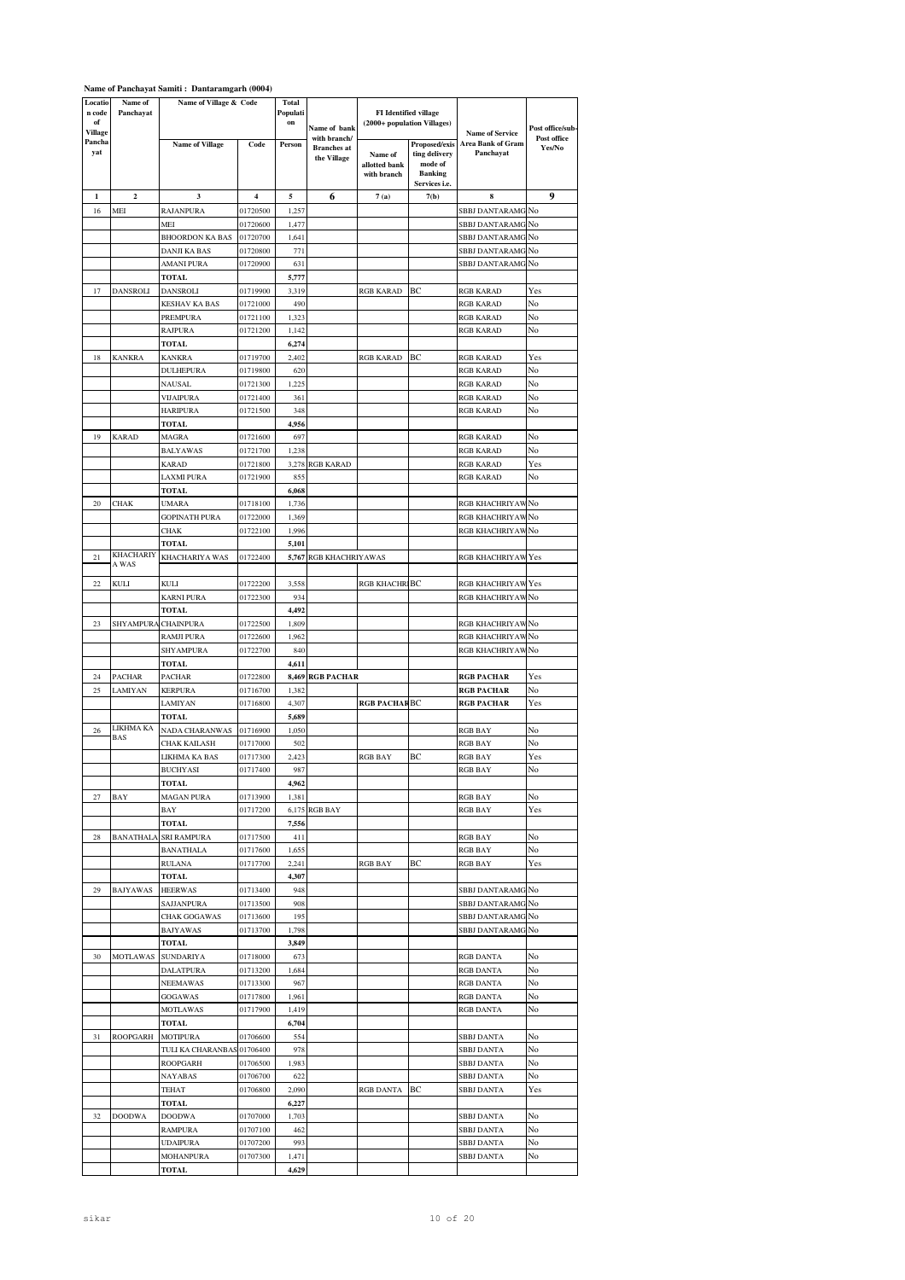| Locatio<br>n code<br>of  | Name of<br>Panchayat | Name of Village & Code     |          | <b>Total</b><br>Populati<br>on | Name of bank                                      | FI Identified village<br>(2000+ population Villages) |                                                                              |                                                                 | Post office/sub-      |
|--------------------------|----------------------|----------------------------|----------|--------------------------------|---------------------------------------------------|------------------------------------------------------|------------------------------------------------------------------------------|-----------------------------------------------------------------|-----------------------|
| Village<br>Pancha<br>yat |                      | <b>Name of Village</b>     | Code     | Person                         | with branch/<br><b>Branches</b> at<br>the Village | Name of<br>allotted bank<br>with branch              | Proposed/exis<br>ting delivery<br>mode of<br><b>Banking</b><br>Services i.e. | <b>Name of Service</b><br><b>Area Bank of Gram</b><br>Panchayat | Post office<br>Yes/No |
| 1                        | $\boldsymbol{2}$     | 3                          | 4        | 5                              | 6                                                 | 7(a)                                                 | 7(b)                                                                         | 8                                                               | 9                     |
| 16                       | MEI                  | RAJANPURA                  | 01720500 | 1,257                          |                                                   |                                                      |                                                                              | SBBJ DANTARAMG No                                               |                       |
|                          |                      | MEI                        | 01720600 | 1,477                          |                                                   |                                                      |                                                                              | SBBJ DANTARAMG No                                               |                       |
|                          |                      | BHOORDON KA BAS            | 01720700 | 1,641                          |                                                   |                                                      |                                                                              | SBBJ DANTARAMG No                                               |                       |
|                          |                      | DANJI KA BAS               | 01720800 | 771                            |                                                   |                                                      |                                                                              | SBBJ DANTARAMG                                                  | No                    |
|                          |                      | AMANI PURA                 | 01720900 | 631                            |                                                   |                                                      |                                                                              | SBBJ DANTARAMG                                                  | No                    |
|                          |                      | TOTAL                      |          | 5,777                          |                                                   |                                                      |                                                                              |                                                                 |                       |
| 17                       | DANSROLI             | DANSROLI                   | 01719900 | 3,319                          |                                                   | RGB KARAD                                            | ВC                                                                           | RGB KARAD                                                       | Yes                   |
|                          |                      | <b>KESHAV KA BAS</b>       | 01721000 | 490                            |                                                   |                                                      |                                                                              | RGB KARAD                                                       | No                    |
|                          |                      | PREMPURA                   | 01721100 | 1,323                          |                                                   |                                                      |                                                                              | <b>RGB KARAD</b>                                                | No                    |
|                          |                      | <b>RAJPURA</b>             | 01721200 | 1,142                          |                                                   |                                                      |                                                                              | <b>RGB KARAD</b>                                                | No                    |
|                          |                      | TOTAL                      |          | 6,274                          |                                                   |                                                      |                                                                              |                                                                 |                       |
| 18                       | <b>KANKRA</b>        | KANKRA                     | 01719700 | 2,402                          |                                                   | RGB KARAD                                            | ВC                                                                           | <b>RGB KARAD</b>                                                | Yes                   |
|                          |                      | DULHEPURA                  | 01719800 | 620                            |                                                   |                                                      |                                                                              | <b>RGB KARAD</b>                                                | No                    |
|                          |                      | NAUSAL                     | 01721300 | 1,225                          |                                                   |                                                      |                                                                              | RGB KARAD                                                       | No                    |
|                          |                      | <b>VIJAIPURA</b>           | 01721400 | 361                            |                                                   |                                                      |                                                                              | RGB KARAD                                                       | No                    |
|                          |                      | HARIPURA                   | 01721500 | 348                            |                                                   |                                                      |                                                                              | RGB KARAD                                                       | No                    |
|                          |                      | <b>TOTAL</b>               |          | 4,956                          |                                                   |                                                      |                                                                              |                                                                 |                       |
| 19                       | <b>KARAD</b>         | MAGRA                      | 01721600 | 697                            |                                                   |                                                      |                                                                              | RGB KARAD                                                       | No                    |
|                          |                      | <b>BALYAWAS</b>            | 01721700 | 1,238                          |                                                   |                                                      |                                                                              | <b>RGB KARAD</b>                                                | No                    |
|                          |                      | KARAD                      | 01721800 |                                | 3,278 RGB KARAD                                   |                                                      |                                                                              | <b>RGB KARAD</b>                                                | Yes                   |
|                          |                      | LAXMI PURA                 | 01721900 | 855                            |                                                   |                                                      |                                                                              | <b>RGB KARAD</b>                                                | No                    |
|                          |                      | TOTAL                      |          | 6,068                          |                                                   |                                                      |                                                                              |                                                                 |                       |
| 20                       | CHAK                 | UMARA                      | 01718100 | 1,736                          |                                                   |                                                      |                                                                              | RGB KHACHRIYAW No                                               |                       |
|                          |                      | <b>GOPINATH PURA</b>       | 01722000 | 1,369                          |                                                   |                                                      |                                                                              | RGB KHACHRIYAW No                                               |                       |
|                          |                      | <b>CHAK</b>                | 01722100 | 1,996                          |                                                   |                                                      |                                                                              | RGB KHACHRIYAW No                                               |                       |
|                          |                      | TOTAL                      |          | 5,101                          |                                                   |                                                      |                                                                              |                                                                 |                       |
| 21                       | <b>KHACHARIY</b>     | KHACHARIYA WAS             | 01722400 |                                | 5,767 RGB KHACHRIYAWAS                            |                                                      |                                                                              | RGB KHACHRIYAW Yes                                              |                       |
|                          | A WAS                |                            |          |                                |                                                   |                                                      |                                                                              |                                                                 |                       |
| 22                       | KULI                 | KULI                       | 01722200 | 3,558                          |                                                   | <b>RGB KHACHR BC</b>                                 |                                                                              | <b>RGB KHACHRIYAW</b> Yes                                       |                       |
|                          |                      | KARNI PURA                 | 01722300 | 934                            |                                                   |                                                      |                                                                              | RGB KHACHRIYAW No                                               |                       |
|                          |                      | TOTAL                      |          | 4,492                          |                                                   |                                                      |                                                                              |                                                                 |                       |
| 23                       | SHYAMPURA            | <b>CHAINPURA</b>           | 01722500 | 1,809                          |                                                   |                                                      |                                                                              | RGB KHACHRIYAW No                                               |                       |
|                          |                      | RAMJI PURA                 | 01722600 | 1,962                          |                                                   |                                                      |                                                                              | RGB KHACHRIYAW No                                               |                       |
|                          |                      | SHYAMPURA                  | 01722700 | 840                            |                                                   |                                                      |                                                                              | RGB KHACHRIYAW No                                               |                       |
|                          |                      | TOTAL                      |          | 4,611                          |                                                   |                                                      |                                                                              |                                                                 |                       |
| 24                       | <b>PACHAR</b>        | PACHAR                     | 01722800 |                                | 8,469 RGB PACHAR                                  |                                                      |                                                                              | RGB PACHAR                                                      | Yes                   |
| 25                       | LAMIYAN              | <b>KERPURA</b>             | 01716700 | 1,382                          |                                                   |                                                      |                                                                              | RGB PACHAR                                                      | No                    |
|                          |                      | LAMIYAN                    | 01716800 | 4,307                          |                                                   | RGB PACHAR BC                                        |                                                                              | <b>RGB PACHAR</b>                                               | Yes                   |
|                          |                      | <b>TOTAL</b>               |          | 5,689                          |                                                   |                                                      |                                                                              |                                                                 |                       |
| 26                       | LIKHMA KA            | NADA CHARANWAS             | 01716900 | 1,050                          |                                                   |                                                      |                                                                              | RGB BAY                                                         | No                    |
|                          | <b>BAS</b>           | CHAK KAILASH               | 01717000 | 502                            |                                                   |                                                      |                                                                              | RGB BAY                                                         | No                    |
|                          |                      | LIKHMA KA BAS              | 01717300 | 2,423                          |                                                   | RGB BAY                                              | BC                                                                           | <b>RGB BAY</b>                                                  | Yes                   |
|                          |                      | <b>BUCHYASI</b>            | 01717400 | 987                            |                                                   |                                                      |                                                                              | <b>RGB BAY</b>                                                  | No                    |
|                          |                      | TOTAL                      |          | 4,962                          |                                                   |                                                      |                                                                              |                                                                 |                       |
| 27                       | BAY                  | <b>MAGAN PURA</b>          | 01713900 | 1,381                          |                                                   |                                                      |                                                                              | <b>RGB BAY</b>                                                  | No                    |
|                          |                      | BAY                        | 01717200 |                                | 6,175 RGB BAY                                     |                                                      |                                                                              | RGB BAY                                                         | Yes                   |
|                          |                      | TOTAL                      |          | 7,556                          |                                                   |                                                      |                                                                              |                                                                 |                       |
| 28                       | <b>BANATHALA</b>     | <b>SRI RAMPURA</b>         | 01717500 | 411                            |                                                   |                                                      |                                                                              | <b>RGB BAY</b>                                                  | No                    |
|                          |                      | <b>BANATHALA</b>           | 01717600 | 1,655                          |                                                   |                                                      |                                                                              | <b>RGB BAY</b>                                                  | No                    |
|                          |                      | <b>RULANA</b>              | 01717700 | 2,241                          |                                                   | RGB BAY                                              | BС                                                                           | <b>RGB BAY</b>                                                  | Yes                   |
|                          |                      | TOTAL                      |          | 4,307                          |                                                   |                                                      |                                                                              |                                                                 |                       |
| 29                       | <b>BAJYAWAS</b>      | <b>HEERWAS</b>             | 01713400 | 948                            |                                                   |                                                      |                                                                              | SBBJ DANTARAMG No                                               |                       |
|                          |                      | SAJJANPURA                 | 01713500 | 908                            |                                                   |                                                      |                                                                              | SBBJ DANTARAMG No                                               |                       |
|                          |                      | CHAK GOGAWAS               | 01713600 | 195                            |                                                   |                                                      |                                                                              | SBBJ DANTARAMG No                                               |                       |
|                          |                      | BAJYAWAS                   | 01713700 | 1,798                          |                                                   |                                                      |                                                                              | SBBJ DANTARAMG                                                  | No                    |
|                          |                      | TOTAL                      |          | 3,849                          |                                                   |                                                      |                                                                              |                                                                 |                       |
| 30                       | MOTLAWAS             | <b>SUNDARIYA</b>           | 01718000 | 673                            |                                                   |                                                      |                                                                              | RGB DANTA                                                       | No                    |
|                          |                      | DALATPURA                  | 01713200 | 1,684                          |                                                   |                                                      |                                                                              | <b>RGB DANTA</b>                                                | No                    |
|                          |                      | NEEMAWAS                   | 01713300 | 967                            |                                                   |                                                      |                                                                              | RGB DANTA                                                       | No                    |
|                          |                      | GOGAWAS                    | 01717800 | 1,961                          |                                                   |                                                      |                                                                              | RGB DANTA                                                       | No                    |
|                          |                      | <b>MOTLAWAS</b>            | 01717900 | 1,419                          |                                                   |                                                      |                                                                              | <b>RGB DANTA</b>                                                | No                    |
|                          |                      | TOTAL                      |          | 6,704                          |                                                   |                                                      |                                                                              |                                                                 |                       |
| 31                       | <b>ROOPGARH</b>      | <b>MOTIPURA</b>            | 01706600 | 554                            |                                                   |                                                      |                                                                              | <b>SBBJ DANTA</b>                                               | No                    |
|                          |                      | TULI KA CHARANBAS 01706400 |          | 978                            |                                                   |                                                      |                                                                              | SBBJ DANTA                                                      | No                    |
|                          |                      | ROOPGARH                   | 01706500 | 1,983                          |                                                   |                                                      |                                                                              | SBBJ DANTA                                                      | No                    |
|                          |                      | NAYABAS                    | 01706700 | 622                            |                                                   |                                                      |                                                                              | SBBJ DANTA                                                      | No                    |
|                          |                      | TEHAT                      | 01706800 | 2,090                          |                                                   | RGB DANTA                                            | BС                                                                           | <b>SBBJ DANTA</b>                                               | Yes                   |
|                          |                      | TOTAL                      |          | 6,227                          |                                                   |                                                      |                                                                              |                                                                 |                       |
| 32                       | <b>DOODWA</b>        | <b>DOODWA</b>              | 01707000 | 1,703                          |                                                   |                                                      |                                                                              | SBBJ DANTA                                                      | No                    |
|                          |                      | RAMPURA                    | 01707100 | 462                            |                                                   |                                                      |                                                                              | SBBJ DANTA                                                      | No                    |
|                          |                      | UDAIPURA                   | 01707200 | 993                            |                                                   |                                                      |                                                                              | SBBJ DANTA                                                      | No                    |
|                          |                      | MOHANPURA                  | 01707300 | 1,471                          |                                                   |                                                      |                                                                              | <b>SBBJ DANTA</b>                                               | No                    |
|                          |                      | TOTAL                      |          | 4,629                          |                                                   |                                                      |                                                                              |                                                                 |                       |

# **Name of Panchayat Samiti : Dantaramgarh (0004)**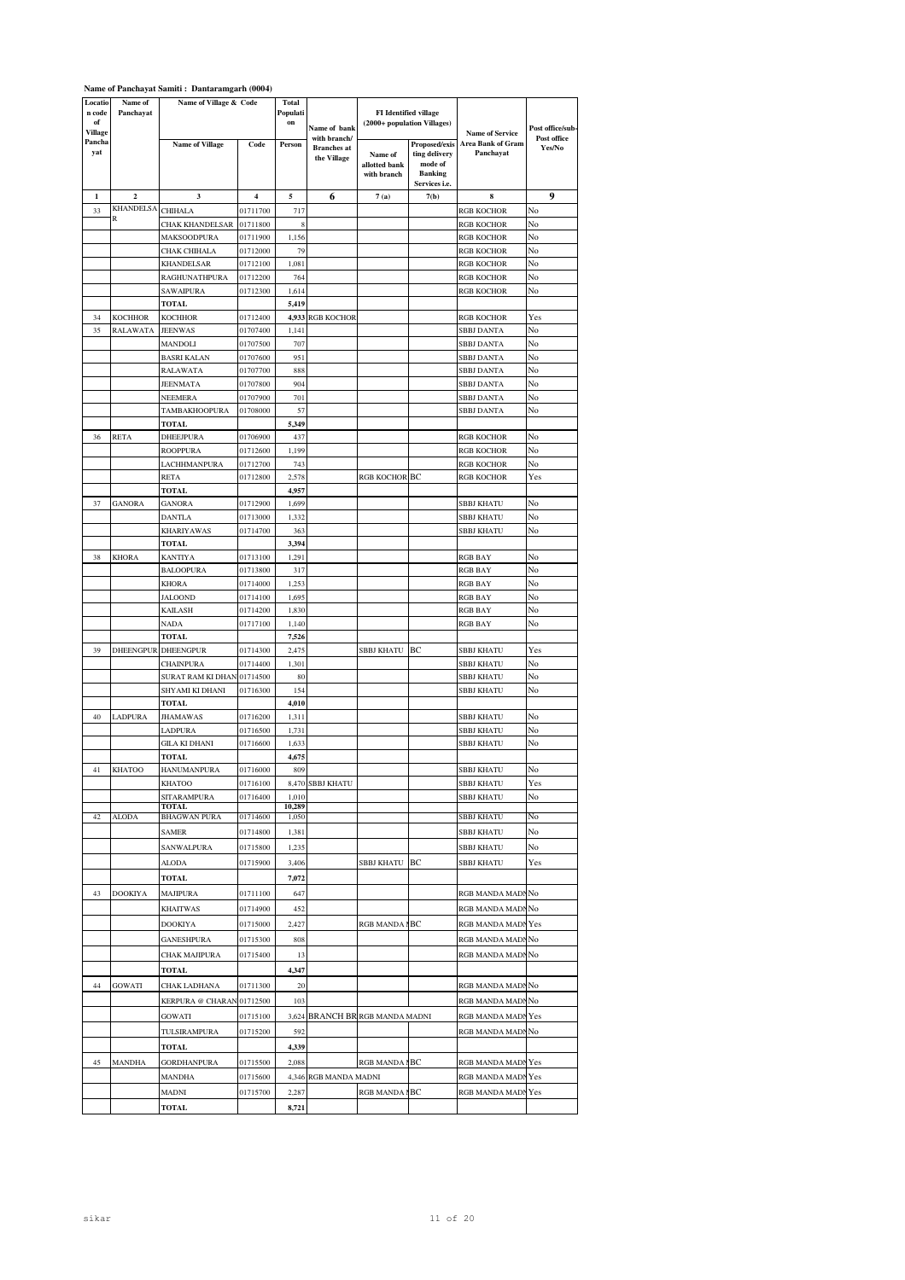| Locatio<br>n code<br>of<br>Village | Name of<br>Panchayat    | Name of Village & Code              |                      | <b>Total</b><br>Populati<br>on | Name of bank                                      |                                         | FI Identified village<br>(2000+ population Villages)                         | <b>Name of Service</b>                | Post office/sub-      |
|------------------------------------|-------------------------|-------------------------------------|----------------------|--------------------------------|---------------------------------------------------|-----------------------------------------|------------------------------------------------------------------------------|---------------------------------------|-----------------------|
| Pancha<br>yat                      |                         | <b>Name of Village</b>              | Code                 | Person                         | with branch/<br><b>Branches</b> at<br>the Village | Name of<br>allotted bank<br>with branch | Proposed/exis<br>ting delivery<br>mode of<br><b>Banking</b><br>Services i.e. | <b>Area Bank of Gram</b><br>Panchayat | Post office<br>Yes/No |
| $\mathbf{1}$                       | $\overline{\mathbf{c}}$ | 3                                   | 4                    | 5                              | 6                                                 | 7(a)                                    | 7(b)                                                                         | 8                                     | 9                     |
| 33                                 | KHANDELSA               | CHIHALA                             | 01711700             | 717                            |                                                   |                                         |                                                                              | <b>RGB KOCHOR</b>                     | No                    |
|                                    | R                       | CHAK KHANDELSAR                     | 01711800             | 8                              |                                                   |                                         |                                                                              | <b>RGB KOCHOR</b>                     | No                    |
|                                    |                         | MAKSOODPURA                         | 01711900             | 1,156                          |                                                   |                                         |                                                                              | <b>RGB KOCHOR</b>                     | No                    |
|                                    |                         | CHAK CHIHALA                        | 01712000             | 79                             |                                                   |                                         |                                                                              | <b>RGB KOCHOR</b>                     | No                    |
|                                    |                         | <b>KHANDELSAR</b><br>RAGHUNATHPURA  | 01712100<br>01712200 | 1,081<br>764                   |                                                   |                                         |                                                                              | <b>RGB KOCHOR</b><br>RGB KOCHOR       | No<br>No              |
|                                    |                         | SAWAIPURA                           | 01712300             | 1,614                          |                                                   |                                         |                                                                              | RGB KOCHOR                            | No                    |
|                                    |                         | TOTAL                               |                      | 5,419                          |                                                   |                                         |                                                                              |                                       |                       |
| 34                                 | KOCHHOR                 | <b>KOCHHOR</b>                      | 01712400             | 4,933                          | RGB KOCHOR                                        |                                         |                                                                              | <b>RGB KOCHOR</b>                     | Yes                   |
| 35                                 | RALAWATA                | <b>JEENWAS</b>                      | 01707400             | 1,141                          |                                                   |                                         |                                                                              | SBBJ DANTA                            | No                    |
|                                    |                         | MANDOLI                             | 01707500             | 707                            |                                                   |                                         |                                                                              | <b>SBBJ DANTA</b>                     | No                    |
|                                    |                         | BASRI KALAN                         | 01707600             | 951                            |                                                   |                                         |                                                                              | SBBJ DANTA                            | No                    |
|                                    |                         | RALAWATA<br>JEENMATA                | 01707700<br>01707800 | 888<br>904                     |                                                   |                                         |                                                                              | SBBJ DANTA                            | No<br>No              |
|                                    |                         | NEEMERA                             | 01707900             | 701                            |                                                   |                                         |                                                                              | SBBJ DANTA<br><b>SBBJ DANTA</b>       | No                    |
|                                    |                         | TAMBAKHOOPURA                       | 01708000             | 57                             |                                                   |                                         |                                                                              | <b>SBBJ DANTA</b>                     | No                    |
|                                    |                         | <b>TOTAL</b>                        |                      | 5,349                          |                                                   |                                         |                                                                              |                                       |                       |
| 36                                 | RETA                    | DHEEJPURA                           | 01706900             | 437                            |                                                   |                                         |                                                                              | RGB KOCHOR                            | No                    |
|                                    |                         | ROOPPURA                            | 01712600             | 1,199                          |                                                   |                                         |                                                                              | RGB KOCHOR                            | No                    |
|                                    |                         | LACHHMANPURA                        | 01712700             | 743                            |                                                   |                                         |                                                                              | RGB KOCHOR                            | No                    |
|                                    |                         | RETA                                | 01712800             | 2,578                          |                                                   | <b>RGB KOCHOR BC</b>                    |                                                                              | <b>RGB KOCHOR</b>                     | Yes                   |
| 37                                 | <b>GANORA</b>           | TOTAL<br>GANORA                     | 01712900             | 4,957<br>1,699                 |                                                   |                                         |                                                                              | SBBJ KHATU                            | No                    |
|                                    |                         | <b>DANTLA</b>                       | 01713000             | 1,332                          |                                                   |                                         |                                                                              | <b>SBBJ KHATU</b>                     | No                    |
|                                    |                         | KHARIYAWAS                          | 01714700             | 363                            |                                                   |                                         |                                                                              | SBBJ KHATU                            | No                    |
|                                    |                         | <b>TOTAL</b>                        |                      | 3,394                          |                                                   |                                         |                                                                              |                                       |                       |
| 38                                 | <b>KHORA</b>            | KANTIYA                             | 01713100             | 1,291                          |                                                   |                                         |                                                                              | <b>RGB BAY</b>                        | No                    |
|                                    |                         | <b>BALOOPURA</b>                    | 01713800             | 317                            |                                                   |                                         |                                                                              | <b>RGB BAY</b>                        | No                    |
|                                    |                         | KHORA                               | 01714000             | 1,253                          |                                                   |                                         |                                                                              | <b>RGB BAY</b>                        | No                    |
|                                    |                         | JALOOND                             | 01714100             | 1,695                          |                                                   |                                         |                                                                              | <b>RGB BAY</b>                        | No                    |
|                                    |                         | KAILASH                             | 01714200             | 1,830<br>1,140                 |                                                   |                                         |                                                                              | <b>RGB BAY</b>                        | No<br>No              |
|                                    |                         | NADA<br>TOTAL                       | 01717100             | 7,526                          |                                                   |                                         |                                                                              | RGB BAY                               |                       |
| 39                                 | DHEENGPUR               | DHEENGPUR                           | 01714300             | 2,475                          |                                                   | SBBJ KHATU                              | BС                                                                           | SBBJ KHATU                            | Yes                   |
|                                    |                         | CHAINPURA                           | 01714400             | 1,301                          |                                                   |                                         |                                                                              | SBBJ KHATU                            | No                    |
|                                    |                         | SURAT RAM KI DHAN 01714500          |                      | 80                             |                                                   |                                         |                                                                              | SBBJ KHATU                            | No                    |
|                                    |                         | SHYAMI KI DHANI                     | 01716300             | 154                            |                                                   |                                         |                                                                              | SBBJ KHATU                            | No                    |
|                                    |                         | TOTAL                               |                      | 4,010                          |                                                   |                                         |                                                                              |                                       |                       |
| 40                                 | LADPURA                 | JHAMAWAS<br>LADPURA                 | 01716200<br>01716500 | 1,311<br>1,731                 |                                                   |                                         |                                                                              | <b>SBBJ KHATU</b><br>SBBJ KHATU       | No<br>No              |
|                                    |                         | GILA KI DHANI                       | 01716600             | 1,633                          |                                                   |                                         |                                                                              | SBBJ KHATU                            | No                    |
|                                    |                         | <b>TOTAL</b>                        |                      | 4,675                          |                                                   |                                         |                                                                              |                                       |                       |
| 41                                 | <b>KHATOO</b>           | HANUMANPURA                         | 01716000             | 809                            |                                                   |                                         |                                                                              | <b>SBBJ KHATU</b>                     | No                    |
|                                    |                         | <b>KHATOO</b>                       | 01716100             |                                | 8,470 SBBJ KHATU                                  |                                         |                                                                              | <b>SBBJ KHATU</b>                     | Yes                   |
|                                    |                         | SITARAMPURA                         | 01716400             | 1,010                          |                                                   |                                         |                                                                              | <b>SBBJ KHATU</b>                     | No                    |
| 42                                 | <b>ALODA</b>            | <b>TOTAL</b><br><b>BHAGWAN PURA</b> | 01714600             | 10,289<br>1,050                |                                                   |                                         |                                                                              | <b>SBBJ KHATU</b>                     | No                    |
|                                    |                         | <b>SAMER</b>                        | 01714800             | 1,381                          |                                                   |                                         |                                                                              | <b>SBBJ KHATU</b>                     | No                    |
|                                    |                         | <b>SANWALPURA</b>                   | 01715800             | 1,235                          |                                                   |                                         |                                                                              | <b>SBBJ KHATU</b>                     | No                    |
|                                    |                         | ALODA                               | 01715900             | 3,406                          |                                                   | SBBJ KHATU BC                           |                                                                              | <b>SBBJ KHATU</b>                     | Yes                   |
|                                    |                         | TOTAL                               |                      | 7,072                          |                                                   |                                         |                                                                              |                                       |                       |
| 43                                 | <b>DOOKIYA</b>          | MAJIPURA                            | 01711100             | 647                            |                                                   |                                         |                                                                              | RGB MANDA MADNNo                      |                       |
|                                    |                         | <b>KHAITWAS</b>                     | 01714900             | 452                            |                                                   |                                         |                                                                              | RGB MANDA MADNNo                      |                       |
|                                    |                         | DOOKIYA                             | 01715000             | 2,427                          |                                                   | RGB MANDA I BC                          |                                                                              | RGB MANDA MADNYes                     |                       |
|                                    |                         | GANESHPURA                          | 01715300             | 808                            |                                                   |                                         |                                                                              | RGB MANDA MADNNo                      |                       |
|                                    |                         | CHAK MAJIPURA                       | 01715400             | 13                             |                                                   |                                         |                                                                              | RGB MANDA MADNNo                      |                       |
|                                    |                         | TOTAL                               |                      | 4,347                          |                                                   |                                         |                                                                              |                                       |                       |
|                                    |                         |                                     | 01711300             |                                |                                                   |                                         |                                                                              |                                       |                       |
| 44                                 | <b>GOWATI</b>           | CHAK LADHANA                        |                      | 20                             |                                                   |                                         |                                                                              | RGB MANDA MADNNo                      |                       |
|                                    |                         | KERPURA @ CHARAN 01712500           |                      | 103                            |                                                   |                                         |                                                                              | RGB MANDA MADNNo                      |                       |
|                                    |                         | <b>GOWATI</b>                       | 01715100             |                                | 3,624 BRANCH BR RGB MANDA MADNI                   |                                         |                                                                              | RGB MANDA MADNYes                     |                       |
|                                    |                         | TULSIRAMPURA                        | 01715200             | 592                            |                                                   |                                         |                                                                              | RGB MANDA MADNNo                      |                       |
|                                    |                         | TOTAL                               |                      | 4,339                          |                                                   |                                         |                                                                              |                                       |                       |
| 45                                 | <b>MANDHA</b>           | <b>GORDHANPURA</b>                  | 01715500             | 2,088                          |                                                   | RGB MANDA I BC                          |                                                                              | RGB MANDA MADNYes                     |                       |
|                                    |                         | MANDHA                              | 01715600             |                                | 4,346 RGB MANDA MADNI                             |                                         |                                                                              | RGB MANDA MADNYes                     |                       |
|                                    |                         | MADNI                               | 01715700             | 2,287                          |                                                   | <b>RGB MANDA1</b>                       | BС                                                                           | RGB MANDA MADNYes                     |                       |
|                                    |                         | TOTAL                               |                      | 8,721                          |                                                   |                                         |                                                                              |                                       |                       |

## **Name of Panchayat Samiti : Dantaramgarh (0004)**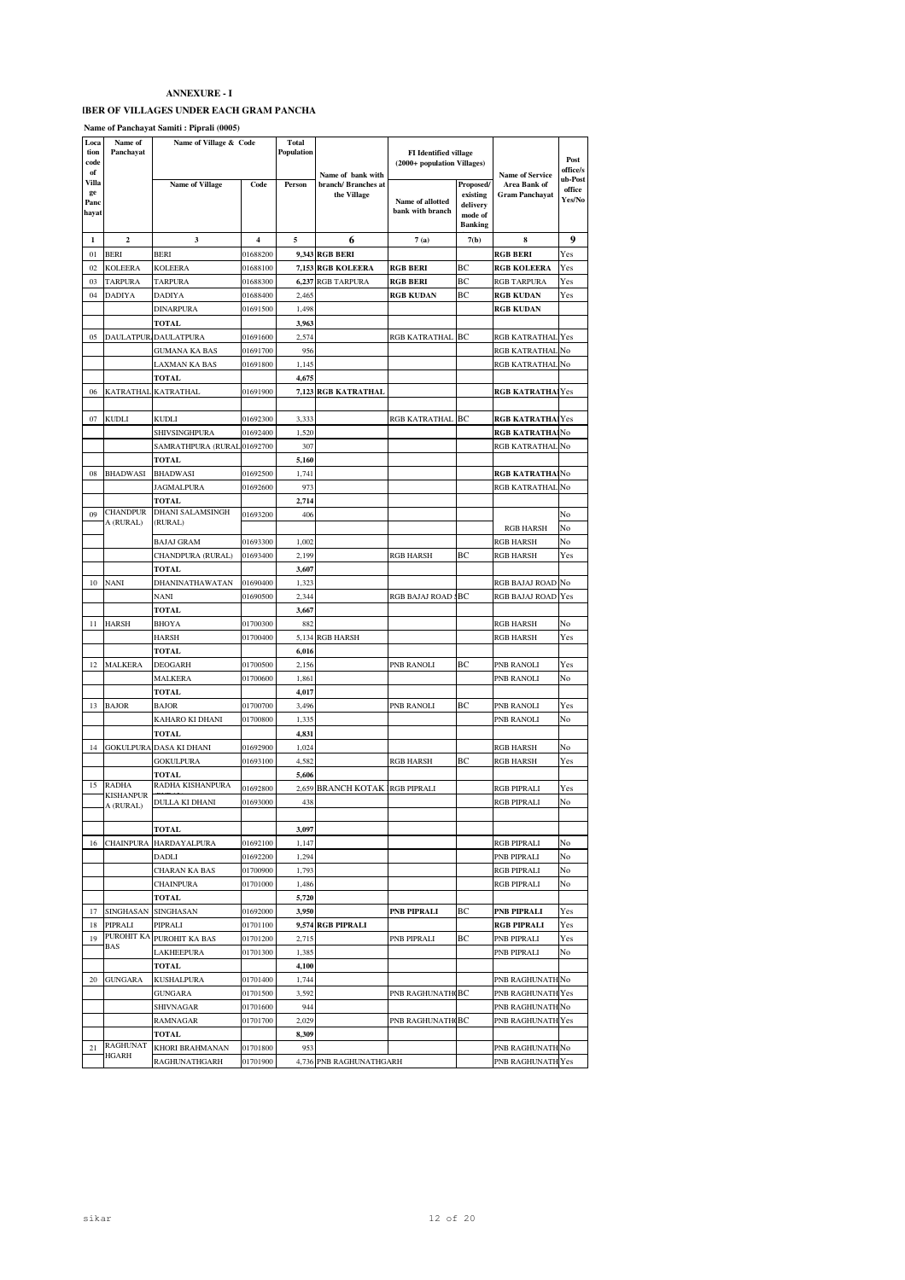#### **IBER OF VILLAGES UNDER EACH GRAM PANCHA**

**Name of Panchayat Samiti : Piprali (0005)**

| Loca       | Name of             | Name of Village & Code      |          | <b>Total</b> |                                  |                              |                     |                         |                  |
|------------|---------------------|-----------------------------|----------|--------------|----------------------------------|------------------------------|---------------------|-------------------------|------------------|
| tion       | Panchayat           |                             |          | Population   |                                  | <b>FI</b> Identified village |                     |                         | Post             |
| code<br>of |                     |                             |          |              | Name of bank with                | (2000+ population Villages)  |                     | <b>Name of Service</b>  | office/s         |
| Villa      |                     | Name of Village             | Code     | Person       | branch/ Branches at              |                              | Proposed/           | Area Bank of            | ub-Post          |
| ge<br>Panc |                     |                             |          |              | the Village                      | Name of allotted             | existing            | <b>Gram Panchayat</b>   | office<br>Yes/No |
| hayat      |                     |                             |          |              |                                  | bank with branch             | delivery<br>mode of |                         |                  |
|            |                     |                             |          |              |                                  |                              | <b>Banking</b>      |                         |                  |
| 1          | $\mathbf{2}$        | 3                           | 4        | 5            | 6                                | 7(a)                         | 7(b)                | 8                       | 9                |
| 01         | <b>BERI</b>         | <b>BERI</b>                 | 01688200 |              | <b>9,343 RGB BERI</b>            |                              |                     | <b>RGB BERI</b>         | Yes              |
| 02         | <b>KOLEERA</b>      | <b>KOLEERA</b>              | 01688100 | 7,153        | <b>RGB KOLEERA</b>               | <b>RGB BERI</b>              | ВC                  | <b>RGB KOLEERA</b>      | Yes              |
| 03         | <b>TARPURA</b>      | <b>TARPURA</b>              | 01688300 | 6,237        | <b>RGB TARPURA</b>               | RGB BERI                     | ВC                  | <b>RGB TARPURA</b>      | Yes              |
| 04         | DADIYA              | <b>DADIYA</b>               | 01688400 | 2,465        |                                  | <b>RGB KUDAN</b>             | ВC                  | <b>RGB KUDAN</b>        | Yes              |
|            |                     | <b>DINARPURA</b>            | 01691500 | 1,498        |                                  |                              |                     | <b>RGB KUDAN</b>        |                  |
|            |                     | TOTAL                       |          | 3,963        |                                  |                              |                     |                         |                  |
| 05         |                     | DAULATPUR DAULATPURA        | 01691600 | 2,574        |                                  | RGB KATRATHAL BC             |                     | RGB KATRATHAL           | Yes              |
|            |                     | <b>GUMANA KA BAS</b>        | 01691700 | 956          |                                  |                              |                     | RGB KATRATHAL           | No               |
|            |                     | LAXMAN KA BAS               | 01691800 | 1,145        |                                  |                              |                     | RGB KATRATHAL No        |                  |
|            |                     | <b>TOTAL</b>                |          | 4,675        |                                  |                              |                     |                         |                  |
| 06         | KATRATHAL           | <b>KATRATHAL</b>            | 01691900 | 7,123        | <b>RGB KATRATHAL</b>             |                              |                     | <b>RGB KATRATHA Yes</b> |                  |
|            |                     |                             |          |              |                                  |                              |                     |                         |                  |
| 07         | KUDLI               | <b>KUDLI</b>                | 01692300 | 3,333        |                                  | RGB KATRATHAL                | BC                  | <b>RGB KATRATHA</b>     | Yes              |
|            |                     | SHIVSINGHPURA               | 01692400 | 1,520        |                                  |                              |                     | <b>RGB KATRATHA</b>     | No               |
|            |                     | SAMRATHPURA (RURAL 01692700 |          | 307          |                                  |                              |                     | RGB KATRATHAL No        |                  |
|            |                     | <b>TOTAL</b>                |          | 5,160        |                                  |                              |                     |                         |                  |
| 08         | <b>BHADWASI</b>     | <b>BHADWASI</b>             | 01692500 | 1,741        |                                  |                              |                     | <b>RGB KATRATHA</b>     | No               |
|            |                     | <b>JAGMALPURA</b>           | 01692600 | 973          |                                  |                              |                     | RGB KATRATHAL           | No               |
|            |                     | <b>TOTAL</b>                |          | 2,714        |                                  |                              |                     |                         |                  |
| 09         | <b>CHANDPUR</b>     | <b>DHANI SALAMSINGH</b>     | 01693200 | 406          |                                  |                              |                     |                         | No               |
|            | A (RURAL)           | (RURAL)                     |          |              |                                  |                              |                     | <b>RGB HARSH</b>        | No               |
|            |                     | <b>BAJAJ GRAM</b>           | 01693300 | 1,002        |                                  |                              |                     | <b>RGB HARSH</b>        | No               |
|            |                     | CHANDPURA (RURAL)           | 01693400 | 2,199        |                                  | RGB HARSH                    | BC                  | <b>RGB HARSH</b>        | Yes              |
|            |                     | <b>TOTAL</b>                |          | 3,607        |                                  |                              |                     |                         |                  |
| 10         | <b>NANI</b>         | DHANINATHAWATAN             | 01690400 | 1,323        |                                  |                              |                     | RGB BAJAJ ROAD No       |                  |
|            |                     | <b>NANI</b>                 | 01690500 | 2,344        |                                  | RGB BAJAJ ROAD               | ВC                  | RGB BAJAJ ROAD          | Yes              |
|            |                     | <b>TOTAL</b>                |          | 3,667        |                                  |                              |                     |                         |                  |
| 11         | HARSH               | <b>BHOYA</b>                | 01700300 | 882          |                                  |                              |                     | <b>RGB HARSH</b>        | No               |
|            |                     | <b>HARSH</b>                | 01700400 |              | 5,134 RGB HARSH                  |                              |                     | <b>RGB HARSH</b>        | Yes              |
|            |                     | <b>TOTAL</b>                |          | 6,016        |                                  |                              |                     |                         |                  |
| 12         | <b>MALKERA</b>      | <b>DEOGARH</b>              | 01700500 | 2,156        |                                  | PNB RANOLI                   | ВC                  | PNB RANOLI              | Yes              |
|            |                     | MALKERA                     | 01700600 | 1,861        |                                  |                              |                     | PNB RANOLI              | No               |
|            |                     | <b>TOTAL</b>                |          | 4,017        |                                  |                              |                     |                         |                  |
| 13         | <b>BAJOR</b>        | <b>BAJOR</b>                | 01700700 | 3,496        |                                  | PNB RANOLI                   | ВC                  | PNB RANOLI              | Yes              |
|            |                     | KAHARO KI DHANI             | 01700800 | 1,335        |                                  |                              |                     | PNB RANOLI              | No               |
|            |                     | <b>TOTAL</b>                |          | 4,831        |                                  |                              |                     |                         |                  |
| 14         | GOKULPURA           | DASA KI DHANI               | 01692900 | 1,024        |                                  |                              |                     | <b>RGB HARSH</b>        | No               |
|            |                     | <b>GOKULPURA</b>            | 01693100 | 4,582        |                                  | RGB HARSH                    | ВC                  | <b>RGB HARSH</b>        | Yes              |
|            |                     | <b>TOTAL</b>                |          | 5,606        |                                  |                              |                     |                         |                  |
| 15         | RADHA<br>KISHANPUR  | RADHA KISHANPURA            | 01692800 | 2,659        | <b>BRANCH KOTAK IRGB PIPRALI</b> |                              |                     | RGB PIPRALI             | Yes              |
|            | A (RURAL)           | DULLA KI DHANI              | 01693000 | 438          |                                  |                              |                     | <b>RGB PIPRALI</b>      | No               |
|            |                     |                             |          |              |                                  |                              |                     |                         |                  |
|            |                     | <b>TOTAL</b>                |          | 3,097        |                                  |                              |                     |                         |                  |
| 16         | <b>CHAINPURA</b>    | HARDAYALPURA                | 01692100 | 1,147        |                                  |                              |                     | <b>RGB PIPRALI</b>      | No               |
|            |                     | <b>DADLI</b>                | 01692200 | 1,294        |                                  |                              |                     | PNB PIPRALI             | No               |
|            |                     | CHARAN KA BAS               | 01700900 | 1,793        |                                  |                              |                     | <b>RGB PIPRALI</b>      | No               |
|            |                     | <b>CHAINPURA</b>            | 01701000 | 1,486        |                                  |                              |                     | <b>RGB PIPRALI</b>      | No               |
|            |                     | <b>TOTAL</b>                |          | 5,720        |                                  |                              |                     |                         |                  |
| 17         | SINGHASAN SINGHASAN |                             | 01692000 | 3,950        |                                  | PNB PIPRALI                  | BC                  | PNB PIPRALI             | Yes              |
| 18         | PIPRALI             | PIPRALI                     | 01701100 |              | 9,574 RGB PIPRALI                |                              |                     | RGB PIPRALI             | Yes              |
| 19         | PUROHIT KA<br>BAS   | PUROHIT KA BAS              | 01701200 | 2,715        |                                  | PNB PIPRALI                  | BC                  | PNB PIPRALI             | Yes              |
|            |                     | LAKHEEPURA                  | 01701300 | 1,385        |                                  |                              |                     | PNB PIPRALI             | No               |
|            |                     | <b>TOTAL</b>                |          | 4,100        |                                  |                              |                     |                         |                  |
| 20         | <b>GUNGARA</b>      | <b>KUSHALPURA</b>           | 01701400 | 1,744        |                                  |                              |                     | PNB RAGHUNATH No        |                  |
|            |                     | <b>GUNGARA</b>              | 01701500 | 3,592        |                                  | PNB RAGHUNATH BC             |                     | PNB RAGHUNATH Yes       |                  |
|            |                     | <b>SHIVNAGAR</b>            | 01701600 | 944          |                                  |                              |                     | PNB RAGHUNATH No        |                  |
|            |                     | RAMNAGAR                    | 01701700 | 2,029        |                                  | PNB RAGHUNATH BC             |                     | PNB RAGHUNATH Yes       |                  |
|            |                     | <b>TOTAL</b>                |          | 8,309        |                                  |                              |                     |                         |                  |
| 21         | RAGHUNAT<br>HGARH   | KHORI BRAHMANAN             | 01701800 | 953          |                                  |                              |                     | PNB RAGHUNATH No        |                  |
|            |                     | <b>RAGHUNATHGARH</b>        | 01701900 |              | 4,736 PNB RAGHUNATHGARH          |                              |                     | PNB RAGHUNATH Yes       |                  |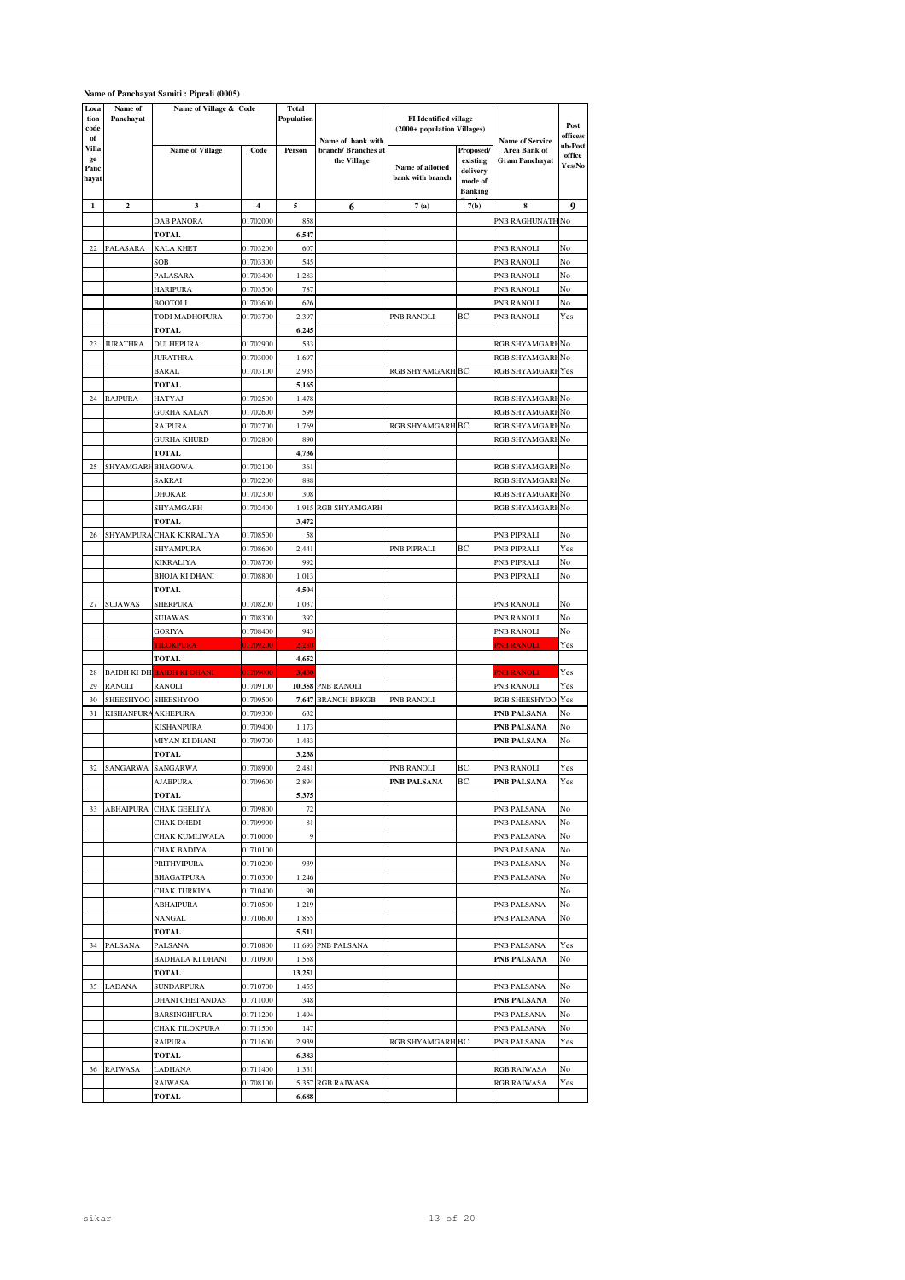|                              |                      | Name of Panchayat Samiti : Piprali (0005) |                      |                     |                                    |                                                             |                                                                |                                       |                             |
|------------------------------|----------------------|-------------------------------------------|----------------------|---------------------|------------------------------------|-------------------------------------------------------------|----------------------------------------------------------------|---------------------------------------|-----------------------------|
| Loca<br>tion<br>code<br>of   | Name of<br>Panchayat | Name of Village & Code                    |                      | Total<br>Population | Name of bank with                  | <b>FI</b> Identified village<br>(2000+ population Villages) |                                                                | <b>Name of Service</b>                | Post<br>office/s            |
| Villa<br>ge<br>Panc<br>hayat |                      | <b>Name of Village</b>                    | Code                 | Person              | branch/ Branches at<br>the Village | Name of allotted<br>bank with branch                        | Proposed/<br>existing<br>delivery<br>mode of<br><b>Banking</b> | Area Bank of<br><b>Gram Panchayat</b> | ub-Post<br>office<br>Yes/No |
| 1                            | $\boldsymbol{2}$     | 3                                         | 4                    | 5                   | 6                                  | 7(a)                                                        | 7(b)                                                           | 8                                     | 9                           |
|                              |                      | <b>DAB PANORA</b>                         | 01702000             | 858                 |                                    |                                                             |                                                                | PNB RAGHUNATH                         | No                          |
|                              |                      | TOTAL                                     |                      | 6,547               |                                    |                                                             |                                                                |                                       |                             |
| 22                           | PALASARA             | <b>KALA KHET</b>                          | 01703200             | 607                 |                                    |                                                             |                                                                | PNB RANOLI                            | No                          |
|                              |                      | SOB                                       | 01703300             | 545                 |                                    |                                                             |                                                                | PNB RANOLI                            | No                          |
|                              |                      | PALASARA                                  | 01703400             | 1,283               |                                    |                                                             |                                                                | PNB RANOLI                            | No                          |
|                              |                      | <b>HARIPURA</b>                           | 01703500             | 787                 |                                    |                                                             |                                                                | PNB RANOLI                            | No                          |
|                              |                      | <b>BOOTOLI</b>                            | 01703600             | 626                 |                                    |                                                             |                                                                | PNB RANOLI                            | No                          |
|                              |                      | TODI MADHOPURA<br>TOTAL                   | 01703700             | 2,397<br>6,245      |                                    | PNB RANOLI                                                  | ВC                                                             | PNB RANOLI                            | Yes                         |
| 23                           | JURATHRA             | DULHEPURA                                 | 01702900             | 533                 |                                    |                                                             |                                                                | RGB SHYAMGARI                         | No                          |
|                              |                      | JURATHRA                                  | 01703000             | 1,697               |                                    |                                                             |                                                                | RGB SHYAMGARI No                      |                             |
|                              |                      | BARAL                                     | 01703100             | 2,935               |                                    | RGB SHYAMGARH BC                                            |                                                                | RGB SHYAMGARI Yes                     |                             |
|                              |                      | <b>TOTAL</b>                              |                      | 5,165               |                                    |                                                             |                                                                |                                       |                             |
| 24                           | RAJPURA              | HATYAJ                                    | 01702500             | 1,478               |                                    |                                                             |                                                                | RGB SHYAMGARI No                      |                             |
|                              |                      | GURHA KALAN                               | 01702600             | 599                 |                                    |                                                             |                                                                | RGB SHYAMGARI No                      |                             |
|                              |                      | <b>RAJPURA</b>                            | 01702700             | 1,769               |                                    | RGB SHYAMGARH BC                                            |                                                                | RGB SHYAMGARI No                      |                             |
|                              |                      | <b>GURHA KHURD</b>                        | 01702800             | 890                 |                                    |                                                             |                                                                | RGB SHYAMGARI No                      |                             |
|                              |                      | TOTAL                                     |                      | 4,736               |                                    |                                                             |                                                                |                                       |                             |
| 25                           | SHYAMGARI BHAGOWA    |                                           | 01702100             | 361                 |                                    |                                                             |                                                                | RGB SHYAMGARI No                      |                             |
|                              |                      | SAKRAI                                    | 01702200             | 888                 |                                    |                                                             |                                                                | RGB SHYAMGARI No                      |                             |
|                              |                      | DHOKAR                                    | 01702300             | 308                 |                                    |                                                             |                                                                | RGB SHYAMGARI No                      |                             |
|                              |                      | SHYAMGARH                                 | 01702400             | 1,915               | RGB SHYAMGARH                      |                                                             |                                                                | RGB SHYAMGARI No                      |                             |
|                              |                      | TOTAL                                     |                      | 3,472               |                                    |                                                             |                                                                |                                       |                             |
| 26                           | SHYAMPURA            | CHAK KIKRALIYA                            | 01708500             | 58                  |                                    |                                                             |                                                                | PNB PIPRALI                           | No                          |
|                              |                      | SHYAMPURA                                 | 01708600             | 2,441               |                                    | PNB PIPRALI                                                 | BC                                                             | PNB PIPRALI                           | Yes                         |
|                              |                      | KIKRALIYA                                 | 01708700             | 992                 |                                    |                                                             |                                                                | PNB PIPRALI                           | No                          |
|                              |                      | BHOJA KI DHANI<br>TOTAL                   | 01708800             | 1,013<br>4,504      |                                    |                                                             |                                                                | PNB PIPRALI                           | No                          |
| 27                           | SUJAWAS              | SHERPURA                                  | 01708200             | 1,037               |                                    |                                                             |                                                                | PNB RANOLI                            | No                          |
|                              |                      | SUJAWAS                                   | 01708300             | 392                 |                                    |                                                             |                                                                | PNB RANOLI                            | No                          |
|                              |                      | GORIYA                                    | 01708400             | 943                 |                                    |                                                             |                                                                | PNB RANOLI                            | No                          |
|                              |                      | <b>TILOKPURA</b>                          | 01709200             | 2,280               |                                    |                                                             |                                                                | <b>PNB RANOLI</b>                     | Yes                         |
|                              |                      | TOTAL                                     |                      | 4,652               |                                    |                                                             |                                                                |                                       |                             |
| 28                           | BAIDH KI DH          | <b>BAIDH KI DHANI</b>                     | 01709000             | 3,430               |                                    |                                                             |                                                                | <b>PNB RANOLI</b>                     | Yes                         |
| 29                           | RANOLI               | RANOLI                                    | 01709100             |                     | 10,358 PNB RANOLI                  |                                                             |                                                                | PNB RANOLI                            | Yes                         |
| 30                           | SHEESHYOO            | <b>SHEESHYOO</b>                          | 01709500             | 7,647               | <b>BRANCH BRKGB</b>                | PNB RANOLI                                                  |                                                                | RGB SHEESHYOO                         | Yes                         |
| 31                           | KISHANPURA AKHEPURA  |                                           | 01709300             | 632                 |                                    |                                                             |                                                                | PNB PALSANA                           | No                          |
|                              |                      | KISHANPURA                                | 01709400             | 1,173               |                                    |                                                             |                                                                | PNB PALSANA                           | No                          |
|                              |                      | MIYAN KI DHANI                            | 01709700             | 1,433               |                                    |                                                             |                                                                | PNB PALSANA                           | No                          |
|                              |                      | TOTAL                                     |                      | 3,238               |                                    |                                                             |                                                                |                                       |                             |
| 32                           | SANGARWA             | SANGARWA                                  | 01708900             | 2,481               |                                    | PNB RANOLI                                                  | BC                                                             | PNB RANOLI                            | Yes                         |
|                              |                      | AJABPURA<br>TOTAL                         | 01709600             | 2,894<br>5,375      |                                    | PNB PALSANA                                                 | BС                                                             | PNB PALSANA                           | Yes                         |
| 33                           | ABHAIPURA            | CHAK GEELIYA                              | 01709800             | 72                  |                                    |                                                             |                                                                | PNB PALSANA                           | No                          |
|                              |                      | CHAK DHEDI                                | 01709900             | 81                  |                                    |                                                             |                                                                | PNB PALSANA                           | No                          |
|                              |                      | CHAK KUMLIWALA                            | 01710000             | 9                   |                                    |                                                             |                                                                | PNB PALSANA                           | No                          |
|                              |                      | CHAK BADIYA                               | 01710100             |                     |                                    |                                                             |                                                                | PNB PALSANA                           | No                          |
|                              |                      | PRITHVIPURA                               | 01710200             | 939                 |                                    |                                                             |                                                                | PNB PALSANA                           | No                          |
|                              |                      | <b>BHAGATPURA</b>                         | 01710300             | 1,246               |                                    |                                                             |                                                                | PNB PALSANA                           | No                          |
|                              |                      | CHAK TURKIYA                              | 01710400             | 90                  |                                    |                                                             |                                                                |                                       | No                          |
|                              |                      | <b>ABHAIPURA</b>                          | 01710500             | 1,219               |                                    |                                                             |                                                                | PNB PALSANA                           | No                          |
|                              |                      | NANGAL                                    | 01710600             | 1,855               |                                    |                                                             |                                                                | PNB PALSANA                           | No                          |
|                              |                      | TOTAL                                     |                      | 5,511               |                                    |                                                             |                                                                |                                       |                             |
| 34                           | PALSANA              | PALSANA                                   | 01710800             |                     | 11,693 PNB PALSANA                 |                                                             |                                                                | PNB PALSANA                           | Yes                         |
|                              |                      | BADHALA KI DHANI                          | 01710900             | 1,558               |                                    |                                                             |                                                                | PNB PALSANA                           | No                          |
|                              |                      | <b>TOTAL</b>                              |                      | 13,251              |                                    |                                                             |                                                                |                                       |                             |
| 35                           | LADANA               | <b>SUNDARPURA</b><br>DHANI CHETANDAS      | 01710700<br>01711000 | 1,455<br>348        |                                    |                                                             |                                                                | PNB PALSANA<br>PNB PALSANA            | No<br>No                    |
|                              |                      | <b>BARSINGHPURA</b>                       | 01711200             | 1,494               |                                    |                                                             |                                                                | PNB PALSANA                           | No                          |
|                              |                      | CHAK TILOKPURA                            | 01711500             | 147                 |                                    |                                                             |                                                                | PNB PALSANA                           | No                          |
|                              |                      | <b>RAIPURA</b>                            | 01711600             | 2,939               |                                    | RGB SHYAMGARH BC                                            |                                                                | PNB PALSANA                           | Yes                         |
|                              |                      | <b>TOTAL</b>                              |                      | 6,383               |                                    |                                                             |                                                                |                                       |                             |
| 36                           | RAIWASA              | LADHANA                                   | 01711400             | 1,331               |                                    |                                                             |                                                                | RGB RAIWASA                           | No                          |
|                              |                      | RAIWASA                                   | 01708100             |                     | 5,357 RGB RAIWASA                  |                                                             |                                                                | RGB RAIWASA                           | Yes                         |
|                              |                      | TOTAL                                     |                      | 6,688               |                                    |                                                             |                                                                |                                       |                             |

# **Name of Panchayat Samiti : Piprali (0005)**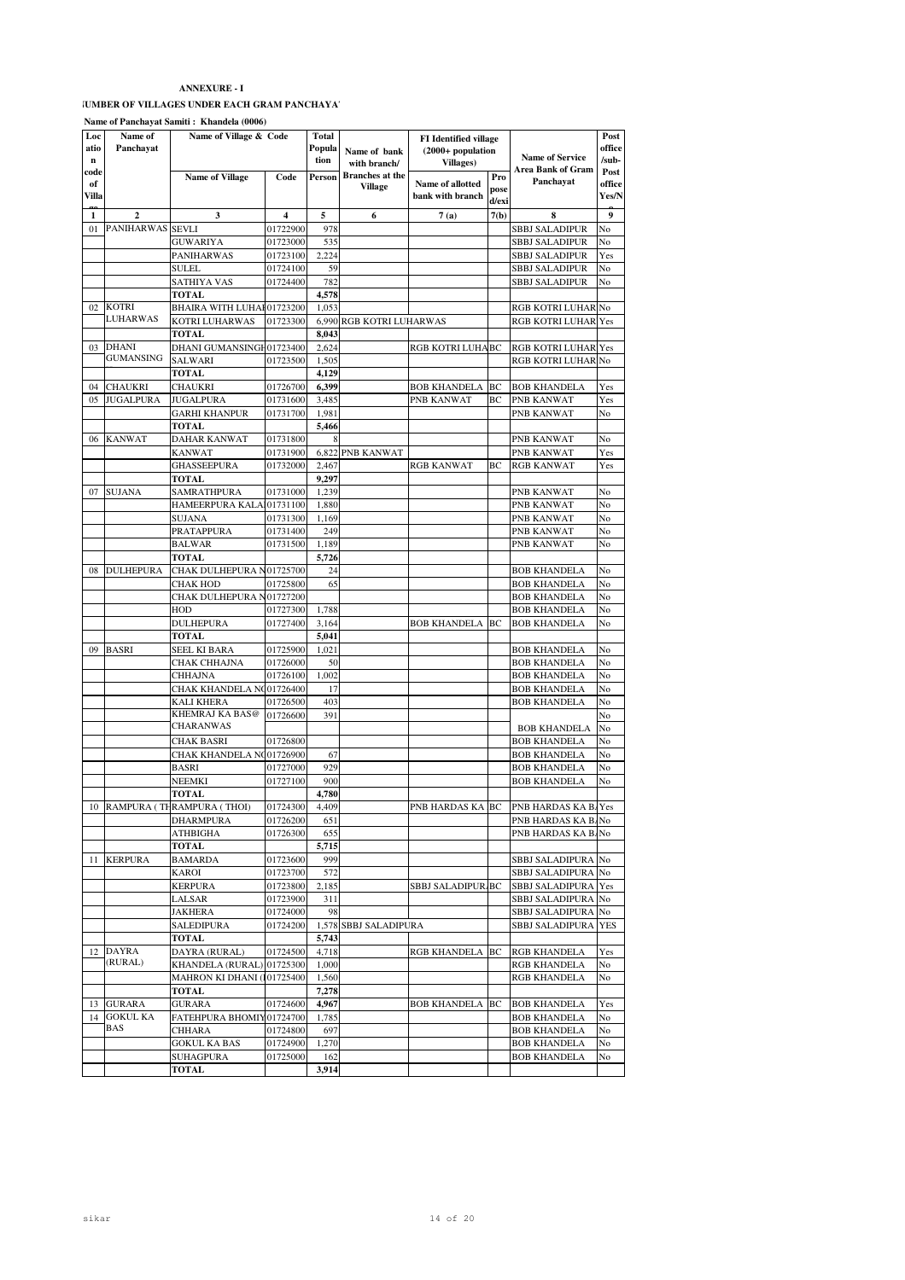# **IUMBER OF VILLAGES UNDER EACH GRAM PANCHAYAT**

**Name of Panchayat Samiti : Khandela (0006)**

| Loc         | Name of          | $\cdots$<br>Name of Village & Code |                         | Total  |                                   |                                  |       |                                            | Post   |
|-------------|------------------|------------------------------------|-------------------------|--------|-----------------------------------|----------------------------------|-------|--------------------------------------------|--------|
| atio        | Panchayat        |                                    |                         | Popula |                                   | <b>FI</b> Identified village     |       |                                            | office |
| $\mathbf n$ |                  |                                    |                         | tion   | Name of bank                      | $(2000+$ population<br>Villages) |       | <b>Name of Service</b>                     | /sub-  |
| code        |                  |                                    |                         |        | with branch/                      |                                  |       | <b>Area Bank of Gram</b>                   | Post   |
| of          |                  | <b>Name of Village</b>             | Code                    | Person | <b>Branches</b> at the<br>Village | Name of allotted                 | Pro   | Panchayat                                  | office |
| Villa       |                  |                                    |                         |        |                                   | bank with branch                 | pose  |                                            | Yes/N  |
|             |                  |                                    |                         |        |                                   |                                  | d/exi |                                            |        |
| 1           | $\overline{2}$   | 3                                  | $\overline{\mathbf{4}}$ | 5      | 6                                 | 7(a)                             | 7(b)  | 8                                          | 9      |
| 01          | PANIHARWAS SEVLI |                                    | 01722900                | 978    |                                   |                                  |       | SBBJ SALADIPUR                             | No     |
|             |                  | GUWARIYA                           | 01723000                | 535    |                                   |                                  |       | SBBJ SALADIPUR                             | No     |
|             |                  | <b>PANIHARWAS</b>                  | 01723100                | 2,224  |                                   |                                  |       | SBBJ SALADIPUR                             | Yes    |
|             |                  | SULEL                              | 01724100                | 59     |                                   |                                  |       | SBBJ SALADIPUR                             | No     |
|             |                  | SATHIYA VAS                        | 01724400                | 782    |                                   |                                  |       | SBBJ SALADIPUR                             | No     |
|             |                  | <b>TOTAL</b>                       |                         | 4,578  |                                   |                                  |       |                                            |        |
| 02          | KOTRI            | BHAIRA WITH LUHAF01723200          |                         | 1.053  |                                   |                                  |       | RGB KOTRI LUHAR No                         |        |
|             | LUHARWAS         | KOTRI LUHARWAS                     | 01723300                |        | 6,990 RGB KOTRI LUHARWAS          |                                  |       | RGB KOTRI LUHAR Yes                        |        |
|             |                  | TOTAL                              |                         | 8,043  |                                   |                                  |       |                                            |        |
| 03          | <b>DHANI</b>     | DHANI GUMANSINGH01723400           |                         | 2,624  |                                   | RGB KOTRI LUHA BC                |       | RGB KOTRI LUHAR Yes                        |        |
|             | GUMANSING        | SALWARI                            | 01723500                | 1,505  |                                   |                                  |       | RGB KOTRI LUHAR No                         |        |
|             |                  | TOTAL                              |                         | 4,129  |                                   |                                  |       |                                            |        |
| 04          | <b>CHAUKRI</b>   | CHAUKRI                            | 01726700                | 6,399  |                                   | <b>BOB KHANDELA</b>              | BC    | <b>BOB KHANDELA</b>                        | Yes    |
| 05          | <b>JUGALPURA</b> | JUGALPURA                          | 01731600                | 3,485  |                                   | PNB KANWAT                       | BС    | PNB KANWAT                                 | Yes    |
|             |                  | <b>GARHI KHANPUR</b>               | 01731700                | 1,981  |                                   |                                  |       | PNB KANWAT                                 | No     |
|             |                  | TOTAL                              |                         | 5,466  |                                   |                                  |       |                                            |        |
| 06          | <b>KANWAT</b>    | DAHAR KANWAT                       | 01731800                | 8      |                                   |                                  |       | PNB KANWAT                                 | No     |
|             |                  | <b>KANWAT</b>                      | 01731900                |        | 6,822 PNB KANWAT                  |                                  |       | PNB KANWAT                                 | Yes    |
|             |                  | <b>GHASSEEPURA</b>                 | 01732000                | 2,467  |                                   | <b>RGB KANWAT</b>                | BC    | <b>RGB KANWAT</b>                          | Yes    |
|             |                  | TOTAL                              |                         | 9,297  |                                   |                                  |       |                                            |        |
| 07          | <b>SUJANA</b>    | SAMRATHPURA                        | 01731000                | 1,239  |                                   |                                  |       | PNB KANWAT                                 | No     |
|             |                  | HAMEERPURA KALAI01731100           |                         | 1,880  |                                   |                                  |       | PNB KANWAT                                 | No     |
|             |                  | SUJANA                             | 01731300                | 1,169  |                                   |                                  |       | PNB KANWAT                                 | No     |
|             |                  | PRATAPPURA                         | 01731400                | 249    |                                   |                                  |       |                                            | No     |
|             |                  |                                    | 01731500                | 1,189  |                                   |                                  |       | PNB KANWAT<br>PNB KANWAT                   | No     |
|             |                  | <b>BALWAR</b>                      |                         |        |                                   |                                  |       |                                            |        |
|             |                  | TOTAL                              |                         | 5,726  |                                   |                                  |       |                                            |        |
| 08          | DULHEPURA        | CHAK DULHEPURA N01725700           |                         | 24     |                                   |                                  |       | <b>BOB KHANDELA</b>                        | No     |
|             |                  | CHAK HOD                           | 01725800                | 65     |                                   |                                  |       | <b>BOB KHANDELA</b>                        | No     |
|             |                  | CHAK DULHEPURA N01727200           |                         |        |                                   |                                  |       | <b>BOB KHANDELA</b>                        | No     |
|             |                  | HOD                                | 01727300                | 1,788  |                                   |                                  |       | <b>BOB KHANDELA</b>                        | No     |
|             |                  | DULHEPURA                          | 01727400                | 3,164  |                                   | <b>BOB KHANDELA</b>              | BC    | <b>BOB KHANDELA</b>                        | No     |
|             |                  | TOTAL                              |                         | 5,041  |                                   |                                  |       |                                            |        |
| 09          | BASRI            | SEEL KI BARA                       | 01725900                | 1,021  |                                   |                                  |       | <b>BOB KHANDELA</b>                        | No     |
|             |                  | CHAK CHHAJNA                       | 01726000                | 50     |                                   |                                  |       | <b>BOB KHANDELA</b>                        | No     |
|             |                  | CHHAJNA                            | 01726100                | 1,002  |                                   |                                  |       | <b>BOB KHANDELA</b>                        | No     |
|             |                  | CHAK KHANDELA NO01726400           |                         | 17     |                                   |                                  |       | <b>BOB KHANDELA</b>                        | No     |
|             |                  | KALI KHERA                         | 01726500                | 403    |                                   |                                  |       | <b>BOB KHANDELA</b>                        | No     |
|             |                  | KHEMRAJ KA BAS@                    | 01726600                | 391    |                                   |                                  |       |                                            | No     |
|             |                  | CHARANWAS                          |                         |        |                                   |                                  |       | <b>BOB KHANDELA</b>                        | No     |
|             |                  | CHAK BASRI                         | 01726800                |        |                                   |                                  |       | <b>BOB KHANDELA</b>                        | No     |
|             |                  | CHAK KHANDELA NG01726900           |                         | 67     |                                   |                                  |       | <b>BOB KHANDELA</b>                        | No     |
|             |                  | BASRI                              | 01727000                | 929    |                                   |                                  |       | <b>BOB KHANDELA</b>                        | No     |
|             |                  | NEEMKI                             | 01727100                | 900    |                                   |                                  |       | <b>BOB KHANDELA</b>                        | No     |
|             |                  | TOTAL                              |                         | 4,780  |                                   |                                  |       |                                            |        |
|             |                  | 10 RAMPURA (THRAMPURA (THOI)       | 01724300                | 4,409  |                                   | PNB HARDAS KA BC                 |       | $\overline{\mathrm{PNB}}$ HARDAS KA B. Yes |        |
|             |                  | <b>DHARMPURA</b>                   | 01726200                | 651    |                                   |                                  |       | PNB HARDAS KA B. No                        |        |
|             |                  | ATHBIGHA                           | 01726300                | 655    |                                   |                                  |       | PNB HARDAS KA B. No                        |        |
|             |                  | TOTAL                              |                         | 5,715  |                                   |                                  |       |                                            |        |
| 11          | <b>KERPURA</b>   | <b>BAMARDA</b>                     | 01723600                | 999    |                                   |                                  |       | SBBJ SALADIPURA No                         |        |
|             |                  | KAROI                              | 01723700                | 572    |                                   |                                  |       | SBBJ SALADIPURA No                         |        |
|             |                  | <b>KERPURA</b>                     | 01723800                | 2,185  |                                   | SBBJ SALADIPUR BC                |       | SBBJ SALADIPURA Yes                        |        |
|             |                  | LALSAR                             | 01723900                | 311    |                                   |                                  |       | SBBJ SALADIPURA No                         |        |
|             |                  | JAKHERA                            | 01724000                | 98     |                                   |                                  |       | SBBJ SALADIPURA No                         |        |
|             |                  | SALEDIPURA                         | 01724200                |        | 1,578 SBBJ SALADIPURA             |                                  |       | SBBJ SALADIPURA YES                        |        |
|             |                  | TOTAL                              |                         | 5,743  |                                   |                                  |       |                                            |        |
| 12          | <b>DAYRA</b>     | DAYRA (RURAL)                      | 01724500                | 4,718  |                                   | RGB KHANDELA BC                  |       | <b>RGB KHANDELA</b>                        | Yes    |
|             | (RURAL)          | KHANDELA (RURAL) 01725300          |                         | 1,000  |                                   |                                  |       | <b>RGB KHANDELA</b>                        | No     |
|             |                  | MAHRON KI DHANI (101725400         |                         | 1,560  |                                   |                                  |       | RGB KHANDELA                               | No     |
|             |                  | TOTAL                              |                         | 7,278  |                                   |                                  |       |                                            |        |
|             | 13 GURARA        | GURARA                             | 01724600                | 4,967  |                                   | <b>BOB KHANDELA</b>              | BC    | <b>BOB KHANDELA</b>                        | Yes    |
| 14          | <b>GOKUL KA</b>  | FATEHPURA BHOMIY01724700           |                         | 1,785  |                                   |                                  |       | <b>BOB KHANDELA</b>                        | No     |
|             | BAS              | CHHARA                             | 01724800                | 697    |                                   |                                  |       | <b>BOB KHANDELA</b>                        | No     |
|             |                  |                                    |                         |        |                                   |                                  |       |                                            |        |
|             |                  | <b>GOKUL KA BAS</b>                | 01724900                | 1,270  |                                   |                                  |       | <b>BOB KHANDELA</b><br><b>BOB KHANDELA</b> | No     |
|             |                  | SUHAGPURA                          | 01725000                | 162    |                                   |                                  |       |                                            | No     |
|             |                  | TOTAL                              |                         | 3,914  |                                   |                                  |       |                                            |        |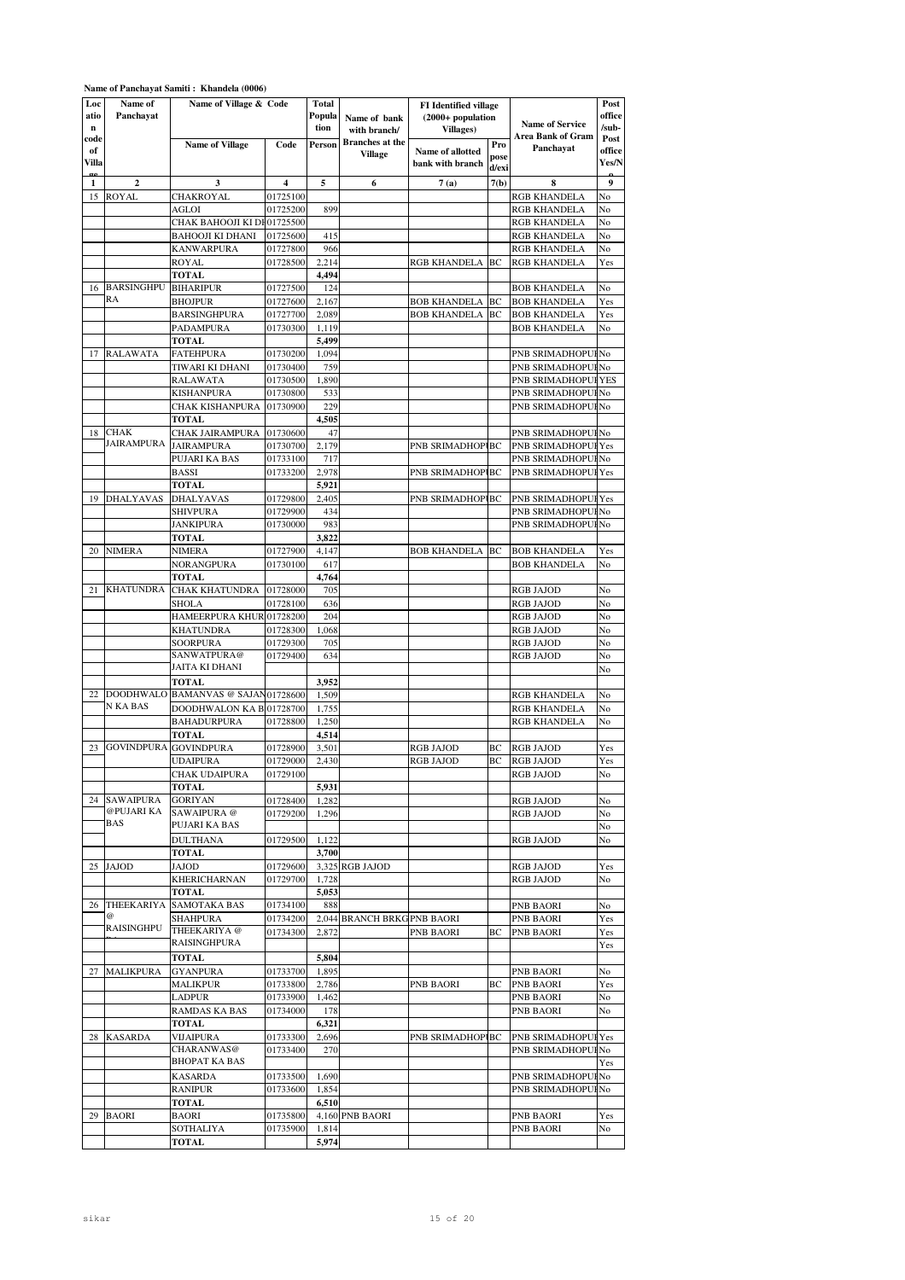|                            |                              | Name of Panchayat Samiti: Khandela (0006)                   |                      |                         |                                          |                                                                  |                      |                                            |                         |
|----------------------------|------------------------------|-------------------------------------------------------------|----------------------|-------------------------|------------------------------------------|------------------------------------------------------------------|----------------------|--------------------------------------------|-------------------------|
| Loc<br>atio<br>$\mathbf n$ | Name of<br>Panchayat         | Name of Village & Code                                      |                      | Total<br>Popula<br>tion | Name of bank<br>with branch/             | <b>FI</b> Identified village<br>$(2000+$ population<br>Villages) |                      | <b>Name of Service</b>                     | Post<br>office<br>/sub- |
| code<br>of<br>Villa        |                              | <b>Name of Village</b>                                      | Code                 | Person                  | <b>Branches</b> at the<br><b>Village</b> | Name of allotted<br>bank with branch                             | Pro<br>pose<br>d/exi | Area Bank of Gram<br>Panchayat             | Post<br>office<br>Yes/N |
| $\alpha$<br>1              | $\overline{2}$               | 3                                                           | 4                    | 5                       | 6                                        | 7(a)                                                             | 7(b)                 | 8                                          | 9                       |
| 15                         | <b>ROYAL</b>                 | CHAKROYAL                                                   | 01725100             |                         |                                          |                                                                  |                      | RGB KHANDELA                               | No                      |
|                            |                              | AGLOI                                                       | 01725200             | 899                     |                                          |                                                                  |                      | <b>RGB KHANDELA</b>                        | No                      |
|                            |                              | CHAK BAHOOJI KI DH01725500                                  |                      |                         |                                          |                                                                  |                      | <b>RGB KHANDELA</b>                        | No                      |
|                            |                              | <b>BAHOOJI KI DHANI</b>                                     | 01725600             | 415                     |                                          |                                                                  |                      | RGB KHANDELA                               | No                      |
|                            |                              | <b>KANWARPURA</b>                                           | 01727800             | 966                     |                                          |                                                                  |                      | <b>RGB KHANDELA</b>                        | No                      |
|                            |                              | <b>ROYAL</b>                                                | 01728500             | 2,214                   |                                          | RGB KHANDELA  BC                                                 |                      | RGB KHANDELA                               | Yes                     |
|                            |                              | <b>TOTAL</b>                                                |                      | 4,494                   |                                          |                                                                  |                      |                                            |                         |
| 16                         | <b>BARSINGHPU</b><br>RA      | <b>BIHARIPUR</b>                                            | 01727500             | 124                     |                                          |                                                                  |                      | <b>BOB KHANDELA</b>                        | No                      |
|                            |                              | <b>BHOJPUR</b><br><b>BARSINGHPURA</b>                       | 01727600<br>01727700 | 2,167<br>2,089          |                                          | BOB KHANDELA<br><b>BOB KHANDELA</b>                              | BC<br>BC             | BOB KHANDELA<br><b>BOB KHANDELA</b>        | Yes<br>Yes              |
|                            |                              | PADAMPURA                                                   | 01730300             | 1,119                   |                                          |                                                                  |                      | <b>BOB KHANDELA</b>                        | No                      |
|                            |                              | <b>TOTAL</b>                                                |                      | 5,499                   |                                          |                                                                  |                      |                                            |                         |
| 17                         | RALAWATA                     | <b>FATEHPURA</b>                                            | 01730200             | 1,094                   |                                          |                                                                  |                      | PNB SRIMADHOPUI No                         |                         |
|                            |                              | TIWARI KI DHANI                                             | 01730400             | 759                     |                                          |                                                                  |                      | PNB SRIMADHOPUI No                         |                         |
|                            |                              | <b>RALAWATA</b>                                             | 01730500             | 1,890                   |                                          |                                                                  |                      | PNB SRIMADHOPUI                            | YES                     |
|                            |                              | <b>KISHANPURA</b>                                           | 01730800             | 533                     |                                          |                                                                  |                      | PNB SRIMADHOPUI                            | No                      |
|                            |                              | <b>CHAK KISHANPURA</b>                                      | 01730900             | 229                     |                                          |                                                                  |                      | PNB SRIMADHOPUI                            | No                      |
|                            |                              | <b>TOTAL</b>                                                |                      | 4,505                   |                                          |                                                                  |                      |                                            |                         |
| 18                         | <b>CHAK</b>                  | CHAK JAIRAMPURA                                             | 01730600             | 47                      |                                          |                                                                  |                      | PNB SRIMADHOPUI No                         |                         |
|                            | JAIRAMPURA JAIRAMPURA        |                                                             | 01730700             | 2,179                   |                                          | PNB SRIMADHOPI BC                                                |                      | PNB SRIMADHOPUI Yes                        |                         |
|                            |                              | PUJARI KA BAS                                               | 01733100             | 717                     |                                          |                                                                  |                      | PNB SRIMADHOPUI                            | No                      |
|                            |                              | <b>BASSI</b>                                                | 01733200             | 2,978                   |                                          | PNB SRIMADHOPIBC                                                 |                      | PNB SRIMADHOPUI                            | Yes                     |
|                            |                              | <b>TOTAL</b>                                                |                      | 5,921                   |                                          |                                                                  |                      |                                            |                         |
| 19                         | <b>DHALYAVAS</b>             | <b>DHALYAVAS</b><br><b>SHIVPURA</b>                         | 01729800<br>01729900 | 2,405<br>434            |                                          | PNB SRIMADHOPIBC                                                 |                      | PNB SRIMADHOPUI<br>PNB SRIMADHOPUI         | Yes<br>No               |
|                            |                              | <b>JANKIPURA</b>                                            | 01730000             | 983                     |                                          |                                                                  |                      | PNB SRIMADHOPUI                            | No                      |
|                            |                              | <b>TOTAL</b>                                                |                      | 3,822                   |                                          |                                                                  |                      |                                            |                         |
| 20                         | <b>NIMERA</b>                | <b>NIMERA</b>                                               | 01727900             | 4,147                   |                                          | BOB KHANDELA                                                     | BC                   | <b>BOB KHANDELA</b>                        | Yes                     |
|                            |                              | NORANGPURA                                                  | 01730100             | 617                     |                                          |                                                                  |                      | <b>BOB KHANDELA</b>                        | No                      |
|                            |                              | <b>TOTAL</b>                                                |                      | 4,764                   |                                          |                                                                  |                      |                                            |                         |
| 21                         | <b>KHATUNDRA</b>             | <b>CHAK KHATUNDRA</b>                                       | 01728000             | 705                     |                                          |                                                                  |                      | <b>RGB JAJOD</b>                           | No                      |
|                            |                              | <b>SHOLA</b>                                                | 01728100             | 636                     |                                          |                                                                  |                      | <b>RGB JAJOD</b>                           | No                      |
|                            |                              | HAMEERPURA KHUR 01728200                                    |                      | 204                     |                                          |                                                                  |                      | <b>RGB JAJOD</b>                           | No                      |
|                            |                              | <b>KHATUNDRA</b>                                            | 01728300             | 1,068                   |                                          |                                                                  |                      | <b>RGB JAJOD</b>                           | No                      |
|                            |                              | <b>SOORPURA</b>                                             | 01729300             | 705                     |                                          |                                                                  |                      | RGB JAJOD                                  | No                      |
|                            |                              | SANWATPURA@                                                 | 01729400             | 634                     |                                          |                                                                  |                      | <b>RGB JAJOD</b>                           | No                      |
|                            |                              | JAITA KI DHANI                                              |                      |                         |                                          |                                                                  |                      |                                            | No                      |
|                            |                              | TOTAL                                                       |                      | 3,952                   |                                          |                                                                  |                      |                                            |                         |
| 22                         | <b>DOODHWALO</b><br>N KA BAS | <b>BAMANVAS @ SAJAN01728600</b><br>DOODHWALON KA BJ01728700 |                      | 1,509                   |                                          |                                                                  |                      | <b>RGB KHANDELA</b>                        | No                      |
|                            |                              | <b>BAHADURPURA</b>                                          | 01728800             | 1,755<br>1,250          |                                          |                                                                  |                      | <b>RGB KHANDELA</b><br><b>RGB KHANDELA</b> | No<br>No                |
|                            |                              | <b>TOTAL</b>                                                |                      | 4,514                   |                                          |                                                                  |                      |                                            |                         |
| 23                         | <b>GOVINDPURA</b>            | <b>GOVINDPURA</b>                                           | 01728900             | 3,501                   |                                          | <b>RGB JAJOD</b>                                                 | BС                   | <b>RGB JAJOD</b>                           | Yes                     |
|                            |                              | UDAIPURA                                                    | 01729000             | 2,430                   |                                          | <b>RGB JAJOD</b>                                                 | ВC                   | <b>RGB JAJOD</b>                           | Yes                     |
|                            |                              | CHAK UDAIPURA                                               | 01729100             |                         |                                          |                                                                  |                      | <b>RGB JAJOD</b>                           | No                      |
|                            |                              | TOTAL                                                       |                      | 5,931                   |                                          |                                                                  |                      |                                            |                         |
|                            | 24 SAWAIPURA                 | <b>GORIYAN</b>                                              | 01728400             | 1,282                   |                                          |                                                                  |                      | RGB JAJOD                                  | No                      |
|                            | @PUJARI KA                   | SAWAIPURA @                                                 | 01729200             | 1,296                   |                                          |                                                                  |                      | <b>RGB JAJOD</b>                           | No                      |
|                            | BAS                          | PUJARI KA BAS                                               |                      |                         |                                          |                                                                  |                      |                                            | No                      |
|                            |                              | <b>DULTHANA</b>                                             | 01729500             | 1,122                   |                                          |                                                                  |                      | RGB JAJOD                                  | No                      |
|                            |                              | <b>TOTAL</b>                                                |                      | 3,700                   |                                          |                                                                  |                      |                                            |                         |
|                            | 25 JAJOD                     | JAJOD                                                       | 01729600             |                         | 3,325 RGB JAJOD                          |                                                                  |                      | RGB JAJOD                                  | Yes                     |
|                            |                              | <b>KHERICHARNAN</b>                                         | 01729700             | 1,728                   |                                          |                                                                  |                      | <b>RGB JAJOD</b>                           | No                      |
|                            |                              | TOTAL<br>26 THEEKARIYA SAMOTAKA BAS                         | 01734100             | 5,053<br>888            |                                          |                                                                  |                      |                                            |                         |
|                            | @                            | <b>SHAHPURA</b>                                             | 01734200             |                         | 2,044 BRANCH BRKG PNB BAORI              |                                                                  |                      | PNB BAORI<br><b>PNB BAORI</b>              | No<br>Yes               |
|                            | RAISINGHPU                   | THEEKARIYA @                                                | 01734300             | 2,872                   |                                          | PNB BAORI                                                        | BС                   | <b>PNB BAORI</b>                           | Yes                     |
|                            |                              | RAISINGHPURA                                                |                      |                         |                                          |                                                                  |                      |                                            | Yes                     |
|                            |                              | TOTAL                                                       |                      | 5,804                   |                                          |                                                                  |                      |                                            |                         |
| 27                         | <b>MALIKPURA</b>             | <b>GYANPURA</b>                                             | 01733700             | 1,895                   |                                          |                                                                  |                      | <b>PNB BAORI</b>                           | No                      |
|                            |                              | MALIKPUR                                                    | 01733800             | 2,786                   |                                          | PNB BAORI                                                        | BС                   | <b>PNB BAORI</b>                           | Yes                     |
|                            |                              | <b>LADPUR</b>                                               | 01733900             | 1,462                   |                                          |                                                                  |                      | PNB BAORI                                  | No                      |
|                            |                              | RAMDAS KA BAS                                               | 01734000             | 178                     |                                          |                                                                  |                      | PNB BAORI                                  | No                      |
|                            |                              | <b>TOTAL</b>                                                |                      | 6,321                   |                                          |                                                                  |                      |                                            |                         |
| 28                         | <b>KASARDA</b>               | <b>VIJAIPURA</b>                                            | 01733300             | 2,696                   |                                          | PNB SRIMADHOPI BC                                                |                      | PNB SRIMADHOPUI Yes                        |                         |
|                            |                              | CHARANWAS@                                                  | 01733400             | 270                     |                                          |                                                                  |                      | PNB SRIMADHOPUI No                         |                         |
|                            |                              | BHOPAT KA BAS                                               |                      |                         |                                          |                                                                  |                      |                                            | Yes                     |
|                            |                              | <b>KASARDA</b>                                              | 01733500             | 1,690                   |                                          |                                                                  |                      | PNB SRIMADHOPUI No                         |                         |
|                            |                              | <b>RANIPUR</b>                                              | 01733600             | 1,854                   |                                          |                                                                  |                      | PNB SRIMADHOPUI No                         |                         |
|                            |                              | TOTAL                                                       |                      | 6,510                   |                                          |                                                                  |                      |                                            |                         |
| 29                         | <b>BAORI</b>                 | BAORI<br>SOTHALIYA                                          | 01735800<br>01735900 | 1,814                   | 4,160 PNB BAORI                          |                                                                  |                      | PNB BAORI<br>PNB BAORI                     | Yes<br>No               |
|                            |                              | TOTAL                                                       |                      | 5,974                   |                                          |                                                                  |                      |                                            |                         |
|                            |                              |                                                             |                      |                         |                                          |                                                                  |                      |                                            |                         |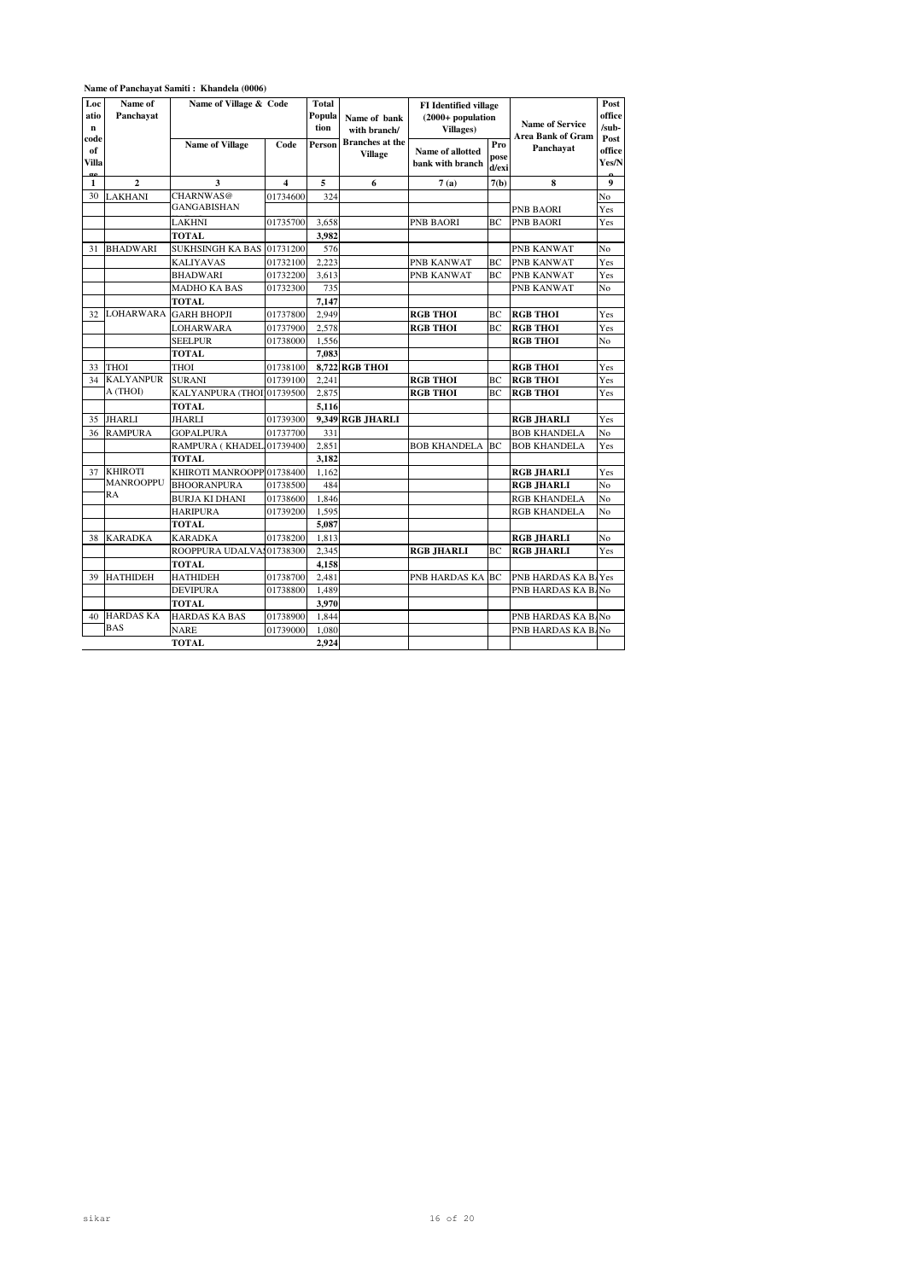| Loc           | Name of               | $1$ vanie of 1 anchavat Sannu . Knanuela (0000)<br>Name of Village & Code |                         | <b>Total</b> |                              |                                                     |       |                          | Post             |
|---------------|-----------------------|---------------------------------------------------------------------------|-------------------------|--------------|------------------------------|-----------------------------------------------------|-------|--------------------------|------------------|
| atio          | Panchavat             |                                                                           |                         | Popula       |                              | <b>FI</b> Identified village<br>$(2000+$ population |       |                          | office           |
| $\mathbf n$   |                       |                                                                           |                         | tion         | Name of bank<br>with branch/ | Villages)                                           |       | <b>Name of Service</b>   | $/sub-$          |
| code          |                       | <b>Name of Village</b>                                                    | Code                    | Person       | <b>Branches</b> at the       |                                                     | Pro   | <b>Area Bank of Gram</b> | Post             |
| of            |                       |                                                                           |                         |              | <b>Village</b>               | Name of allotted                                    | pose  | Panchayat                | office           |
| Villa         |                       |                                                                           |                         |              |                              | bank with branch                                    | d/exi |                          | Yes/N            |
| $\alpha$<br>1 | $\mathbf{2}$          | 3                                                                         | $\overline{\mathbf{4}}$ | 5            | 6                            | 7(a)                                                | 7(b)  | 8                        | $\boldsymbol{9}$ |
| 30            | <b>LAKHANI</b>        | CHARNWAS@                                                                 | 01734600                | 324          |                              |                                                     |       |                          | No               |
|               |                       | <b>GANGABISHAN</b>                                                        |                         |              |                              |                                                     |       | PNB BAORI                | Yes              |
|               |                       | <b>LAKHNI</b>                                                             | 01735700                | 3.658        |                              | <b>PNB BAORI</b>                                    | BC    | PNB BAORI                | Yes              |
|               |                       | <b>TOTAL</b>                                                              |                         | 3.982        |                              |                                                     |       |                          |                  |
| 31            | <b>BHADWARI</b>       | <b>SUKHSINGH KA BAS</b>                                                   | 01731200                | 576          |                              |                                                     |       | PNB KANWAT               | No               |
|               |                       | <b>KALIYAVAS</b>                                                          | 01732100                | 2.223        |                              | PNB KANWAT                                          | BC    | PNB KANWAT               | Yes              |
|               |                       | <b>BHADWARI</b>                                                           | 01732200                | 3.613        |                              | PNB KANWAT                                          | BC    | PNB KANWAT               | Yes              |
|               |                       | <b>MADHO KA BAS</b>                                                       | 01732300                | 735          |                              |                                                     |       | PNB KANWAT               | No               |
|               |                       | <b>TOTAL</b>                                                              |                         | 7,147        |                              |                                                     |       |                          |                  |
| 32            | LOHARWARA GARH BHOPJI |                                                                           | 01737800                | 2,949        |                              | <b>RGB THOI</b>                                     | BC    | <b>RGB THOI</b>          | Yes              |
|               |                       | LOHARWARA                                                                 | 01737900                | 2,578        |                              | <b>RGB THOI</b>                                     | BC    | <b>RGB THOI</b>          | Yes              |
|               |                       | <b>SEELPUR</b>                                                            | 01738000                | 1,556        |                              |                                                     |       | <b>RGB THOI</b>          | No               |
|               |                       | <b>TOTAL</b>                                                              |                         | 7,083        |                              |                                                     |       |                          |                  |
| 33            | <b>THOI</b>           | <b>THOI</b>                                                               | 01738100                |              | 8,722 RGB THOI               |                                                     |       | <b>RGB THOI</b>          | Yes              |
| 34            | <b>KALYANPUR</b>      | <b>SURANI</b>                                                             | 01739100                | 2,241        |                              | <b>RGB THOI</b>                                     | ВC    | <b>RGB THOI</b>          | Yes              |
|               | A (THOI)              | KALYANPURA (THOI)                                                         | 01739500                | 2,875        |                              | <b>RGB THOI</b>                                     | BC    | <b>RGB THOI</b>          | Yes              |
|               |                       | TOTAL                                                                     |                         | 5,116        |                              |                                                     |       |                          |                  |
| 35            | <b>JHARLI</b>         | JHARLI                                                                    | 01739300                |              | 9,349 RGB JHARLI             |                                                     |       | RGB JHARLI               | Yes              |
| 36            | <b>RAMPURA</b>        | <b>GOPALPURA</b>                                                          | 01737700                | 331          |                              |                                                     |       | <b>BOB KHANDELA</b>      | No               |
|               |                       | RAMPURA (KHADEL                                                           | 01739400                | 2,851        |                              | BOB KHANDELA                                        | BC    | <b>BOB KHANDELA</b>      | Yes              |
|               |                       | <b>TOTAL</b>                                                              |                         | 3,182        |                              |                                                     |       |                          |                  |
| 37            | <b>KHIROTI</b>        | KHIROTI MANROOPP 01738400                                                 |                         | 1,162        |                              |                                                     |       | RGB JHARLI               | Yes              |
|               | <b>MANROOPPU</b>      | <b>BHOORANPURA</b>                                                        | 01738500                | 484          |                              |                                                     |       | RGB JHARLI               | No               |
|               | <b>RA</b>             | BURJA KI DHANI                                                            | 01738600                | 1,846        |                              |                                                     |       | <b>RGB KHANDELA</b>      | No               |
|               |                       | <b>HARIPURA</b>                                                           | 01739200                | 1,595        |                              |                                                     |       | RGB KHANDELA             | No               |
|               |                       | TOTAL                                                                     |                         | 5,087        |                              |                                                     |       |                          |                  |
| 38            | <b>KARADKA</b>        | <b>KARADKA</b>                                                            | 01738200                | 1,813        |                              |                                                     |       | RGB JHARLI               | No               |
|               |                       | ROOPPURA UDALVAS01738300                                                  |                         | 2.345        |                              | RGB JHARLI                                          | BС    | RGB JHARLI               | Yes              |
|               |                       | <b>TOTAL</b>                                                              |                         | 4,158        |                              |                                                     |       |                          |                  |
| 39            | <b>HATHIDEH</b>       | <b>HATHIDEH</b>                                                           | 01738700                | 2,481        |                              | PNB HARDAS KA                                       | BC    | PNB HARDAS KA B. Yes     |                  |
|               |                       | <b>DEVIPURA</b>                                                           | 01738800                | 1,489        |                              |                                                     |       | PNB HARDAS KA B. No      |                  |
|               |                       | <b>TOTAL</b>                                                              |                         | 3.970        |                              |                                                     |       |                          |                  |
| 40            | <b>HARDAS KA</b>      | <b>HARDAS KA BAS</b>                                                      | 01738900                | 1.844        |                              |                                                     |       | PNB HARDAS KA B. No      |                  |
|               | <b>BAS</b>            | <b>NARE</b>                                                               | 01739000                | 1,080        |                              |                                                     |       | PNB HARDAS KA B. No      |                  |
|               |                       | <b>TOTAL</b>                                                              |                         | 2,924        |                              |                                                     |       |                          |                  |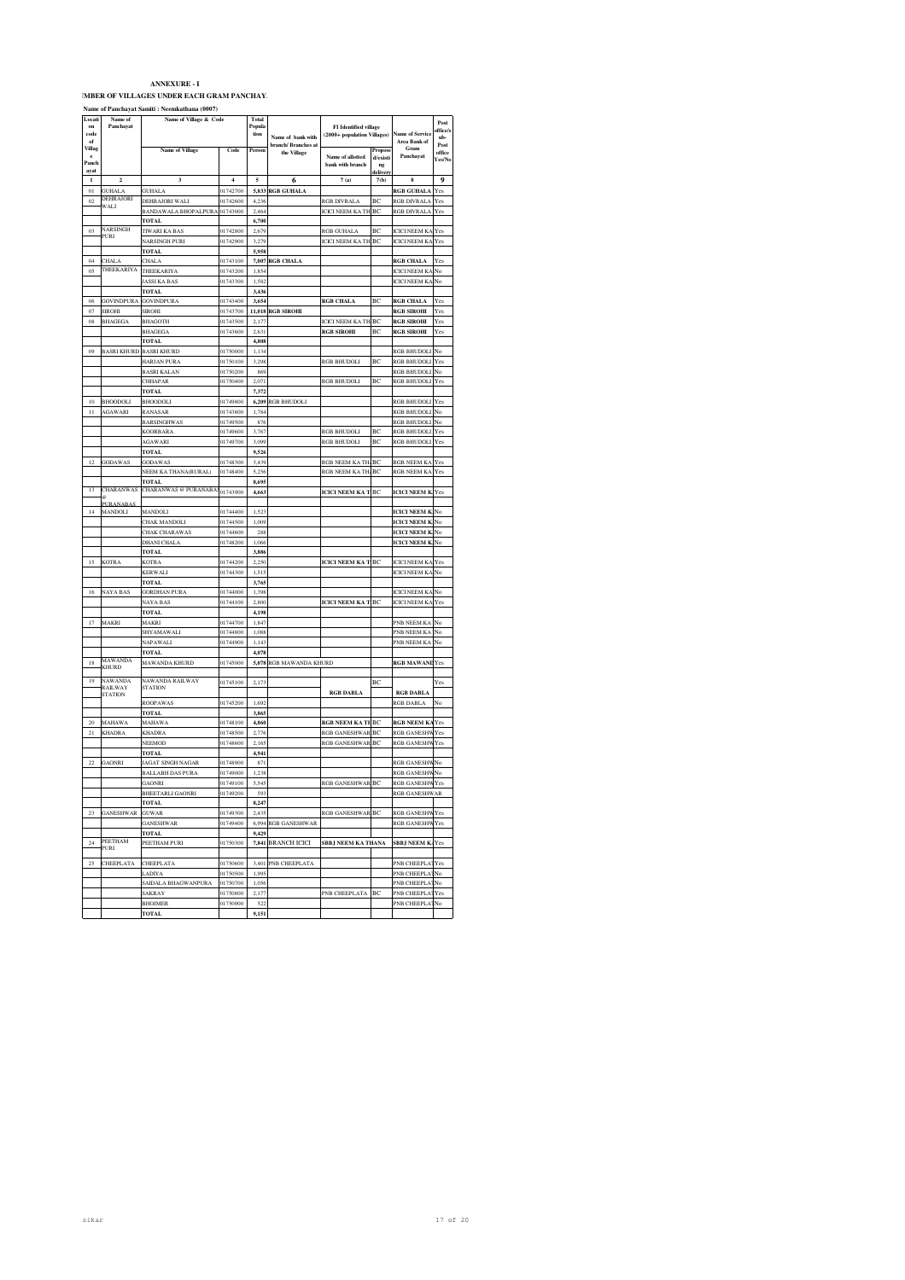**IMBER OF VILLAGES UNDER EACH GRAM PANCHAY.** 

|                            |                                    | Name of Panchayat Samiti : Neemkathana (0007)             |                |                         |                                    |                                                             |                           |                                               |                         |
|----------------------------|------------------------------------|-----------------------------------------------------------|----------------|-------------------------|------------------------------------|-------------------------------------------------------------|---------------------------|-----------------------------------------------|-------------------------|
| Locati<br>on<br>code<br>of | Name of<br>Panchayat               | Name of Village & Code                                    |                | Total<br>Popula<br>tion | Name of bank with                  | <b>FI</b> Identified village<br>(2000+ population Villages) |                           | <b>Name of Service</b><br><b>Area Bank of</b> | Post<br>ffice/<br>ub-   |
| Villag<br>e<br>Panch       |                                    | <b>Name of Village</b>                                    | Code           | Person                  | branch/ Branches at<br>the Village | Name of allotted<br>bank with branch                        | Propose<br>d/existi<br>ng | Gram<br>Panchayat                             | Post<br>office<br>Yes/N |
| ayat<br>$\mathbf 1$        | $\overline{2}$                     | 3                                                         | $\overline{4}$ | 5                       | 6                                  | 7(a)                                                        | delivery<br>7(b)          | $\bf{8}$                                      | 9                       |
| 01                         | <b>GUHALA</b>                      | <b>GUHALA</b>                                             | 01742700       | 5.833                   | <b>RGB GUHALA</b>                  |                                                             |                           | <b>RGB GUHALA</b>                             | Yes                     |
| 02                         | <b>DEHRAJORI</b>                   | DEHRAJORI WALI                                            | 01742600       | 4,236                   |                                    | RGB DIVRALA                                                 | BC                        | RGB DIVRALA                                   | Yes                     |
|                            | WALI                               | BANDAWALA BHOPALPURA                                      | 01743000       | 2.464                   |                                    | <b>ICICI NEEM KA TH</b>                                     | BC                        | RGB DIVRALA                                   | Yes                     |
|                            |                                    | <b>TOTAL</b>                                              |                | 6,700                   |                                    |                                                             |                           |                                               |                         |
| 03                         | NARSINGH                           | <b>TIWARI KA BAS</b>                                      | 01742800       | 2,679                   |                                    | RGB GUHALA                                                  | BC                        | <b>ICICI NEEM KA</b>                          | Yes                     |
|                            | PURI                               | <b>NARSINGH PURI</b>                                      | 01742900       | 3.279                   |                                    | <b>ICICI NEEM KA TH</b>                                     | BC                        | <b>ICICI NEEM KA Yes</b>                      |                         |
|                            |                                    | TOTAL                                                     |                | 5,958                   |                                    |                                                             |                           |                                               |                         |
| 04                         | <b>CHALA</b>                       | CHALA                                                     | 01743100       | 7.007                   | <b>RGB CHALA</b>                   |                                                             |                           | <b>RGB CHALA</b>                              | Yes                     |
| 0 <sub>5</sub>             | THEEKARIYA                         | THEEKARIYA                                                | 01743200       | 1,854                   |                                    |                                                             |                           | <b>ICICI NEEM KA</b>                          | No                      |
|                            |                                    | <b>JASSI KA BAS</b>                                       | 01743300       | 1,582                   |                                    |                                                             |                           | <b>ICICI NEEM KA</b>                          | No                      |
|                            |                                    | TOTAL                                                     |                | 3,436                   |                                    |                                                             |                           |                                               |                         |
| 06                         | <b>GOVINDPURA</b>                  | <b>GOVINDPURA</b>                                         | 01743400       | 3,654                   |                                    | <b>RGB CHALA</b>                                            | BC                        | <b>RGB CHALA</b>                              | Yes                     |
| 07                         | <b>SIROHI</b>                      | <b>SIROHI</b>                                             | 01743700       | 11.018                  | <b>RGB SIROHI</b>                  |                                                             |                           | <b>RGB SIROHI</b>                             | Yes                     |
| 08                         | <b>BHAGEGA</b>                     | <b>BHAGOTH</b>                                            | 01743500       | 2,177                   |                                    | <b>ICICI NEEM KA TH</b>                                     | BC                        | <b>RGB SIROHI</b>                             | Yes                     |
|                            |                                    | BHAGEGA                                                   | 01743600       | 2,631                   |                                    | <b>RGB SIROHI</b>                                           | BC                        | <b>RGB SIROHI</b>                             | Yes                     |
|                            |                                    | <b>TOTAL</b>                                              |                | 4.808                   |                                    |                                                             |                           |                                               |                         |
| 09                         | <b>BASRI KHURD</b>                 | <b>BASRI KHURD</b>                                        | 01750000       | 1,134                   |                                    |                                                             |                           | RGB BHUDOLI                                   | No                      |
|                            |                                    | <b>HARJAN PURA</b>                                        | 01750100       | 3.298                   |                                    | <b>RGB BHUDOLI</b>                                          | BC                        | RGB BHUDOLI                                   | Yes                     |
|                            |                                    | <b>BASRI KALAN</b>                                        | 01750200       | 869                     |                                    |                                                             |                           | RGB BHUDOLI                                   | No                      |
|                            |                                    | CHHAPAR                                                   | 01750400       | 2,071                   |                                    | RGB BHUDOLI                                                 | BC                        | <b>RGB BHUDOLI</b>                            | Yes                     |
|                            |                                    | <b>TOTAL</b>                                              |                | 7,372                   |                                    |                                                             |                           |                                               |                         |
| 10                         | <b>BHOODOLI</b>                    | BHOODOLI                                                  | 01749800       | 6,209                   | RGB BHUDOLI                        |                                                             |                           | RGB BHUDOLI                                   | Yes                     |
| 11                         | AGAWARI                            | <b>RANASAR</b>                                            | 01743800       | 1.784                   |                                    |                                                             |                           | <b>RGB BHUDOLI</b>                            | No                      |
|                            |                                    | <b>BARSINGHWAS</b>                                        | 01749500       | 876                     |                                    |                                                             |                           | RGB BHUDOLI                                   | No                      |
|                            |                                    | <b>KOORBARA</b>                                           | 01749600       | 3,767                   |                                    | RGB BHUDOLI                                                 | BC                        | <b>RGB BHUDOLI</b>                            | Yes                     |
|                            |                                    | <b>AGAWARI</b>                                            | 01749700       | 3.099                   |                                    | <b>RGB BHUDOLI</b>                                          | BC                        | <b>RGB BHUDOLI</b>                            | Yes                     |
|                            |                                    | <b>TOTAL</b>                                              |                | 9,526                   |                                    |                                                             |                           |                                               |                         |
| 12                         | GODAWAS                            | <b>GODAWAS</b>                                            | 01748300       | 3.439                   |                                    | <b>RGB NEEM KA TH</b>                                       | BC                        | <b>RGB NEEM KA</b>                            | Yes                     |
|                            |                                    | NEEM KA THANA(RURAL)                                      | 01748400       | 5,256                   |                                    | RGB NEEM KA TH                                              | BC                        | <b>RGB NEEM KA Yes</b>                        |                         |
| 13                         | <b>CHARANWAS</b>                   | <b>TOTAL</b><br>CHARANWAS @ PURANABAS <sub>01743900</sub> |                | 8,695<br>4,663          |                                    | <b>ICICI NEEM KA T BC</b>                                   |                           | <b>ICICI NEEM K. Yes</b>                      |                         |
|                            |                                    |                                                           |                |                         |                                    |                                                             |                           |                                               |                         |
| 14                         | <b>PURANABAS</b><br><b>MANDOLI</b> | <b>MANDOLI</b>                                            | 01744400       | 1.523                   |                                    |                                                             |                           | <b>ICICI NEEM K</b>                           | No                      |
|                            |                                    | <b>CHAK MANDOLI</b>                                       | 01744500       | 1,009                   |                                    |                                                             |                           | <b>ICICI NEEM K.</b>                          | No                      |
|                            |                                    | <b>CHAK CHARAWAS</b>                                      | 01744600       | 288                     |                                    |                                                             |                           | <b>ICICI NEEM K</b>                           | No                      |
|                            |                                    | <b>DHANI CHALA</b>                                        | 01748200       | 1.066                   |                                    |                                                             |                           | <b>ICICI NEEM K.</b>                          | No                      |
|                            |                                    | <b>TOTAL</b>                                              |                | 3,886                   |                                    |                                                             |                           |                                               |                         |
| 15                         | <b>KOTRA</b>                       | <b>KOTRA</b>                                              | 01744200       | 2.250                   |                                    | <b>ICICI NEEM KA T</b>                                      | BC                        | <b>ICICI NEEM KA</b>                          | Yes                     |
|                            |                                    | <b>KERWALI</b>                                            | 01744300       | 1,515                   |                                    |                                                             |                           | <b>ICICI NEEM KA No</b>                       |                         |
|                            |                                    | <b>TOTAL</b>                                              |                | 3,765                   |                                    |                                                             |                           |                                               |                         |
| 16                         | NAYA BAS                           | GORDHAN PURA                                              | 01744000       | 1.398                   |                                    |                                                             |                           | <b>ICICI NEEM KA</b>                          | No                      |
|                            |                                    | NAYA BAS                                                  | 01744100       | 2,800                   |                                    | <b>ICICI NEEM KA T BC</b>                                   |                           | <b>ICICI NEEM KA</b>                          | Yes                     |
|                            |                                    | <b>TOTAL</b>                                              |                | 4.198                   |                                    |                                                             |                           |                                               |                         |
| 17                         | MAKRI                              | MAKRI                                                     | 01744700       | 1,847                   |                                    |                                                             |                           | PNB NEEM KA                                   | No                      |
|                            |                                    | SHYAMAWALI                                                | 01744800       | 1,088                   |                                    |                                                             |                           | PNB NEEM KA                                   | No                      |
|                            |                                    | NAPAWALI                                                  | 01744900       | 1,143                   |                                    |                                                             |                           | PNB NEEM KA                                   | No                      |
|                            |                                    | <b>TOTAL</b>                                              |                | 4,078                   |                                    |                                                             |                           |                                               |                         |
| 18                         | <b>MAWANDA</b>                     | MAWANDA KHURD                                             | 01745000       | 5,078                   | RGB MAWANDA KHURD                  |                                                             |                           | <b>RGB MAWANE</b>                             | Yes                     |
|                            | KHURD                              |                                                           |                |                         |                                    |                                                             |                           |                                               |                         |
| 19                         | NAWANDA                            | NAWANDA RAILWAY                                           | 01745100       | 2,173                   |                                    |                                                             | BC                        |                                               | Yes                     |
|                            | RAILWAY<br><b>STATION</b>          | <b>STATION</b>                                            |                |                         |                                    | <b>RGB DABLA</b>                                            |                           | <b>RGB DABLA</b>                              |                         |
|                            |                                    | ROOPAWAS                                                  | 01745200       | 1,692                   |                                    |                                                             |                           | RGB DABLA                                     | No                      |
|                            |                                    | TOTAL                                                     |                | 3,865                   |                                    |                                                             |                           |                                               |                         |
| 20                         | <b>MAHAWA</b>                      | MAHAWA                                                    | 01748100       | 4,860                   |                                    | <b>RGB NEEM KA TE</b>                                       | BC                        | <b>RGB NEEM KA</b>                            | Yes                     |
| 21                         | <b>KHADRA</b>                      | <b>KHADRA</b>                                             | 01748500       | 2,776                   |                                    | <b>RGB GANESHWAR</b>                                        | BC                        | <b>RGB GANESHW</b>                            | Yes                     |
|                            |                                    | NEEMOD                                                    | 01748600       | 2,16                    |                                    | <b>RGB GANESHWAR</b>                                        | BC                        | <b>RGB GANESHWYes</b>                         |                         |
|                            |                                    | <b>TOTAL</b>                                              |                | 4,941                   |                                    |                                                             |                           |                                               |                         |
| 22                         | <b>GAONRI</b>                      | <b>JAGAT SINGH NAGAR</b>                                  | 01748900       | 871                     |                                    |                                                             |                           | <b>RGB GANESHW</b>                            | No                      |
|                            |                                    | <b>BALLABH DAS PURA</b>                                   | 01749000       | 1,238                   |                                    |                                                             |                           | RGB GANESHWNo                                 |                         |
|                            |                                    | <b>GAONRI</b>                                             | 01749100       | 5.545                   |                                    | <b>GANESHWAR</b>                                            |                           | <b>RGB GANESHW</b>                            |                         |
|                            |                                    | BHEETARLI GAONRI                                          | 01749200       | 593                     |                                    |                                                             |                           | RGB GANESHWAR                                 |                         |
|                            |                                    | <b>TOTAL</b>                                              |                | 8,247                   |                                    |                                                             |                           |                                               |                         |
| 23                         | <b>GANESHWAR</b>                   | <b>GUWAR</b>                                              | 01749300       | 2.435                   |                                    | <b>RGB GANESHWAR</b>                                        | BC                        | <b>RGB GANESHW</b>                            | Yes                     |
|                            |                                    | GANESHWAR                                                 | 01749400       |                         | 6,994 RGB GANESHWAR                |                                                             |                           | RGB GANESHWYes                                |                         |
|                            |                                    | <b>TOTAL</b>                                              |                | 9.429                   |                                    |                                                             |                           |                                               |                         |
| 24                         | <b>PEETHAM</b><br>PURI             | PEETHAM PURI                                              | 01750300       |                         | 7,841 BRANCH ICICI                 | SBBJ NEEM KA THANA                                          |                           | <b>SBBJ NEEM K/Yes</b>                        |                         |
|                            |                                    |                                                           |                |                         |                                    |                                                             |                           |                                               |                         |
| 25                         | CHEEPLATA                          | CHEEPLATA                                                 | 01750600       | 3.401                   | PNB CHEEPLATA                      |                                                             |                           | PNB CHEEPLAT                                  | Yes                     |
|                            |                                    | LADIYA                                                    | 01750500       | 1,995                   |                                    |                                                             |                           | PNB CHEEPLATNo                                |                         |
|                            |                                    | SAIDALA BHAGWANPURA                                       | 01750700       | 1,056                   |                                    |                                                             |                           | PNB CHEEPLAT                                  | No                      |
|                            |                                    | <b>SAKRAY</b>                                             | 91750800       | 2,177                   |                                    | PNB CHEEPLATA                                               | BC                        | PNB CHEEPLAT                                  | Yes                     |
|                            |                                    | <b>BHOJMER</b>                                            | 01750900       | 522                     |                                    |                                                             |                           | PNB CHEEPLA'                                  | No                      |
|                            |                                    | <b>TOTAL</b>                                              |                | 9,151                   |                                    |                                                             |                           |                                               |                         |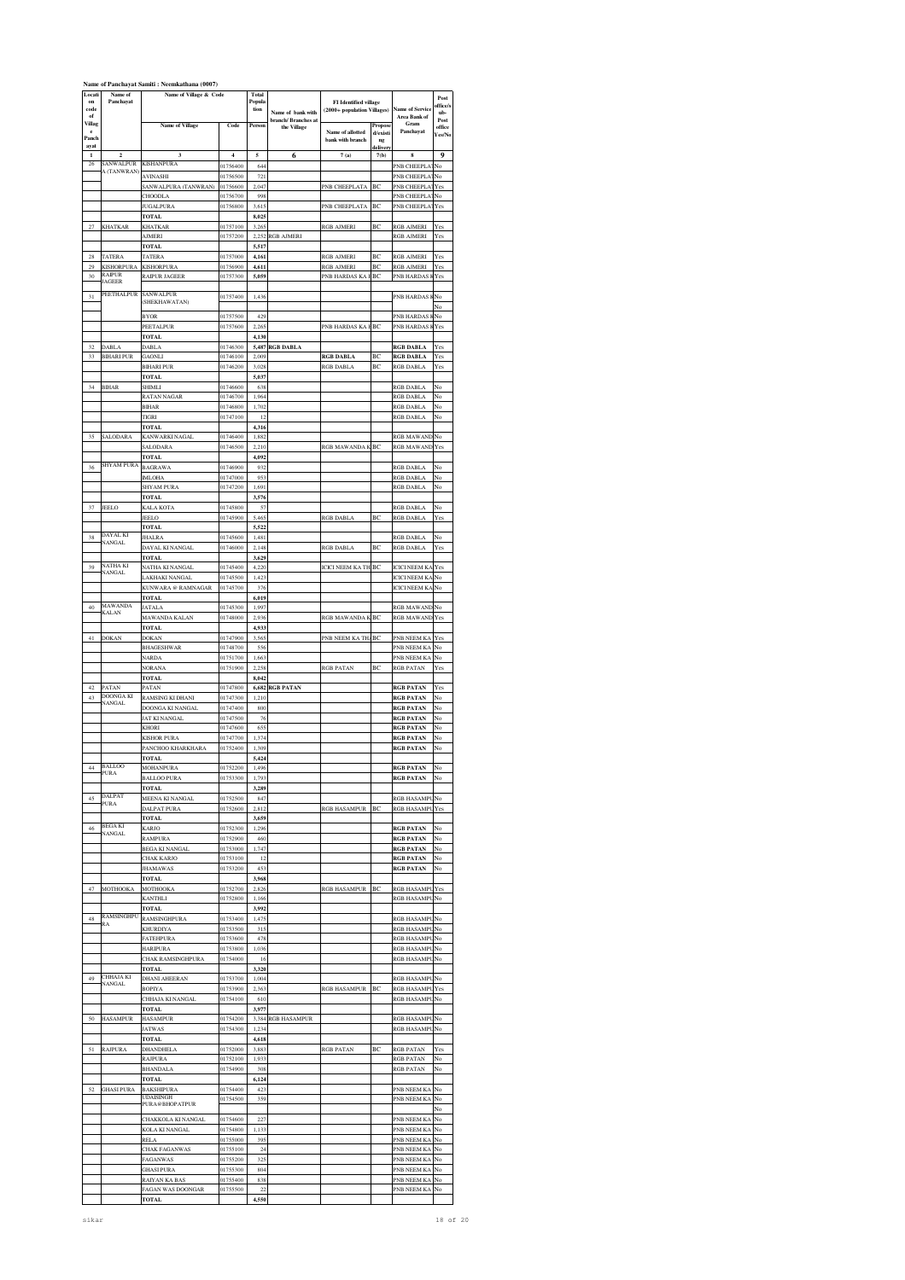|                     |                             | Name of Panchayat Samiti: Neemkathana (0007) |                      |                        |                                    |                                      |                  |                                               |                |
|---------------------|-----------------------------|----------------------------------------------|----------------------|------------------------|------------------------------------|--------------------------------------|------------------|-----------------------------------------------|----------------|
| Locati<br>on        | Name of<br>Panchayat        | Name of Village & Code                       |                      | <b>Total</b><br>Popula |                                    | <b>FI</b> Identified village         |                  |                                               | Post           |
| code<br>of          |                             |                                              |                      | tion                   | Name of bank with                  | (2000+ population Villages)          |                  | <b>Name of Service</b><br><b>Area Bank of</b> | ffice/s<br>ub- |
| Villag              |                             | <b>Name of Village</b>                       | Code                 | Person                 | branch/ Branches at<br>the Village |                                      | Propose          | Gram                                          | Post<br>office |
| e<br>Panch          |                             |                                              |                      |                        |                                    | Name of allotted<br>bank with branch | d/existi<br>ng   | Panchayat                                     | Yes/No         |
| ayat<br>$\mathbf 1$ | $\overline{2}$              | 3                                            | 4                    | 5                      | 6                                  | 7(a)                                 | delivery<br>7(b) | 8                                             | 9              |
| 26                  | <b>SANWALPUR</b>            | <b>KISHANPURA</b>                            | 01756400             | 644                    |                                    |                                      |                  | PNB CHEEPLAT                                  | No             |
|                     | A (TANWRAN)                 | <b>AVINASHI</b>                              | 01756500             | 721                    |                                    |                                      |                  | PNB CHEEPLAT                                  | No             |
|                     |                             | SANWALPURA (TANWRAN)<br>CHOODLA              | 01756600<br>01756700 | 2,047<br>998           |                                    | <b>PNB CHEEPLATA</b>                 | BC               | PNB CHEEPLA'<br>PNB CHEEPLATNo                | Yes            |
|                     |                             | <b>JUGALPURA</b>                             | 01756800             | 3,615                  |                                    | PNB CHEEPLATA                        | BC               | PNB CHEEPLAT                                  | Yes            |
|                     |                             | <b>TOTAL</b>                                 |                      | 8,025                  |                                    |                                      |                  |                                               |                |
| 27                  | <b>KHATKAR</b>              | KHATKAR<br><b>AJMERI</b>                     | 01757100<br>01757200 | 3,265<br>2.252         | <b>RGB AJMERI</b>                  | RGB AJMERI                           | BC               | <b>RGB AJMERI</b><br>RGB AJMERI               | Yes<br>Yes     |
|                     |                             | <b>TOTAL</b>                                 |                      | 5,517                  |                                    |                                      |                  |                                               |                |
| $\sqrt{28}$         | TATERA                      | TATERA                                       | 01757000             | 4,161                  |                                    | RGB AJMERI                           | BC               | RGB AJMERI                                    | Yes            |
| 29                  | <b>KISHORPURA</b><br>RAIPUR | <b>KISHORPURA</b>                            | 01756900             | 4,611                  |                                    | RGB AJMERI                           | BC               | <b>RGB AJMERI</b><br><b>PNB HARDAS</b>        | Yes            |
| 30                  | <b>JAGEER</b>               | RAIPUR JAGEER                                | 01757300             | 5,059                  |                                    | PNB HARDAS KA                        | BC               |                                               | Yes            |
| 31                  | PEETHALPUR                  | SANWALPUR<br>(SHEKHAWATAN)                   | 01757400             | 1,436                  |                                    |                                      |                  | PNB HARDAS KNo                                |                |
|                     |                             |                                              |                      |                        |                                    |                                      |                  |                                               | No             |
|                     |                             | <b>BYOR</b><br>PEETALPUR                     | 01757500<br>01757600 | 429<br>2,265           |                                    | PNB HARDAS KA E                      | BC               | PNB HARDAS<br>PNB HARDAS                      | No<br>Yes      |
|                     |                             | <b>TOTAL</b>                                 |                      | 4.130                  |                                    |                                      |                  |                                               |                |
| 32                  | <b>DABLA</b>                | <b>DABLA</b>                                 | 01746300             | 5,487                  | <b>RGB DABLA</b>                   |                                      |                  | <b>RGB DABLA</b>                              | Yes            |
| 33                  | <b>BIHARI PUR</b>           | <b>GAONLI</b><br><b>BIHARI PUR</b>           | 01746100<br>01746200 | 2.009<br>3.028         |                                    | <b>RGB DABLA</b><br>RGB DABLA        | BC<br>ВC         | <b>RGB DABLA</b><br>RGB DABLA                 | Yes<br>Yes     |
|                     |                             | <b>TOTAL</b>                                 |                      | 5,037                  |                                    |                                      |                  |                                               |                |
| 34                  | <b>BIHAR</b>                | <b>SHIMLI</b>                                | 01746600             | 638                    |                                    |                                      |                  | RGB DABLA                                     | No             |
|                     |                             | <b>RATAN NAGAR</b><br><b>BIHAR</b>           | 01746700<br>01746800 | 1,964<br>1,702         |                                    |                                      |                  | RGB DABLA<br>RGB DABLA                        | No<br>No       |
|                     |                             | TIGRI                                        | 01747100             | 12                     |                                    |                                      |                  | RGB DABLA                                     | No             |
|                     |                             | TOTAL                                        |                      | 4,316                  |                                    |                                      |                  |                                               |                |
| 35                  | SALODARA                    | KANWARKI NAGAL<br>SALODARA                   | 01746400<br>01746500 | 1.882<br>2,210         |                                    | RGB MAWANDA K BC                     |                  | <b>RGB MAWANI</b><br><b>RGB MAWAND Yes</b>    | No             |
|                     |                             | <b>TOTAL</b>                                 |                      | 4,092                  |                                    |                                      |                  |                                               |                |
| 36                  | <b>SHYAM PURA</b>           | <b>BAGRAWA</b>                               | 01746900             | 932                    |                                    |                                      |                  | RGB DABLA                                     | No             |
|                     |                             | <b>MLOHA</b>                                 | 01747000             | 953<br>1.691           |                                    |                                      |                  | RGB DABLA                                     | No<br>No       |
|                     |                             | <b>SHYAM PURA</b><br><b>TOTAL</b>            | 01747200             | 3,576                  |                                    |                                      |                  | RGB DABLA                                     |                |
| 37                  | <b>JEELO</b>                | KALA KOTA                                    | 01745800             | 57                     |                                    |                                      |                  | RGB DABLA                                     | No             |
|                     |                             | JEELO                                        | 01745900             | 5,465                  |                                    | RGB DABLA                            | BC               | RGB DABLA                                     | Yes            |
| 38                  | <b>DAYAL KI</b>             | <b>TOTAL</b><br>JHALRA                       | 01745600             | 5,522<br>1.481         |                                    |                                      |                  | <b>RGB DABLA</b>                              | No             |
|                     | <b>NANGAL</b>               | DAYAL KI NANGAL                              | 01746000             | 2,148                  |                                    | RGB DABLA                            | BC               | RGB DABLA                                     | Yes            |
|                     | NATHA KI                    | <b>TOTAL</b>                                 |                      | 3,629                  |                                    |                                      |                  |                                               |                |
| 39                  | <b>NANGAL</b>               | NATHA KI NANGAL<br>AKHAKI NANGAL             | 01745400<br>01745500 | 4.220<br>1,423         |                                    | <b>ICICI NEEM KA THERC</b>           |                  | <b>ICICI NEEM KA</b><br><b>ICICI NEEM KA</b>  | Yes<br>No      |
|                     |                             | KUNWARA @ RAMNAGAR                           | 01745700             | 376                    |                                    |                                      |                  | <b>ICICI NEEM KA No</b>                       |                |
|                     | <b>MAWANDA</b>              | <b>TOTAL</b>                                 |                      | 6,019                  |                                    |                                      |                  |                                               |                |
| 40                  | <b>KALAN</b>                | <b>JATALA</b><br>MAWANDA KALAN               | 01745300<br>01748000 | 1,997<br>2,936         |                                    | RGB MAWANDA K BC                     |                  | RGB MAWAND No<br><b>RGB MAWAND</b>            | Yes            |
|                     |                             | <b>TOTAL</b>                                 |                      | 4,933                  |                                    |                                      |                  |                                               |                |
| 41                  | DOKAN                       | DOKAN                                        | 01747900             | 3,565                  |                                    | PNB NEEM KA THA                      | BC               | PNB NEEM KA                                   | Yes            |
|                     |                             | <b>BHAGESHWAR</b><br><b>NARDA</b>            | 01748700<br>01751700 | 556<br>1,663           |                                    |                                      |                  | PNB NEEM KA No<br>PNB NEEM KA                 | No             |
|                     |                             | <b>NORANA</b>                                | 01751900             | 2,258                  |                                    | RGB PATAN                            | BC               | <b>RGB PATAN</b>                              | Yes            |
|                     |                             | <b>TOTAL</b>                                 |                      | 8,042                  |                                    |                                      |                  |                                               |                |
| 42                  | PATAN<br><b>DOONGA KI</b>   | PATAN                                        | 01747800             | 6,682                  | <b>RGB PATAN</b>                   |                                      |                  | <b>RGB PATAN</b>                              | Yes            |
| 43                  | <b>NANGAL</b>               | <b>RAMSING KI DHANI</b><br>DOONGA KI NANGAL  | 01747300<br>01747400 | 1,210<br>800           |                                    |                                      |                  | <b>RGB PATAN</b><br><b>RGB PATAN</b>          | No<br>No       |
|                     |                             | JAT KI NANGAL                                | 01747500             | 76                     |                                    |                                      |                  | <b>RGB PATAN</b>                              | No             |
|                     |                             | KHORI                                        | 01747600             | 655                    |                                    |                                      |                  | <b>RGB PATAN</b>                              | No             |
|                     |                             | <b>KISHOR PURA</b><br>PANCHOO KHARKHARA      | 01747700<br>01752400 | 1.374<br>1,309         |                                    |                                      |                  | <b>RGB PATAN</b><br><b>RGB PATAN</b>          | No<br>No       |
|                     |                             | <b>TOTAL</b>                                 |                      | 5.424                  |                                    |                                      |                  |                                               |                |
| 44                  | <b>BALLOO</b><br>PURA       | MOHANPURA                                    | 01752200             | 1,496                  |                                    |                                      |                  | <b>RGB PATAN</b>                              | No             |
|                     |                             | <b>BALLOO PURA</b><br><b>TOTAL</b>           | 01753300             | 1,793<br>3,289         |                                    |                                      |                  | <b>RGB PATAN</b>                              | No             |
| 45                  | DALPAT                      | MEENA KI NANGAL                              | 01752500             | 847                    |                                    |                                      |                  | RGB HASAMPUNo                                 |                |
|                     | PURA                        | <b>DALPAT PURA</b>                           | 01752600             | 2,812                  |                                    | RGB HASAMPUR                         | BC               | RGB HASAMPU Yes                               |                |
| 46                  | <b>BEGAKI</b>               | <b>TOTAL</b><br><b>KARJO</b>                 | 01752300             | 3,659<br>1,296         |                                    |                                      |                  | <b>RGB PATAN</b>                              | No             |
|                     | <b>NANGAL</b>               | <b>RAMPLIRA</b>                              | 01752900             | 460                    |                                    |                                      |                  | <b>RGB PATAN</b>                              | No             |
|                     |                             | BEGA KI NANGAL                               | 01753000             | 1,747                  |                                    |                                      |                  | <b>RGB PATAN</b>                              | No             |
|                     |                             | <b>CHAK KARJO</b><br><b>JHAMAWAS</b>         | 01753100<br>01753200 | 12<br>453              |                                    |                                      |                  | <b>RGB PATAN</b><br><b>RGB PATAN</b>          | No<br>No       |
|                     |                             | <b>TOTAL</b>                                 |                      | 3,968                  |                                    |                                      |                  |                                               |                |
| 47                  | MOTHOOKA                    | <b>MOTHOOKA</b>                              | 01752700             | 2,826                  |                                    | RGB HASAMPUR                         | BC               | RGB HASAMPU                                   | Yes            |
|                     |                             | <b>KANTHLI</b><br><b>TOTAL</b>               | 01752800             | 1,166<br>3.992         |                                    |                                      |                  | RGB HASAMPUNo                                 |                |
| 48                  | <b>RAMSINGHPU</b>           | RAMSINGHPURA                                 | 01753400             | 1,475                  |                                    |                                      |                  | RGB HASAMPUNo                                 |                |
|                     | RA                          | <b>KHURDIYA</b>                              | 01753500             | 315                    |                                    |                                      |                  | RGB HASAMPU                                   | No             |
|                     |                             | <b>FATEHPURA</b>                             | 01753600             | 478                    |                                    |                                      |                  | RGB HASAMPL                                   | No             |
|                     |                             | <b>HARIPURA</b><br><b>CHAK RAMSINGHPURA</b>  | 01753800<br>01754000 | 1,036<br>16            |                                    |                                      |                  | RGB HASAMPUNo<br>RGB HASAMPUNo                |                |
|                     |                             | <b>TOTAL</b>                                 |                      | 3,320                  |                                    |                                      |                  |                                               |                |
| 49                  | CHHAJA KI<br>NANGAL         | <b>DHANI AHEERAN</b>                         | 01753700             | 1,004                  |                                    |                                      |                  | RGB HASAMPU                                   | No             |
|                     |                             | <b>BOPIYA</b><br>CHHAJA KI NANGAL            | 01753900<br>01754100 | 2.363<br>610           |                                    | RGB HASAMPUR                         | BC               | RGB HASAMPL<br>RGB HASAMPUNo                  | Yes            |
|                     |                             | <b>TOTAL</b>                                 |                      | 3.977                  |                                    |                                      |                  |                                               |                |
| 50                  | <b>HASAMPUR</b>             | HASAMPUR                                     | 01754200             | 3,384                  | <b>RGB HASAMPUR</b>                |                                      |                  | RGB HASAMPL                                   | No             |
|                     |                             | <b>JATWAS</b><br>TOTAL                       | 01754300             | 1.234<br>4.618         |                                    |                                      |                  | RGB HASAMPU                                   | No             |
| 51                  | <b>RAJPURA</b>              | DHANDHELA                                    | 01752000             | 3,883                  |                                    | <b>RGB PATAN</b>                     | ВC               | <b>RGB PATAN</b>                              | Yes            |
|                     |                             | <b>RAJPURA</b>                               | 01752100             | 1,933                  |                                    |                                      |                  | <b>RGB PATAN</b>                              | No             |
|                     |                             | BHANDALA                                     | 01754900             | 308                    |                                    |                                      |                  | RGB PATAN                                     | No             |
| 52                  | <b>GHASI PURA</b>           | <b>TOTAL</b><br><b>BAKSHIPURA</b>            | 01754400             | 6,124<br>423           |                                    |                                      |                  | PNB NEEM KA                                   | No             |
|                     |                             | <b>UDAISINGH</b><br>PURA@BHOPATPUR           | 01754500             | 359                    |                                    |                                      |                  | PNB NEEM KA                                   | No             |
|                     |                             |                                              |                      |                        |                                    |                                      |                  |                                               | No             |
|                     |                             | CHAKKOLA KI NANGAL<br>KOLA KI NANGAL         | 01754600<br>01754800 | 227<br>1,133           |                                    |                                      |                  | PNB NEEM KA<br>PNB NEEM KA                    | No<br>No       |
|                     |                             | RELA                                         | 01755000             | 395                    |                                    |                                      |                  | PNB NEEM KA                                   | No             |
|                     |                             | <b>CHAK FAGANWAS</b>                         | 01755100             | 24                     |                                    |                                      |                  | PNB NEEM KA                                   | No             |
|                     |                             | <b>FAGANWAS</b><br>GHASI PURA                | 01755200<br>01755300 | 325<br>804             |                                    |                                      |                  | PNB NEEM KA<br>PNB NEEM KA                    | No<br>No       |
|                     |                             | RAIYAN KA BAS                                | 01755400             | 838                    |                                    |                                      |                  | PNB NEEM KA                                   | No             |
|                     |                             | FAGAN WAS DOONGAR                            | 01755500             | 22                     |                                    |                                      |                  | PNB NEEM KA                                   | No             |
|                     |                             | <b>TOTAL</b>                                 |                      | 4,550                  |                                    |                                      |                  |                                               |                |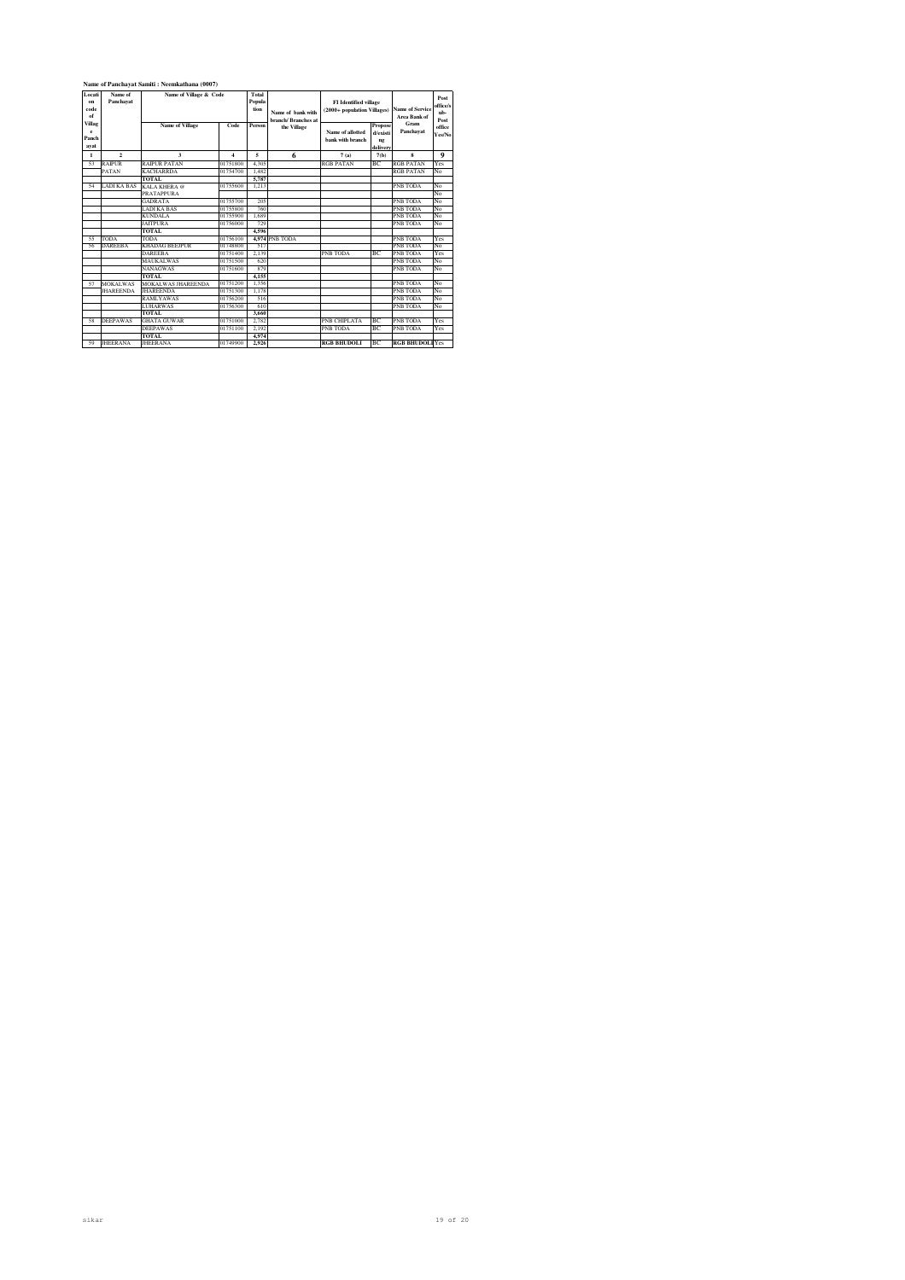| Locati<br>on<br>code<br>of   | Name of<br>Name of Village & Code<br>Panchavat |                           |          | Total<br>Popula<br>tion | Name of hank with<br>branch/Rranches at | <b>FI</b> Identified village<br>(2000+ population Villages) |                                       | <b>Name of Service</b><br>Area Bank of | Post<br>office/s<br>nb-<br>Post |
|------------------------------|------------------------------------------------|---------------------------|----------|-------------------------|-----------------------------------------|-------------------------------------------------------------|---------------------------------------|----------------------------------------|---------------------------------|
| Villag<br>e<br>Panch<br>avat |                                                | <b>Name of Village</b>    | Code     | Person                  | the Village                             | Name of allotted<br>bank with branch                        | Propose<br>d/existi<br>ng<br>delivery | Gram<br>Panchavat                      | office<br>Yes/No                |
| 1                            | $\overline{2}$                                 | $\mathbf{a}$              | 4        | 5                       | 6                                       | 7(a)                                                        | 7(b)                                  | $\bf{8}$                               | $\mathbf Q$                     |
| 53                           | <b>RAIPUR</b>                                  | <b>RAIPUR PATAN</b>       | 01751800 | 4.305                   |                                         | <b>RGB PATAN</b>                                            | BC.                                   | <b>RGB PATAN</b>                       | Yes                             |
|                              | PATAN                                          | <b>KACHARRDA</b>          | 01754700 | 1.482                   |                                         |                                                             |                                       | <b>RGB PATAN</b>                       | No                              |
|                              |                                                | TOTAL.                    |          | 5.787                   |                                         |                                                             |                                       |                                        |                                 |
| 54                           | <b>LADI KA BAS</b>                             | KALA KHERA @              | 01755600 | 1.213                   |                                         |                                                             |                                       | <b>PNB TODA</b>                        | No                              |
|                              |                                                | <b>PRATAPPLIRA</b>        |          |                         |                                         |                                                             |                                       |                                        | No                              |
|                              |                                                | <b>GADRATA</b>            | 01755700 | 205                     |                                         |                                                             |                                       | <b>PNB TODA</b>                        | No                              |
|                              |                                                | <b>LADI KA BAS</b>        | 01755800 | 760                     |                                         |                                                             |                                       | <b>PNB TODA</b>                        | No                              |
|                              |                                                | <b>KUNDALA</b>            | 01755900 | 1.689                   |                                         |                                                             |                                       | <b>PNB TODA</b>                        | No                              |
|                              |                                                | <b>JAITPURA</b>           | 01756000 | 729                     |                                         |                                                             |                                       | <b>PNB TODA</b>                        | No                              |
|                              |                                                | <b>TOTAL</b>              |          | 4.596                   |                                         |                                                             |                                       |                                        |                                 |
| 55                           | <b>TODA</b>                                    | <b>TODA</b>               | 01756100 |                         | 4.974 PNB TODA                          |                                                             |                                       | <b>PNB TODA</b>                        | Yes                             |
| 56                           | <b>DAREEBA</b>                                 | <b>KHADAG BEEJPUR</b>     | 01748800 | 517                     |                                         |                                                             |                                       | <b>PNB TODA</b>                        | No                              |
|                              |                                                | <b>DAREEBA</b>            | 01751400 | 2.139                   |                                         | <b>PNB TODA</b>                                             | BC.                                   | <b>PNB TODA</b>                        | Yes                             |
|                              |                                                | <b>MAUKALWAS</b>          | 01751500 | 620                     |                                         |                                                             |                                       | <b>PNB TODA</b>                        | No                              |
|                              |                                                | <b>NANAGWAS</b>           | 01751600 | 879                     |                                         |                                                             |                                       | PNB TODA                               | No                              |
|                              |                                                | TOTAL.                    |          | 4.155                   |                                         |                                                             |                                       |                                        |                                 |
| 57                           | <b>MOKALWAS</b>                                | <b>MOKALWAS JHAREENDA</b> | 01751200 | 1.356                   |                                         |                                                             |                                       | <b>PNB TODA</b>                        | No                              |
|                              | <b>JHAREENDA</b>                               | <b>IHARFFNDA</b>          | 01751300 | 1.178                   |                                         |                                                             |                                       | <b>PNB TODA</b>                        | No                              |
|                              |                                                | <b>RAMLYAWAS</b>          | 01756200 | 516                     |                                         |                                                             |                                       | <b>PNB TODA</b>                        | No                              |
|                              |                                                | <b>LUHARWAS</b>           | 01756300 | 610                     |                                         |                                                             |                                       | <b>PNB TODA</b>                        | No                              |
|                              |                                                | <b>TOTAL</b>              |          | 3,660                   |                                         |                                                             |                                       |                                        |                                 |
| 58                           | <b>DEEPAWAS</b>                                | <b>GHATA GUWAR</b>        | 01751000 | 2.782                   |                                         | <b>PNB CHIPLATA</b>                                         | BC                                    | <b>PNB TODA</b>                        | Yes                             |
|                              |                                                | <b>DEEPAWAS</b>           | 01751100 | 2.192                   |                                         | <b>PNB TODA</b>                                             | BC.                                   | PNB TODA                               | Yes                             |
|                              |                                                | <b>TOTAL</b>              |          | 4.974                   |                                         |                                                             |                                       |                                        |                                 |
| 59                           | <b>JHEERANA</b>                                | <b>JHEERANA</b>           | 01749900 | 2.926                   |                                         | <b>RGB BHUDOLI</b>                                          | ВC                                    | <b>RGB BHUDOLI</b> Yes                 |                                 |